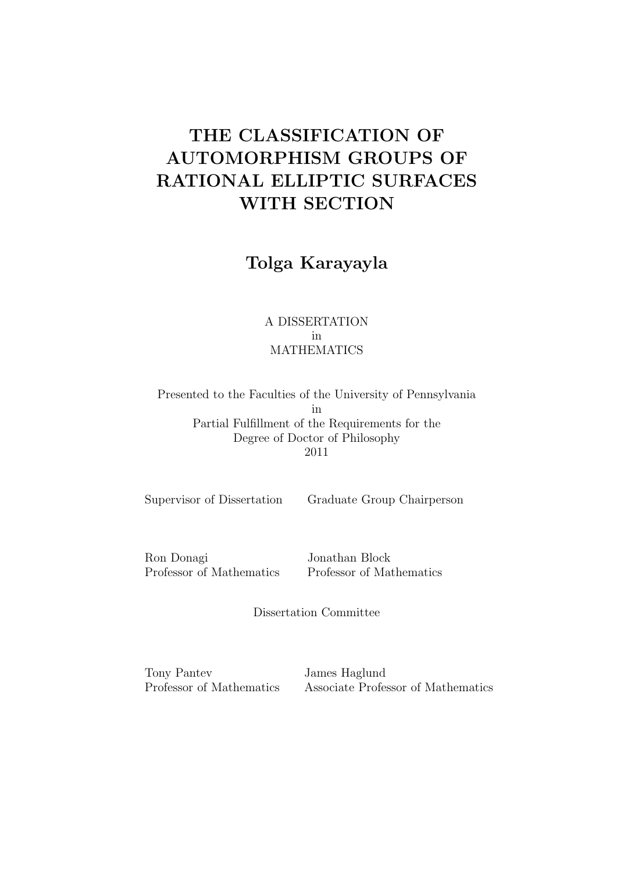# THE CLASSIFICATION OF AUTOMORPHISM GROUPS OF RATIONAL ELLIPTIC SURFACES WITH SECTION

Tolga Karayayla

## A DISSERTATION in MATHEMATICS

Presented to the Faculties of the University of Pennsylvania in Partial Fulfillment of the Requirements for the Degree of Doctor of Philosophy 2011

Supervisor of Dissertation Graduate Group Chairperson

Ron Donagi Jonathan Block

Professor of Mathematics Professor of Mathematics

Dissertation Committee

Tony Pantev James Haglund

Professor of Mathematics Associate Professor of Mathematics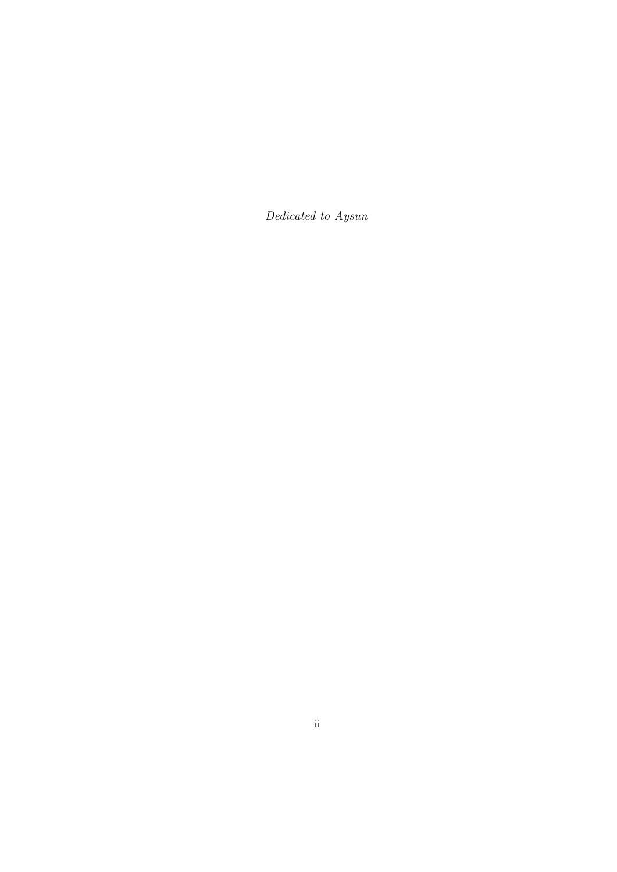Dedicated to Aysun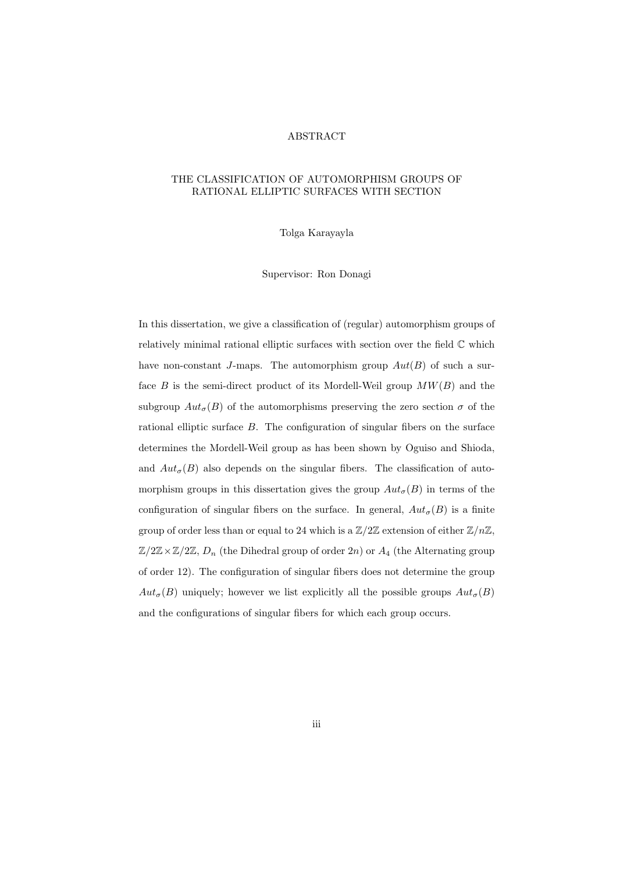#### ABSTRACT

#### THE CLASSIFICATION OF AUTOMORPHISM GROUPS OF RATIONAL ELLIPTIC SURFACES WITH SECTION

Tolga Karayayla

Supervisor: Ron Donagi

In this dissertation, we give a classification of (regular) automorphism groups of relatively minimal rational elliptic surfaces with section over the field  $\mathbb C$  which have non-constant J-maps. The automorphism group  $Aut(B)$  of such a surface B is the semi-direct product of its Mordell-Weil group  $MW(B)$  and the subgroup  $Aut_{\sigma}(B)$  of the automorphisms preserving the zero section  $\sigma$  of the rational elliptic surface B. The configuration of singular fibers on the surface determines the Mordell-Weil group as has been shown by Oguiso and Shioda, and  $Aut_{\sigma}(B)$  also depends on the singular fibers. The classification of automorphism groups in this dissertation gives the group  $Aut_{\sigma}(B)$  in terms of the configuration of singular fibers on the surface. In general,  $Aut_{\sigma}(B)$  is a finite group of order less than or equal to 24 which is a  $\mathbb{Z}/2\mathbb{Z}$  extension of either  $\mathbb{Z}/n\mathbb{Z}$ ,  $\mathbb{Z}/2\mathbb{Z}\times\mathbb{Z}/2\mathbb{Z}$ ,  $D_n$  (the Dihedral group of order 2n) or  $A_4$  (the Alternating group of order 12). The configuration of singular fibers does not determine the group  $Aut_{\sigma}(B)$  uniquely; however we list explicitly all the possible groups  $Aut_{\sigma}(B)$ and the configurations of singular fibers for which each group occurs.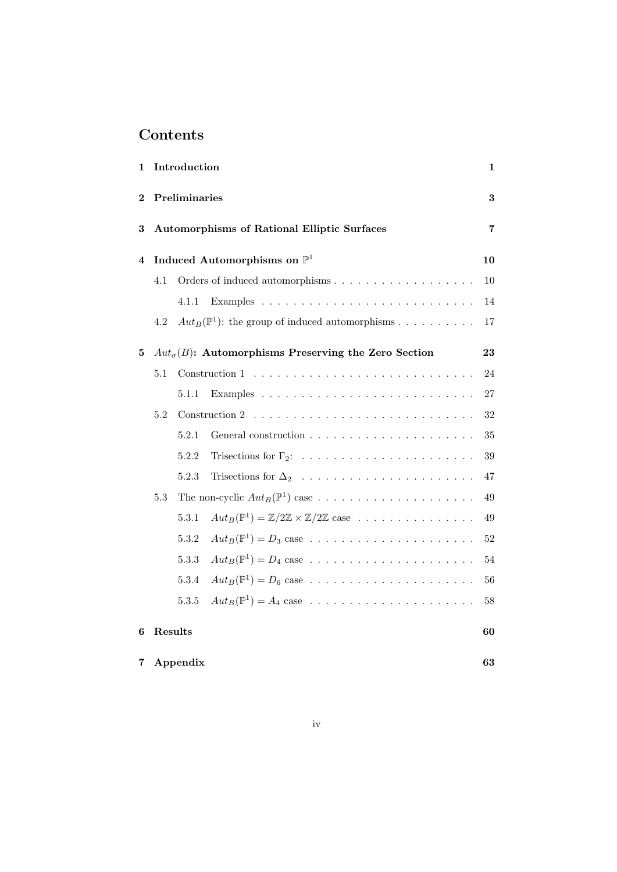## Contents

| 1                | Introduction                                       |          |                                                                                   | 1              |
|------------------|----------------------------------------------------|----------|-----------------------------------------------------------------------------------|----------------|
| $\boldsymbol{2}$ | Preliminaries                                      |          |                                                                                   | $\bf 3$        |
| 3                | <b>Automorphisms of Rational Elliptic Surfaces</b> |          |                                                                                   | $\overline{7}$ |
| 4                | Induced Automorphisms on $\mathbb{P}^1$            |          |                                                                                   |                |
|                  | 4.1                                                |          |                                                                                   | 10             |
|                  |                                                    | 4.1.1    |                                                                                   | 14             |
|                  | 4.2                                                |          | $Aut_B(\mathbb{P}^1)$ : the group of induced automorphisms                        | $17\,$         |
| 5                |                                                    |          | $Aut_{\sigma}(B)$ : Automorphisms Preserving the Zero Section                     | 23             |
|                  | 5.1                                                |          |                                                                                   | $24\,$         |
|                  |                                                    | 5.1.1    |                                                                                   | $27\,$         |
|                  | 5.2                                                |          |                                                                                   | $32\,$         |
|                  |                                                    | 5.2.1    |                                                                                   | 35             |
|                  |                                                    | 5.2.2    |                                                                                   | $39\,$         |
|                  |                                                    | 5.2.3    |                                                                                   | 47             |
|                  | $5.3\,$                                            |          | The non-cyclic $Aut_B(\mathbb{P}^1)$ case                                         | 49             |
|                  |                                                    | 5.3.1    | $Aut_B(\mathbb{P}^1) = \mathbb{Z}/2\mathbb{Z} \times \mathbb{Z}/2\mathbb{Z}$ case | 49             |
|                  |                                                    | 5.3.2    | $Aut_B(\mathbb{P}^1) = D_3$ case                                                  | $52\,$         |
|                  |                                                    | 5.3.3    | $Aut_B(\mathbb{P}^1) = D_4$ case                                                  | 54             |
|                  |                                                    | 5.3.4    |                                                                                   | 56             |
|                  |                                                    | 5.3.5    |                                                                                   | 58             |
| 6                |                                                    | Results  |                                                                                   | 60             |
| 7                |                                                    | Appendix |                                                                                   | 63             |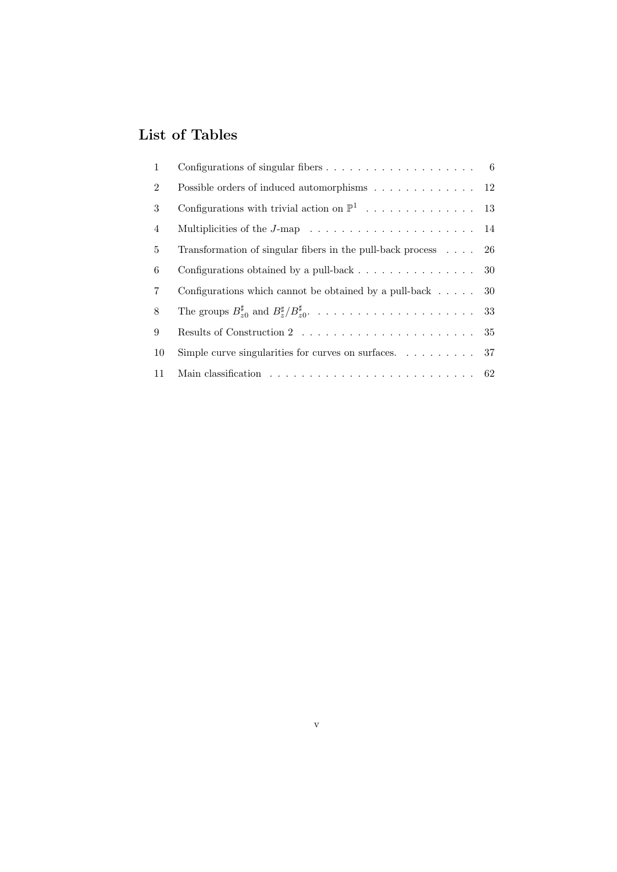# List of Tables

| 1              |                                                                                         |    |
|----------------|-----------------------------------------------------------------------------------------|----|
| $\overline{2}$ | Possible orders of induced automorphisms 12                                             |    |
| 3              |                                                                                         |    |
| 4              | Multiplicities of the $J$ -map $\ldots \ldots \ldots \ldots \ldots \ldots \ldots 14$    |    |
| 5              | Transformation of singular fibers in the pull-back process $\ldots$ 26                  |    |
| 6              | Configurations obtained by a pull-back $\ldots \ldots \ldots \ldots \ldots$ 30          |    |
| $\overline{7}$ | Configurations which cannot be obtained by a pull-back $\ldots$ .                       | 30 |
| 8              |                                                                                         |    |
| 9              |                                                                                         |    |
| 10             | Simple curve singularities for curves on surfaces. $\ldots \ldots \ldots$ 37            |    |
| 11             | Main classification $\ldots \ldots \ldots \ldots \ldots \ldots \ldots \ldots \ldots 62$ |    |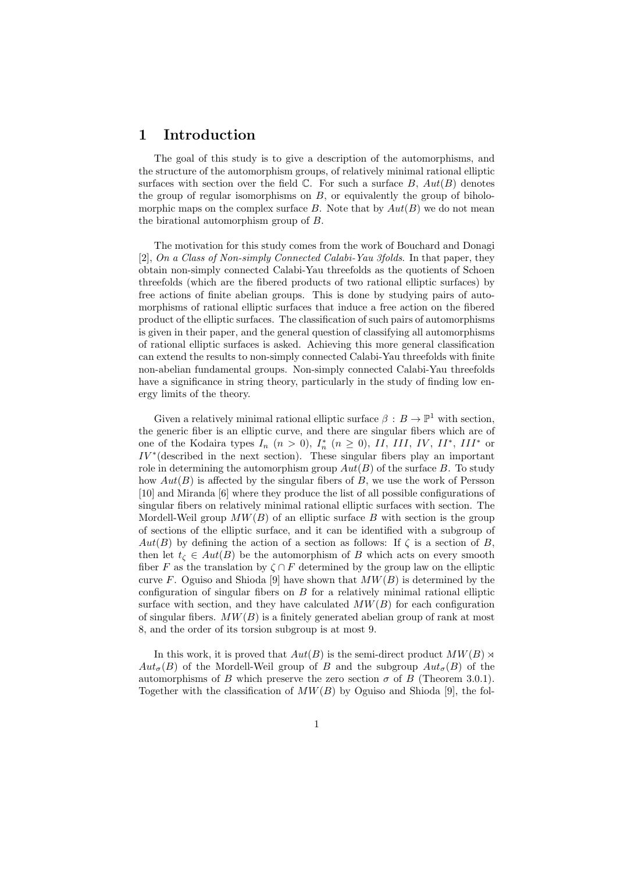## 1 Introduction

The goal of this study is to give a description of the automorphisms, and the structure of the automorphism groups, of relatively minimal rational elliptic surfaces with section over the field  $\mathbb{C}$ . For such a surface B,  $Aut(B)$  denotes the group of regular isomorphisms on  $B$ , or equivalently the group of biholomorphic maps on the complex surface B. Note that by  $Aut(B)$  we do not mean the birational automorphism group of B.

The motivation for this study comes from the work of Bouchard and Donagi [2], On a Class of Non-simply Connected Calabi-Yau 3folds. In that paper, they obtain non-simply connected Calabi-Yau threefolds as the quotients of Schoen threefolds (which are the fibered products of two rational elliptic surfaces) by free actions of finite abelian groups. This is done by studying pairs of automorphisms of rational elliptic surfaces that induce a free action on the fibered product of the elliptic surfaces. The classification of such pairs of automorphisms is given in their paper, and the general question of classifying all automorphisms of rational elliptic surfaces is asked. Achieving this more general classification can extend the results to non-simply connected Calabi-Yau threefolds with finite non-abelian fundamental groups. Non-simply connected Calabi-Yau threefolds have a significance in string theory, particularly in the study of finding low energy limits of the theory.

Given a relatively minimal rational elliptic surface  $\beta : B \to \mathbb{P}^1$  with section, the generic fiber is an elliptic curve, and there are singular fibers which are of one of the Kodaira types  $I_n$   $(n > 0)$ ,  $I_n^*$   $(n \ge 0)$ ,  $II$ ,  $III$ ,  $IV$ ,  $II^*$ ,  $III^*$  or  $IV^*$ (described in the next section). These singular fibers play an important role in determining the automorphism group  $Aut(B)$  of the surface B. To study how  $Aut(B)$  is affected by the singular fibers of  $B$ , we use the work of Persson [10] and Miranda [6] where they produce the list of all possible configurations of singular fibers on relatively minimal rational elliptic surfaces with section. The Mordell-Weil group  $MW(B)$  of an elliptic surface B with section is the group of sections of the elliptic surface, and it can be identified with a subgroup of  $Aut(B)$  by defining the action of a section as follows: If  $\zeta$  is a section of B. then let  $t_{\zeta} \in Aut(B)$  be the automorphism of B which acts on every smooth fiber F as the translation by  $\zeta \cap F$  determined by the group law on the elliptic curve F. Oguiso and Shioda [9] have shown that  $MW(B)$  is determined by the configuration of singular fibers on B for a relatively minimal rational elliptic surface with section, and they have calculated  $MW(B)$  for each configuration of singular fibers.  $MW(B)$  is a finitely generated abelian group of rank at most 8, and the order of its torsion subgroup is at most 9.

In this work, it is proved that  $Aut(B)$  is the semi-direct product  $MW(B)$  $Aut_{\sigma}(B)$  of the Mordell-Weil group of B and the subgroup  $Aut_{\sigma}(B)$  of the automorphisms of B which preserve the zero section  $\sigma$  of B (Theorem 3.0.1). Together with the classification of  $MW(B)$  by Oguiso and Shioda [9], the fol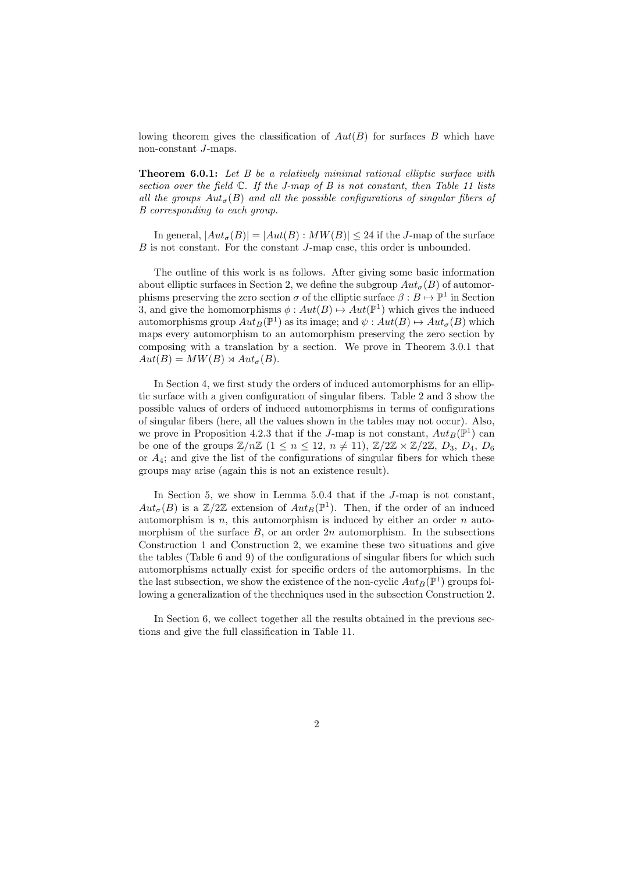lowing theorem gives the classification of  $Aut(B)$  for surfaces B which have non-constant J-maps.

Theorem 6.0.1: Let B be a relatively minimal rational elliptic surface with section over the field  $\mathbb C$ . If the J-map of B is not constant, then Table 11 lists all the groups  $Aut_{\sigma}(B)$  and all the possible configurations of singular fibers of B corresponding to each group.

In general,  $|Aut_{\sigma}(B)| = |Aut(B): MW(B)| \leq 24$  if the J-map of the surface B is not constant. For the constant J-map case, this order is unbounded.

The outline of this work is as follows. After giving some basic information about elliptic surfaces in Section 2, we define the subgroup  $Aut_{\sigma}(B)$  of automorphisms preserving the zero section  $\sigma$  of the elliptic surface  $\beta : B \mapsto \mathbb{P}^1$  in Section 3, and give the homomorphisms  $\phi: Aut(B) \mapsto Aut(\mathbb{P}^1)$  which gives the induced automorphisms group  $Aut_B(\mathbb{P}^1)$  as its image; and  $\psi : Aut(B) \mapsto Aut_{\sigma}(B)$  which maps every automorphism to an automorphism preserving the zero section by composing with a translation by a section. We prove in Theorem 3.0.1 that  $Aut(B) = MW(B) \rtimes Aut_{\sigma}(B).$ 

In Section 4, we first study the orders of induced automorphisms for an elliptic surface with a given configuration of singular fibers. Table 2 and 3 show the possible values of orders of induced automorphisms in terms of configurations of singular fibers (here, all the values shown in the tables may not occur). Also, we prove in Proposition 4.2.3 that if the J-map is not constant,  $Aut_B(\mathbb{P}^1)$  can be one of the groups  $\mathbb{Z}/n\mathbb{Z}$   $(1 \leq n \leq 12, n \neq 11), \mathbb{Z}/2\mathbb{Z} \times \mathbb{Z}/2\mathbb{Z}, D_3, D_4, D_6$ or  $A_4$ ; and give the list of the configurations of singular fibers for which these groups may arise (again this is not an existence result).

In Section 5, we show in Lemma 5.0.4 that if the J-map is not constant,  $Aut_{\sigma}(B)$  is a  $\mathbb{Z}/2\mathbb{Z}$  extension of  $Aut_B(\mathbb{P}^1)$ . Then, if the order of an induced automorphism is  $n$ , this automorphism is induced by either an order  $n$  automorphism of the surface  $B$ , or an order  $2n$  automorphism. In the subsections Construction 1 and Construction 2, we examine these two situations and give the tables (Table 6 and 9) of the configurations of singular fibers for which such automorphisms actually exist for specific orders of the automorphisms. In the the last subsection, we show the existence of the non-cyclic  $Aut_B(\mathbb{P}^1)$  groups following a generalization of the thechniques used in the subsection Construction 2.

In Section 6, we collect together all the results obtained in the previous sections and give the full classification in Table 11.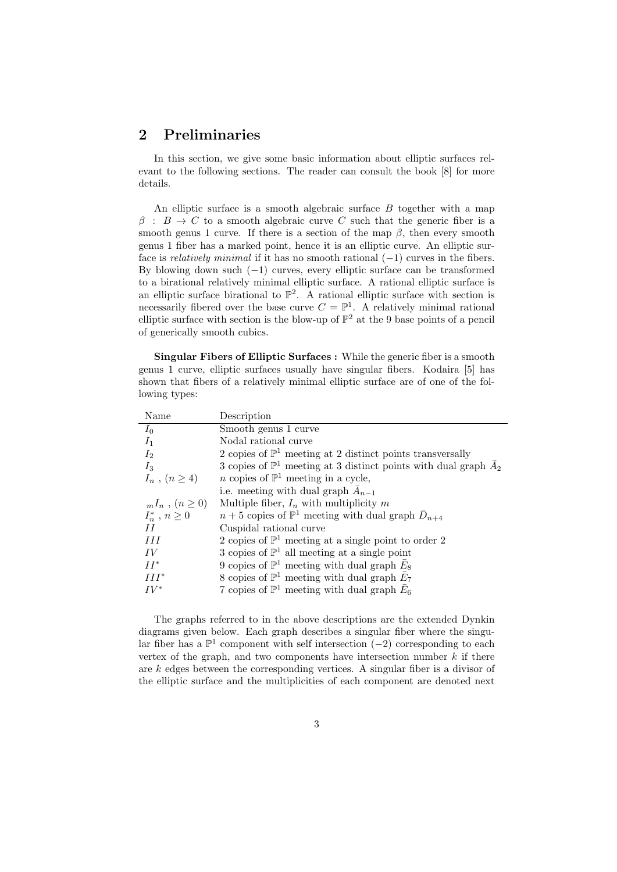## 2 Preliminaries

In this section, we give some basic information about elliptic surfaces relevant to the following sections. The reader can consult the book [8] for more details.

An elliptic surface is a smooth algebraic surface  $B$  together with a map  $\beta$ :  $B \to C$  to a smooth algebraic curve C such that the generic fiber is a smooth genus 1 curve. If there is a section of the map  $\beta$ , then every smooth genus 1 fiber has a marked point, hence it is an elliptic curve. An elliptic surface is *relatively minimal* if it has no smooth rational  $(-1)$  curves in the fibers. By blowing down such  $(-1)$  curves, every elliptic surface can be transformed to a birational relatively minimal elliptic surface. A rational elliptic surface is an elliptic surface birational to  $\mathbb{P}^2$ . A rational elliptic surface with section is necessarily fibered over the base curve  $C = \mathbb{P}^1$ . A relatively minimal rational elliptic surface with section is the blow-up of  $\mathbb{P}^2$  at the 9 base points of a pencil of generically smooth cubics.

Singular Fibers of Elliptic Surfaces : While the generic fiber is a smooth genus 1 curve, elliptic surfaces usually have singular fibers. Kodaira [5] has shown that fibers of a relatively minimal elliptic surface are of one of the following types:

| Description                                                                         |
|-------------------------------------------------------------------------------------|
| Smooth genus 1 curve                                                                |
| Nodal rational curve                                                                |
| 2 copies of $\mathbb{P}^1$ meeting at 2 distinct points transversally               |
| 3 copies of $\mathbb{P}^1$ meeting at 3 distinct points with dual graph $\bar{A}_2$ |
| <i>n</i> copies of $\mathbb{P}^1$ meeting in a cycle,                               |
| i.e. meeting with dual graph $\bar{A}_{n-1}$                                        |
| Multiple fiber, $I_n$ with multiplicity m                                           |
| $n+5$ copies of $\mathbb{P}^1$ meeting with dual graph $\bar{D}_{n+4}$              |
| Cuspidal rational curve                                                             |
| 2 copies of $\mathbb{P}^1$ meeting at a single point to order 2                     |
| 3 copies of $\mathbb{P}^1$ all meeting at a single point                            |
| 9 copies of $\mathbb{P}^1$ meeting with dual graph $\bar{E}_8$                      |
| 8 copies of $\mathbb{P}^1$ meeting with dual graph $\bar{E}_7$                      |
| 7 copies of $\mathbb{P}^1$ meeting with dual graph $E_6$                            |
|                                                                                     |

The graphs referred to in the above descriptions are the extended Dynkin diagrams given below. Each graph describes a singular fiber where the singular fiber has a  $\mathbb{P}^1$  component with self intersection (−2) corresponding to each vertex of the graph, and two components have intersection number  $k$  if there are  $k$  edges between the corresponding vertices. A singular fiber is a divisor of the elliptic surface and the multiplicities of each component are denoted next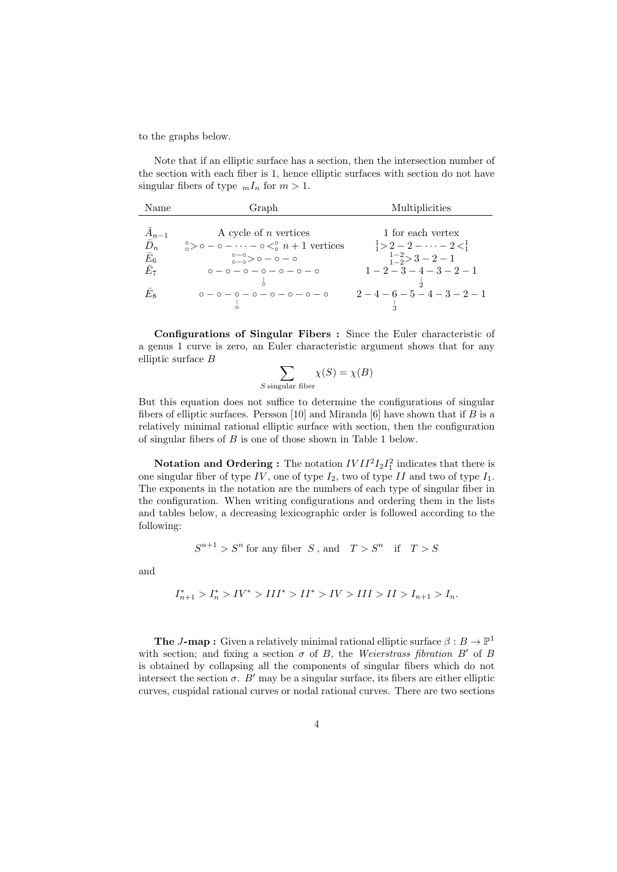to the graphs below.

Note that if an elliptic surface has a section, then the intersection number of the section with each fiber is 1, hence elliptic surfaces with section do not have singular fibers of type  $_mI_n$  for  $m>1$ .

| Name                       | Graph                                                                           | Multiplicities                                   |
|----------------------------|---------------------------------------------------------------------------------|--------------------------------------------------|
|                            |                                                                                 |                                                  |
| $A_{n-1}$                  | A cycle of $n$ vertices                                                         | 1 for each vertex                                |
| $\bar{D}_n$                | $\frac{1}{2}$ > $\circ$ - $\circ$ - $\cdots$ - $\circ$ < $\circ$ $n+1$ vertices | $\frac{1}{1} > 2 - 2 - \cdots - 2 < \frac{1}{1}$ |
| $\bar{E}_6$<br>$\bar{E}_7$ | $0-0 > 0 - 0 - 0$                                                               | $\frac{1-2}{1-2} > 3-2-1$                        |
|                            | $0 - 0 - 0 - 0 - 0 - 0$                                                         | $1-2-3-4-3-2-1$                                  |
|                            |                                                                                 |                                                  |
| $E_8\,$                    | $0 - 0 - 0 - 0 - 0 - 0 - 0$                                                     | $2-4-6-5-4-3-2-1$                                |
|                            |                                                                                 |                                                  |

Configurations of Singular Fibers : Since the Euler characteristic of a genus 1 curve is zero, an Euler characteristic argument shows that for any elliptic surface B

$$
\sum_{S \text{ singular fiber}} \chi(S) = \chi(B)
$$

But this equation does not suffice to determine the configurations of singular fibers of elliptic surfaces. Persson [10] and Miranda [6] have shown that if  $B$  is a relatively minimal rational elliptic surface with section, then the configuration of singular fibers of B is one of those shown in Table 1 below.

**Notation and Ordering :** The notation  $IVII<sup>2</sup>I<sub>2</sub>I<sub>1</sub><sup>2</sup>$  indicates that there is one singular fiber of type  $IV$ , one of type  $I_2$ , two of type  $II$  and two of type  $I_1$ . The exponents in the notation are the numbers of each type of singular fiber in the configuration. When writing configurations and ordering them in the lists and tables below, a decreasing lexicographic order is followed according to the following:

$$
S^{n+1} > S^n
$$
 for any fiber S, and  $T > S^n$  if  $T > S$ 

and

$$
I_{n+1}^* > I_n^* > IV^* > III^* > II^* > IV > III > II > I_{n+1} > I_n.
$$

**The J-map :** Given a relatively minimal rational elliptic surface  $\beta : B \to \mathbb{P}^1$ with section; and fixing a section  $\sigma$  of B, the Weierstrass fibration B' of B is obtained by collapsing all the components of singular fibers which do not intersect the section  $\sigma$ . B' may be a singular surface, its fibers are either elliptic curves, cuspidal rational curves or nodal rational curves. There are two sections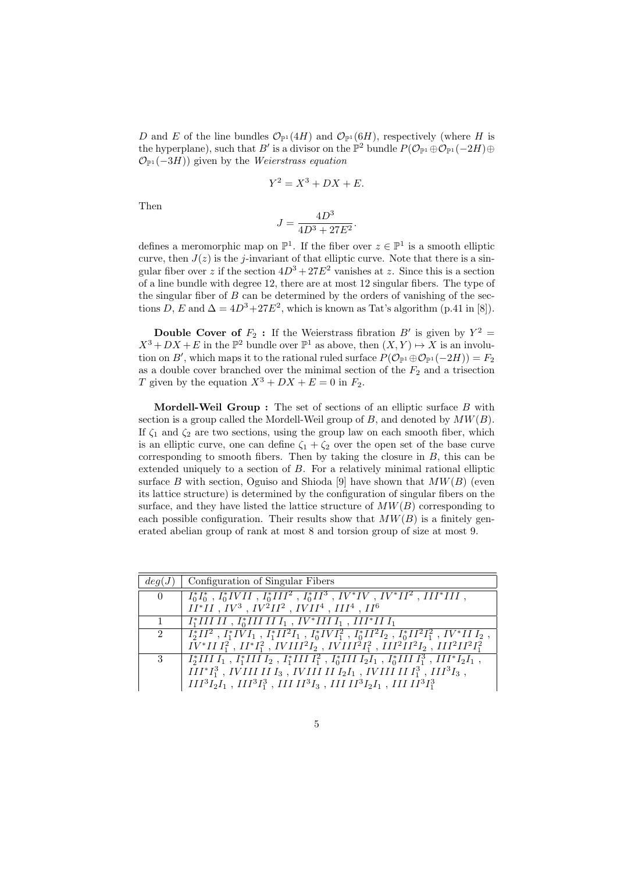D and E of the line bundles  $\mathcal{O}_{\mathbb{P}^1}(4H)$  and  $\mathcal{O}_{\mathbb{P}^1}(6H)$ , respectively (where H is the hyperplane), such that B' is a divisor on the  $\mathbb{P}^2$  bundle  $P(\mathcal{O}_{\mathbb{P}^1} \oplus \mathcal{O}_{\mathbb{P}^1}(-2H) \oplus$  $\mathcal{O}_{\mathbb{P}^1}(-3H)$  given by the Weierstrass equation

$$
Y^2 = X^3 + DX + E.
$$

Then

$$
J = \frac{4D^3}{4D^3 + 27E^2}.
$$

defines a meromorphic map on  $\mathbb{P}^1$ . If the fiber over  $z \in \mathbb{P}^1$  is a smooth elliptic curve, then  $J(z)$  is the *j*-invariant of that elliptic curve. Note that there is a singular fiber over z if the section  $4D^3 + 27E^2$  vanishes at z. Since this is a section of a line bundle with degree 12, there are at most 12 singular fibers. The type of the singular fiber of  $B$  can be determined by the orders of vanishing of the sections D, E and  $\Delta = 4D^3 + 27E^2$ , which is known as Tat's algorithm (p.41 in [8]).

**Double Cover of**  $F_2$ : If the Weierstrass fibration  $B'$  is given by  $Y^2 =$  $X^3 + DX + E$  in the  $\mathbb{P}^2$  bundle over  $\mathbb{P}^1$  as above, then  $(X, Y) \mapsto X$  is an involution on B', which maps it to the rational ruled surface  $P(\mathcal{O}_{\mathbb{P}^1} \oplus \mathcal{O}_{\mathbb{P}^1}(-2H)) = F_2$ as a double cover branched over the minimal section of the  $F_2$  and a trisection T given by the equation  $X^3 + DX + E = 0$  in  $F_2$ .

**Mordell-Weil Group :** The set of sections of an elliptic surface  $B$  with section is a group called the Mordell-Weil group of  $B$ , and denoted by  $MW(B)$ . If  $\zeta_1$  and  $\zeta_2$  are two sections, using the group law on each smooth fiber, which is an elliptic curve, one can define  $\zeta_1 + \zeta_2$  over the open set of the base curve corresponding to smooth fibers. Then by taking the closure in  $B$ , this can be extended uniquely to a section of B. For a relatively minimal rational elliptic surface B with section, Oguiso and Shioda [9] have shown that  $MW(B)$  (even its lattice structure) is determined by the configuration of singular fibers on the surface, and they have listed the lattice structure of  $MW(B)$  corresponding to each possible configuration. Their results show that  $MW(B)$  is a finitely generated abelian group of rank at most 8 and torsion group of size at most 9.

| deg(J)                        | Configuration of Singular Fibers                                                                                            |
|-------------------------------|-----------------------------------------------------------------------------------------------------------------------------|
| $\begin{matrix}0\end{matrix}$ | $\mid I_0^*I_0^*$ , $I_0^*IVII$ , $I_0^*III^2$ , $I_0^*II^3$ , $IV^*IV$ , $IV^*II^2$ , $III^*III$ ,                         |
|                               | $II^*II$ , $IV^3$ , $IV^2II^2$ , $IVII^4$ , $III^4$ , $II^6$                                                                |
| $\overline{1}$                | $\parallel I_1^* III II I_1, I_0^* III II I_1, IV^* III I_1, III^* II I_1$                                                  |
| 2                             | $\frac{1}{2}I_2^*II^2$ , $I_1^*IVI_1$ , $I_1^*II^2I_1$ , $I_0^*IVI_1^2$ , $I_0^*II^2I_2$ , $I_0^*II^2I_1^2$ , $IV^*III_2$ , |
|                               | $IV^*III_1^2$ , $II^*I_1^2$ , $IVIII^2I_2$ , $IVIII^2I_1^2$ , $III^2II^2I_2$ , $III^2II^2I_1^2$                             |
| 3                             | $I_2^*IIII_1, I_1^*IIII_2, I_1^*IIII_1^2, I_0^*IIII_2I_1, I_0^*IIII_1^3, III^*I_2I_1,$                                      |
|                               | $III^*I_1^3$ , IVIII II $I_3$ , IVIII II $I_2I_1$ , IVIII II $I_1^3$ , III $^3I_3$ ,                                        |
|                               | $III^3I_2I_1$ , $III^3I_1^3$ , $IIIII^3I_3$ , $IIIII^3I_2I_1$ , $IIIII^3I_1^3$                                              |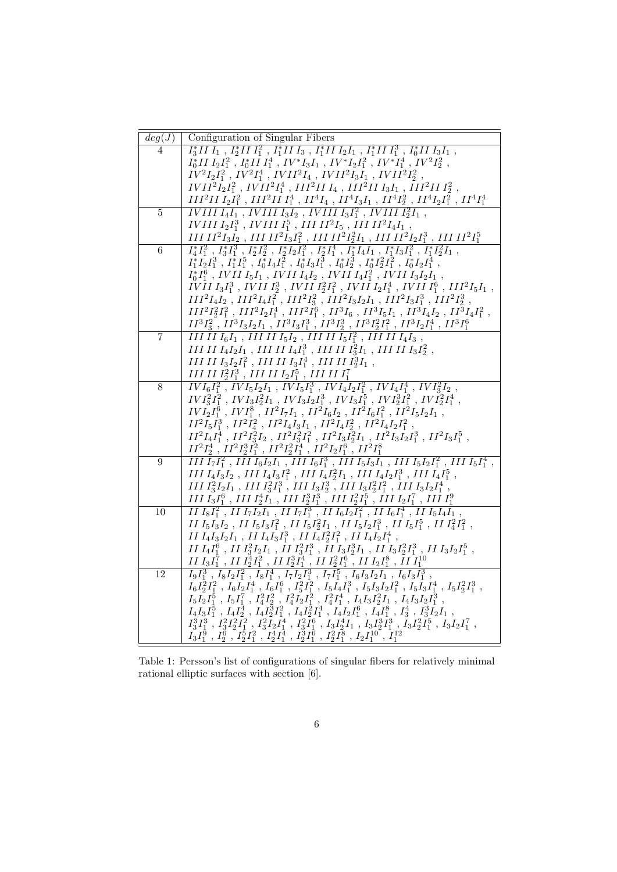| deg(J)           | Configuration of Singular Fibers                                                                                                                                                                                                                                                                                                                             |
|------------------|--------------------------------------------------------------------------------------------------------------------------------------------------------------------------------------------------------------------------------------------------------------------------------------------------------------------------------------------------------------|
| 4                | $I_3^*II I_1$ , $I_2^*II I_1^2$ , $I_1^*II I_3$ , $I_1^*II I_2I_1$ , $I_1^*II I_1^3$ , $I_0^*II I_3I_1$ ,                                                                                                                                                                                                                                                    |
|                  | $I_0^*II\,I_2I_1^2$ , $I_0^*II\,I_1^4$ , $IV^*I_3I_1$ , $IV^*I_2I_1^2$ , $IV^*I_1^4$ , $IV^2I_2^2$ ,                                                                                                                                                                                                                                                         |
|                  | $\tilde{IV}^2I_2I_1^2$ , $\tilde{IV}^2I_1^4$ , $IVII^2I_4$ , $IVII^2I_3I_1$ , $IVII^2I_2^2$ ,                                                                                                                                                                                                                                                                |
|                  | $IVII2I2I12$ , $IVII2I14$ , $III2II I4$ , $III2II I3I1$ , $III2II I22$ ,                                                                                                                                                                                                                                                                                     |
|                  | $III^2II\ I_2I_1^2$ , $III^2II\ I_1^4$ , $II^4I_4$ , $II^4I_3I_1$ , $II^4I_2^2$ , $II^4I_2I_1^2$ , $II^4I_1^4$                                                                                                                                                                                                                                               |
| $\overline{5}$   | IVIII $I_4I_1$ , IVIII $I_3I_2$ , IVIII $I_3I_1^2$ , IVIII $I_2^2I_1$ ,                                                                                                                                                                                                                                                                                      |
|                  | IVIII $I_2I_1^3$ , IVIII $I_1^5$ , III II <sup>2</sup> $I_5$ , III II <sup>2</sup> $I_4I_1$ ,                                                                                                                                                                                                                                                                |
|                  | III $II^2I_3I_2$ , III $II^2I_3I_1^2$ , III $II^2I_2^2I_1$ , III $II^2I_2I_1^3$ , III $II^2I_1^5$                                                                                                                                                                                                                                                            |
| $6\,$            | $I_4^*I_1^2$ , $I_3^*I_1^3$ , $I_2^*I_2^2$ , $I_2^*I_2I_1^2$ , $I_2^*I_1^4$ , $\tilde{I}_1^*I_4I_1$ , $I_1^*I_3I_1^2$ , $\tilde{I}_1^*I_2^2I_1$ ,                                                                                                                                                                                                            |
|                  | $I_1^*I_2I_1^3$ , $I_1^*I_1^5$ , $I_0^*I_4I_1^2$ , $I_0^*I_3I_1^3$ , $I_0^*I_2^3$ , $I_0^*I_2^2I_1^2$ , $I_0^*I_2I_1^4$ ,                                                                                                                                                                                                                                    |
|                  | $I_0^*I_1^6$ , IVII $I_5I_1$ , IVII $I_4I_2$ , IVII $I_4I_1^2$ , IVII $I_3I_2I_1$ ,                                                                                                                                                                                                                                                                          |
|                  | $IVII\,I_3I_1^3$ , $IVIII\,I_2^3$ , $IVII\,I_2^2I_1^2$ , $IVII\,I_2I_1^4$ , $IVII\,I_1^6$ , $III^2I_5I_1$ ,                                                                                                                                                                                                                                                  |
|                  | $\begin{array}{c} III^2I_4I_2 \ , \ III^2I_4I_1^2 \ , \ III^2I_3^2 \ , \ III^2I_3I_2I_1 \ , \ III^2I_3I_1^3 \ , \ III^2I_2^3 \ , \\ III^2I_2^2I_1^2 \ , \ III^2I_2I_1^4 \ , \ III^2I_1^6 \ , \ III^3I_6 \ , \ III^3I_5I_1 \ , \ III^3I_4I_2 \ , \ III^3I_4I_1^2 \ , \end{array}$                                                                             |
|                  |                                                                                                                                                                                                                                                                                                                                                              |
|                  | $II^3I_3^2$ , $II^3I_3I_2I_1$ , $II^3I_3I_1^3$ , $II^3I_2^3$ , $II^3I_2^2I_1^2$ , $II^3I_2I_1^4$ , $II^3I_1^6$                                                                                                                                                                                                                                               |
| $\overline{7}$   | III II $I_6I_1$ , III II $I_5I_2$ , III II $I_5I_1^2$ , III II $I_4I_3$ ,                                                                                                                                                                                                                                                                                    |
|                  | III II $I_4I_2I_1$ , III II $I_4I_1^3$ , III II $I_3^2I_1$ , III II $I_3I_2^2$ ,                                                                                                                                                                                                                                                                             |
|                  | III II $I_3I_2I_1^2$ , III II $I_3I_1^4$ , III II $I_2^3I_1$ ,                                                                                                                                                                                                                                                                                               |
|                  | III II $I_2^2I_1^3$ , III II $I_2I_1^5$ , III II $I_1^7$                                                                                                                                                                                                                                                                                                     |
| 8                | $\overline{IVI_6I_1^2}$ , $\overline{IVI_5I_2I_1}$ , $\overline{IVI_5I_1^3}$ , $\overline{IVI_4I_2I_1^2}$ , $\overline{IVI_4I_1^4}$ , $\overline{IVI_3^2I_2}$ ,                                                                                                                                                                                              |
|                  | $IVI_3^2I_1^2$ , $IVI_3I_2^2I_1$ , $IVI_3I_2I_1^3$ , $IVI_3I_1^5$ , $IVI_2^3I_1^2$ , $IVI_2^2I_1^4$ ,                                                                                                                                                                                                                                                        |
|                  | $IVI_2I_1^6$ , $IVI_1^8$ , $II^2I_7I_1$ , $II^2I_6I_2$ , $II^2I_6I_1^2$ , $II^2I_5I_2I_1$ ,                                                                                                                                                                                                                                                                  |
|                  | $II^2I_5I_1^3$ , $II^2I_4^2$ , $II^2I_4I_3I_1$ , $II^2I_4I_2^2$ , $II^2I_4I_2I_1^2$ ,                                                                                                                                                                                                                                                                        |
|                  | $II^2I_4I_1^{\bar{4}}\;,\; II^2I_3^{\bar{2}}I_2\;,\; II^2I_3^{\bar{2}}I_1^2\;,\; II^2I_3I_2^{\bar{2}}I_1\;,\; II^2I_3I_2I_1^3\;,\; II^2I_3I_1^5\;,\;$                                                                                                                                                                                                        |
|                  | $II^2I_2^4$ , $II^2I_2^3I_1^2$ , $II^2I_2^2I_1^4$ , $II^2I_2I_1^6$ , $II^2I_1^8$                                                                                                                                                                                                                                                                             |
| $\boldsymbol{9}$ | III $I_7I_1^2$ , III $I_6I_2I_1$ , III $I_6I_1^3$ , III $I_5I_3I_1$ , III $I_5I_2I_1^2$ , III $I_5I_1^4$ ,                                                                                                                                                                                                                                                   |
|                  | $III I_4I_3I_2$ , $III I_4I_3I_1^2$ , $III I_4I_2^2I_1$ , $III I_4I_2I_1^3$ , $III I_4I_1^5$ ,                                                                                                                                                                                                                                                               |
|                  | $III \, I_3^2 I_2 I_1$ , $III \, I_3^2 I_1^3$ , $III \, I_3 I_2^3$ , $III \, I_3 I_2^2 I_1^2$ , $III \, I_3 I_2 I_1^4$ ,                                                                                                                                                                                                                                     |
| 10               | $III\,I_3I_1^6$ , $III\,I_2^4I_1$ , $III\,I_2^3I_1^3$ , $III\,I_2^2I_1^5$ , $III\,I_2I_1^7$ , $III\,I_1^9$<br>$\overline{II}\ \overline{I_8I_1^2}$ , $\overline{II}\ \overline{I_7I_2I_1}$ , $\overline{II}\ \overline{I_7I_1^3}$ , $\overline{II}\ \overline{I_6I_2I_1^2}$ , $\overline{II}\ \overline{I_6I_1^4}$ , $\overline{II}\ \overline{I_5I_4I_1}$ , |
|                  | II $I_5I_3I_2$ , II $I_5I_3I_1^2$ , II $I_5I_2^2I_1$ , II $I_5I_2I_1^3$ , II $I_5I_1^5$ , II $I_4^2I_1^2$ ,                                                                                                                                                                                                                                                  |
|                  | $II\,I_4I_3I_2I_1$ , $II\,I_4I_3I_1^3$ , $II\,I_4I_2^2I_1^2$ , $II\,I_4I_2I_1^4$ ,                                                                                                                                                                                                                                                                           |
|                  | $II I_4I_1^6$ , $II I_3^2I_2I_1$ , $II I_3^2I_1^3$ , $II I_3I_2^3I_1$ , $II I_3I_2^2I_1^3$ , $II I_3I_2I_1^5$ ,                                                                                                                                                                                                                                              |
|                  |                                                                                                                                                                                                                                                                                                                                                              |
| 12               | $\frac{II\ I_3I_1^7\ ,\ II\ I_2^4I_1^2\ ,\ II\ I_2^3I_1^4\ ,\ II\ I_2^2I_1^6\ ,\ III\ I_2I_1^8\ ,\ III\ I_1^{10}\ I_9I_1^3\ ,\ I_8I_2I_1^2\ ,\ I_8I_1^4\ ,\ I_7I_2I_1^3\ ,\ I_7I_1^5\ ,\ I_6I_3I_2I_1\ ,\ I_6I_3I_1^3\ ,}$                                                                                                                                   |
|                  | $I_6I_2^2I_1^2$ , $I_6I_2I_1^4$ , $I_6I_1^6$ , $I_5^2I_1^2$ , $I_5I_4I_1^3$ , $I_5I_3I_2I_1^2$ , $I_5I_3I_1^4$ , $I_5I_2^2I_1^3$ ,                                                                                                                                                                                                                           |
|                  | $I_5I_2I_1^5 \ , \ I_5I_1^7 \ , \ I_4^2I_2^2 \ , \ I_4^2I_2I_1^2 \ , \ I_4^2I_1^4 \ , \ I_4I_3I_2^2I_1 \ , \ I_4I_3I_2I_1^3 \ ,$                                                                                                                                                                                                                             |
|                  | $I_4I_3I_1^5$ , $I_4I_2^4$ , $I_4I_2^3I_1^2$ , $I_4I_2^2I_1^4$ , $I_4I_2I_1^6$ , $I_4I_{1}^8$ , $I_3^4$ , $I_3^3I_2I_1$ ,                                                                                                                                                                                                                                    |
|                  |                                                                                                                                                                                                                                                                                                                                                              |
|                  | $\begin{array}{c} I_3^3I_1^3 \ \bar{,} \ I_3^2I_2^2\bar{I}_1^2 \ \bar{,} \ I_3^2\bar{I}_2\bar{I}_1^4 \ \bar{,} \ I_3^2\bar{I}_1^6 \ \bar{,} \ I_3I_2^4I_1 \ \bar{,} \ I_3I_2^3\bar{I}_1^3 \ \bar{,} \ \bar{I}_3I_2^2\bar{I}_1^5 \ \bar{,} \ I_3I_2I_1^7 \ \bar{,} \\ I_3I_1^0 \ \bar{,} \ I_2^6 \ \bar{,} \ I_2^5I_1^2 \ \bar$                               |
|                  |                                                                                                                                                                                                                                                                                                                                                              |

Table 1: Persson's list of configurations of singular fibers for relatively minimal rational elliptic surfaces with section [6].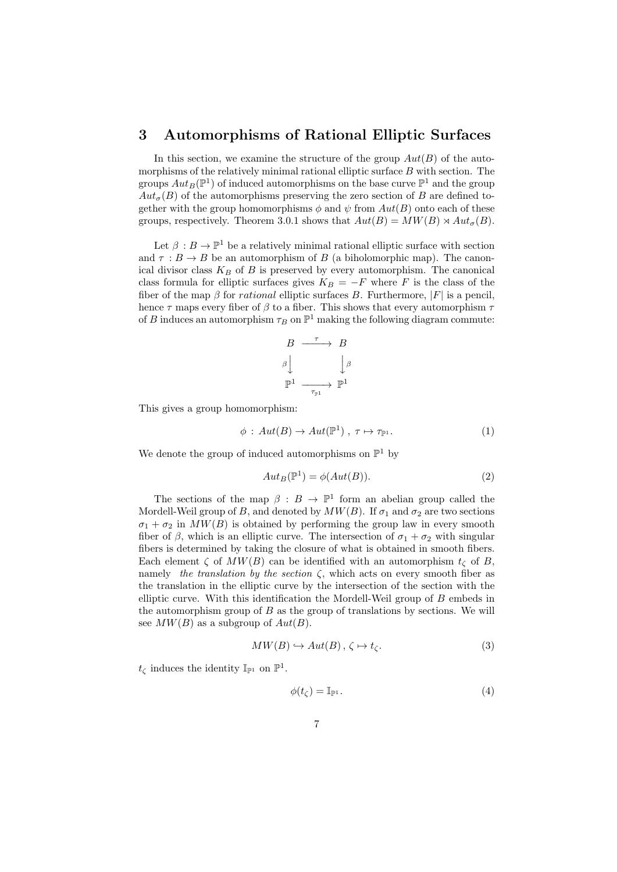### 3 Automorphisms of Rational Elliptic Surfaces

In this section, we examine the structure of the group  $Aut(B)$  of the automorphisms of the relatively minimal rational elliptic surface B with section. The groups  $Aut_B(\mathbb{P}^1)$  of induced automorphisms on the base curve  $\mathbb{P}^1$  and the group  $Aut_{\sigma}(B)$  of the automorphisms preserving the zero section of B are defined together with the group homomorphisms  $\phi$  and  $\psi$  from  $Aut(B)$  onto each of these groups, respectively. Theorem 3.0.1 shows that  $Aut(B) = MW(B) \rtimes Aut_{\sigma}(B)$ .

Let  $\beta : B \to \mathbb{P}^1$  be a relatively minimal rational elliptic surface with section and  $\tau : B \to B$  be an automorphism of B (a biholomorphic map). The canonical divisor class  $K_B$  of B is preserved by every automorphism. The canonical class formula for elliptic surfaces gives  $K_B = -F$  where F is the class of the fiber of the map  $\beta$  for *rational* elliptic surfaces B. Furthermore,  $|F|$  is a pencil, hence  $\tau$  maps every fiber of  $\beta$  to a fiber. This shows that every automorphism  $\tau$ of B induces an automorphism  $\tau_B$  on  $\mathbb{P}^1$  making the following diagram commute:

$$
\begin{array}{ccc}\nB & \xrightarrow{\tau} & B \\
\beta & & \downarrow{\beta} \\
\mathbb{P}^1 & \xrightarrow{\tau_{\mathbb{P}^1}} & \mathbb{P}^1\n\end{array}
$$

This gives a group homomorphism:

$$
\phi: Aut(B) \to Aut(\mathbb{P}^1), \tau \mapsto \tau_{\mathbb{P}^1}.
$$
 (1)

We denote the group of induced automorphisms on  $\mathbb{P}^1$  by

$$
Aut_B(\mathbb{P}^1) = \phi(Aut(B)).
$$
\n(2)

The sections of the map  $\beta : B \to \mathbb{P}^1$  form an abelian group called the Mordell-Weil group of B, and denoted by  $MW(B)$ . If  $\sigma_1$  and  $\sigma_2$  are two sections  $\sigma_1 + \sigma_2$  in  $MW(B)$  is obtained by performing the group law in every smooth fiber of  $\beta$ , which is an elliptic curve. The intersection of  $\sigma_1 + \sigma_2$  with singular fibers is determined by taking the closure of what is obtained in smooth fibers. Each element  $\zeta$  of  $MW(B)$  can be identified with an automorphism  $t_{\zeta}$  of B, namely the translation by the section  $\zeta$ , which acts on every smooth fiber as the translation in the elliptic curve by the intersection of the section with the elliptic curve. With this identification the Mordell-Weil group of B embeds in the automorphism group of  $B$  as the group of translations by sections. We will see  $MW(B)$  as a subgroup of  $Aut(B)$ .

$$
MW(B) \hookrightarrow Aut(B), \zeta \mapsto t_{\zeta}.
$$
 (3)

 $t_{\zeta}$  induces the identity  $\mathbb{I}_{\mathbb{P}^1}$  on  $\mathbb{P}^1$ .

$$
\phi(t_{\zeta}) = \mathbb{I}_{\mathbb{P}^1}.\tag{4}
$$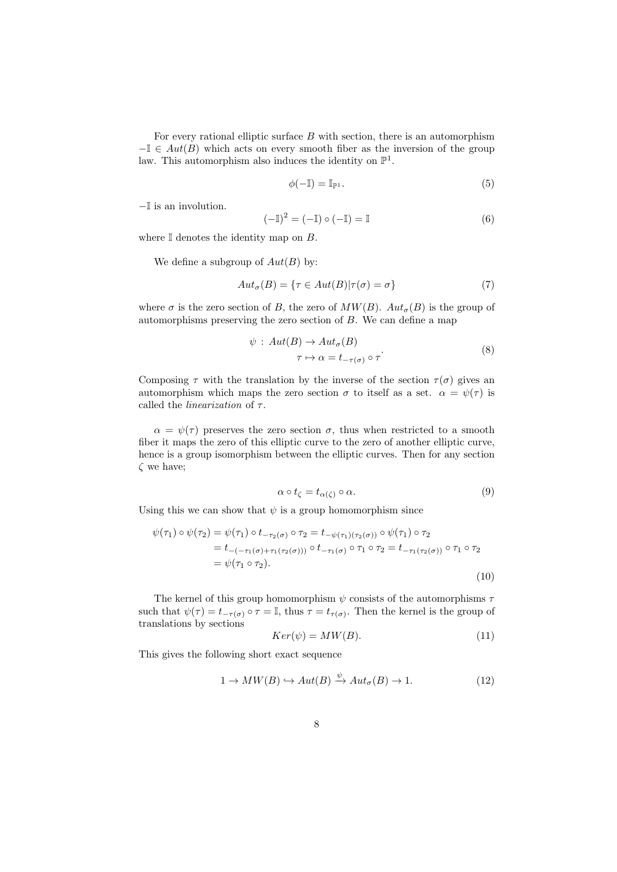For every rational elliptic surface  $B$  with section, there is an automorphism  $-\mathbb{I} \in Aut(B)$  which acts on every smooth fiber as the inversion of the group law. This automorphism also induces the identity on  $\mathbb{P}^1$ .

$$
\phi(-\mathbb{I}) = \mathbb{I}_{\mathbb{P}^1}.\tag{5}
$$

−I is an involution.

$$
(-\mathbb{I})^2 = (-\mathbb{I}) \circ (-\mathbb{I}) = \mathbb{I}
$$
 (6)

where  $\mathbb I$  denotes the identity map on  $B$ .

We define a subgroup of  $Aut(B)$  by:

$$
Aut_{\sigma}(B) = \{ \tau \in Aut(B) | \tau(\sigma) = \sigma \}
$$
\n<sup>(7)</sup>

where  $\sigma$  is the zero section of B, the zero of  $MW(B)$ .  $Aut_{\sigma}(B)$  is the group of automorphisms preserving the zero section of B. We can define a map

$$
\psi : Aut(B) \to Aut_{\sigma}(B)
$$
  

$$
\tau \mapsto \alpha = t_{-\tau(\sigma)} \circ \tau
$$
 (8)

Composing  $\tau$  with the translation by the inverse of the section  $\tau(\sigma)$  gives an automorphism which maps the zero section  $\sigma$  to itself as a set.  $\alpha = \psi(\tau)$  is called the *linearization* of  $\tau$ .

 $\alpha = \psi(\tau)$  preserves the zero section  $\sigma$ , thus when restricted to a smooth fiber it maps the zero of this elliptic curve to the zero of another elliptic curve, hence is a group isomorphism between the elliptic curves. Then for any section  $\zeta$  we have;

$$
\alpha \circ t_{\zeta} = t_{\alpha(\zeta)} \circ \alpha. \tag{9}
$$

Using this we can show that  $\psi$  is a group homomorphism since

$$
\psi(\tau_1) \circ \psi(\tau_2) = \psi(\tau_1) \circ t_{-\tau_2(\sigma)} \circ \tau_2 = t_{-\psi(\tau_1)(\tau_2(\sigma))} \circ \psi(\tau_1) \circ \tau_2
$$
  
=  $t_{-(-\tau_1(\sigma) + \tau_1(\tau_2(\sigma)))} \circ t_{-\tau_1(\sigma)} \circ \tau_1 \circ \tau_2 = t_{-\tau_1(\tau_2(\sigma))} \circ \tau_1 \circ \tau_2$   
=  $\psi(\tau_1 \circ \tau_2).$  (10)

The kernel of this group homomorphism  $\psi$  consists of the automorphisms  $\tau$ such that  $\psi(\tau) = t_{-\tau(\sigma)} \circ \tau = \mathbb{I}$ , thus  $\tau = t_{\tau(\sigma)}$ . Then the kernel is the group of translations by sections

$$
Ker(\psi) = MW(B). \tag{11}
$$

This gives the following short exact sequence

$$
1 \to MW(B) \hookrightarrow Aut(B) \xrightarrow{\psi} Aut_{\sigma}(B) \to 1. \tag{12}
$$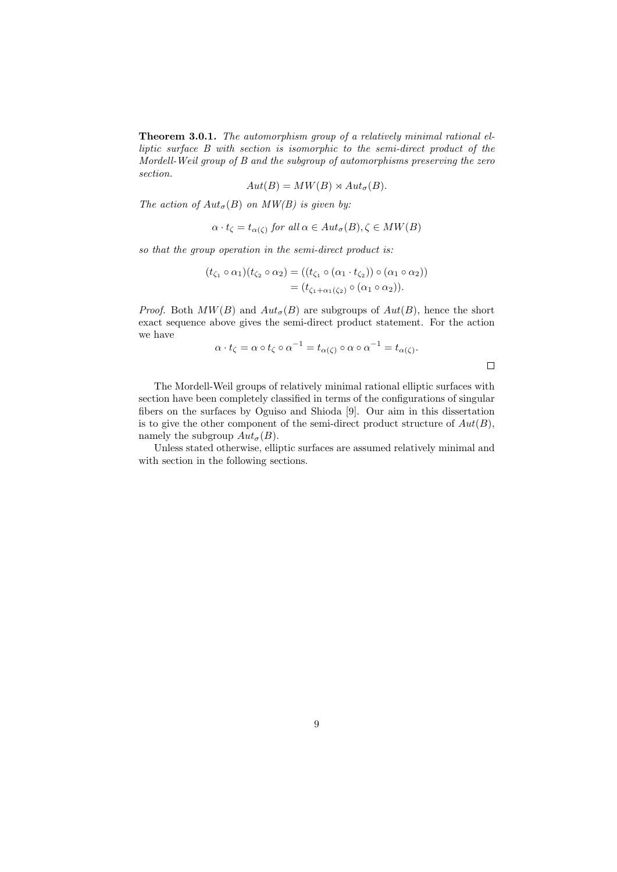Theorem 3.0.1. The automorphism group of a relatively minimal rational elliptic surface B with section is isomorphic to the semi-direct product of the Mordell-Weil group of B and the subgroup of automorphisms preserving the zero section.

$$
Aut(B) = MW(B) \rtimes Aut_{\sigma}(B).
$$

The action of  $Aut_{\sigma}(B)$  on  $MW(B)$  is given by:

$$
\alpha \cdot t_{\zeta} = t_{\alpha(\zeta)} \text{ for all } \alpha \in Aut_{\sigma}(B), \zeta \in MW(B)
$$

so that the group operation in the semi-direct product is:

$$
(t_{\zeta_1} \circ \alpha_1)(t_{\zeta_2} \circ \alpha_2) = ((t_{\zeta_1} \circ (\alpha_1 \cdot t_{\zeta_2})) \circ (\alpha_1 \circ \alpha_2))
$$
  
=  $(t_{\zeta_1 + \alpha_1(\zeta_2)} \circ (\alpha_1 \circ \alpha_2)).$ 

*Proof.* Both  $MW(B)$  and  $Aut_{\sigma}(B)$  are subgroups of  $Aut(B)$ , hence the short exact sequence above gives the semi-direct product statement. For the action we have

$$
\alpha \cdot t_{\zeta} = \alpha \circ t_{\zeta} \circ \alpha^{-1} = t_{\alpha(\zeta)} \circ \alpha \circ \alpha^{-1} = t_{\alpha(\zeta)}.
$$

 $\Box$ 

The Mordell-Weil groups of relatively minimal rational elliptic surfaces with section have been completely classified in terms of the configurations of singular fibers on the surfaces by Oguiso and Shioda [9]. Our aim in this dissertation is to give the other component of the semi-direct product structure of  $Aut(B)$ , namely the subgroup  $Aut_{\sigma}(B)$ .

Unless stated otherwise, elliptic surfaces are assumed relatively minimal and with section in the following sections.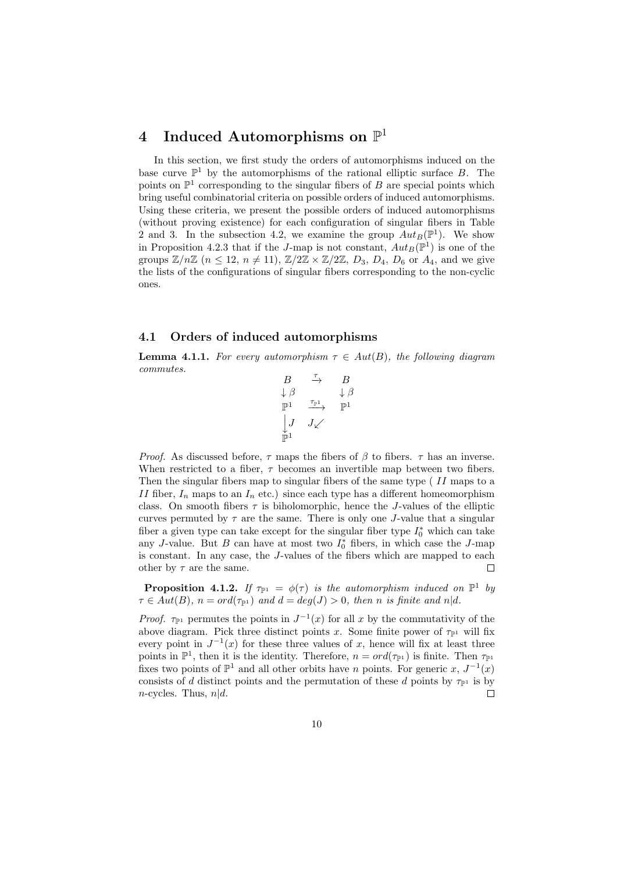## 4 Induced Automorphisms on  $\mathbb{P}^1$

In this section, we first study the orders of automorphisms induced on the base curve  $\mathbb{P}^1$  by the automorphisms of the rational elliptic surface B. The points on  $\mathbb{P}^1$  corresponding to the singular fibers of B are special points which bring useful combinatorial criteria on possible orders of induced automorphisms. Using these criteria, we present the possible orders of induced automorphisms (without proving existence) for each configuration of singular fibers in Table 2 and 3. In the subsection 4.2, we examine the group  $Aut_B(\mathbb{P}^1)$ . We show in Proposition 4.2.3 that if the J-map is not constant,  $Aut_B(\mathbb{P}^1)$  is one of the groups  $\mathbb{Z}/n\mathbb{Z}$   $(n \leq 12, n \neq 11), \mathbb{Z}/2\mathbb{Z} \times \mathbb{Z}/2\mathbb{Z}, D_3, D_4, D_6$  or  $A_4$ , and we give the lists of the configurations of singular fibers corresponding to the non-cyclic ones.

#### 4.1 Orders of induced automorphisms

**Lemma 4.1.1.** For every automorphism  $\tau \in Aut(B)$ , the following diagram commutes.

$$
\begin{array}{ccc}\nB & \xrightarrow{\tau} & B \\
\downarrow{\beta} & & \downarrow{\beta} \\
\mathbb{P}^1 & \xrightarrow{\tau_{\mathbb{P}^1}} & \mathbb{P}^1 \\
\downarrow{J} & J\swarrow \\
\mathbb{P}^1\n\end{array}
$$

*Proof.* As discussed before,  $\tau$  maps the fibers of  $\beta$  to fibers.  $\tau$  has an inverse. When restricted to a fiber,  $\tau$  becomes an invertible map between two fibers. Then the singular fibers map to singular fibers of the same type (II maps to a II fiber,  $I_n$  maps to an  $I_n$  etc.) since each type has a different homeomorphism class. On smooth fibers  $\tau$  is biholomorphic, hence the J-values of the elliptic curves permuted by  $\tau$  are the same. There is only one J-value that a singular fiber a given type can take except for the singular fiber type  $I_0^*$  which can take any J-value. But B can have at most two  $I_0^*$  fibers, in which case the J-map is constant. In any case, the J-values of the fibers which are mapped to each other by  $\tau$  are the same.  $\Box$ 

**Proposition 4.1.2.** If  $\tau_{\mathbb{P}^1} = \phi(\tau)$  is the automorphism induced on  $\mathbb{P}^1$  by  $\tau \in Aut(B), n = ord(\tau_{\mathbb{P}^1})$  and  $d = deg(J) > 0$ , then n is finite and n|d.

Proof.  $\tau_{\mathbb{P}^1}$  permutes the points in  $J^{-1}(x)$  for all x by the commutativity of the above diagram. Pick three distinct points x. Some finite power of  $\tau_{\mathbb{P}^1}$  will fix every point in  $J^{-1}(x)$  for these three values of x, hence will fix at least three points in  $\mathbb{P}^1$ , then it is the identity. Therefore,  $n = ord(\tau_{\mathbb{P}^1})$  is finite. Then  $\tau_{\mathbb{P}^1}$ fixes two points of  $\mathbb{P}^1$  and all other orbits have *n* points. For generic x,  $J^{-1}(x)$ consists of d distinct points and the permutation of these d points by  $\tau_{\mathbb{P}^1}$  is by *n*-cycles. Thus,  $n|d$ .  $\Box$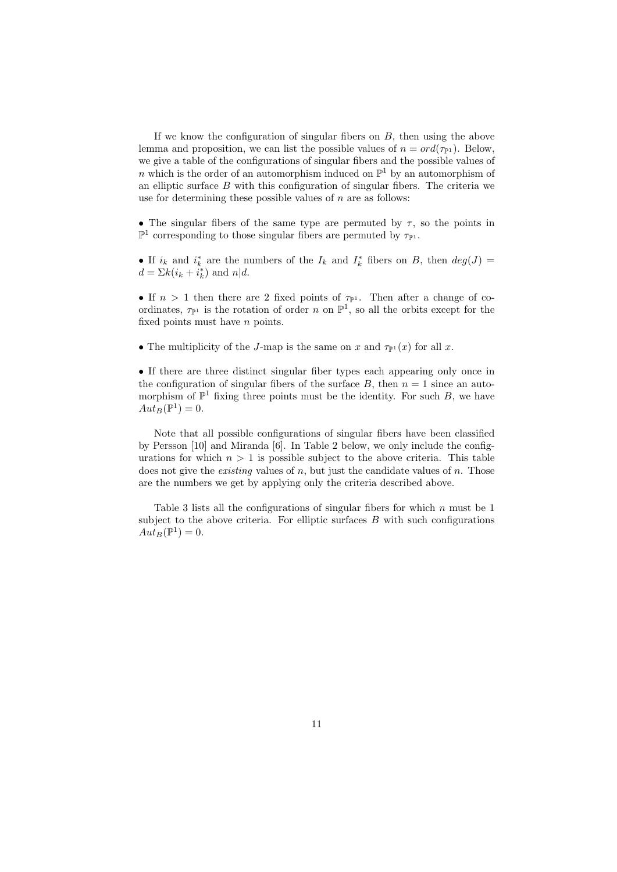If we know the configuration of singular fibers on  $B$ , then using the above lemma and proposition, we can list the possible values of  $n = ord(\tau_{\mathbb{P}^1})$ . Below, we give a table of the configurations of singular fibers and the possible values of n which is the order of an automorphism induced on  $\mathbb{P}^1$  by an automorphism of an elliptic surface B with this configuration of singular fibers. The criteria we use for determining these possible values of  $n$  are as follows:

• The singular fibers of the same type are permuted by  $\tau$ , so the points in  $\mathbb{P}^1$  corresponding to those singular fibers are permuted by  $\tau_{\mathbb{P}^1}$ .

• If  $i_k$  and  $i_k^*$  are the numbers of the  $I_k$  and  $I_k^*$  fibers on B, then  $deg(J)$  =  $d = \sum k(i_k + i_k^*)$  and  $n|d$ .

• If  $n > 1$  then there are 2 fixed points of  $\tau_{\mathbb{P}^1}$ . Then after a change of coordinates,  $\tau_{\mathbb{P}^1}$  is the rotation of order n on  $\mathbb{P}^1$ , so all the orbits except for the fixed points must have n points.

• The multiplicity of the J-map is the same on x and  $\tau_{\mathbb{P}^1}(x)$  for all x.

• If there are three distinct singular fiber types each appearing only once in the configuration of singular fibers of the surface  $B$ , then  $n = 1$  since an automorphism of  $\mathbb{P}^1$  fixing three points must be the identity. For such B, we have  $Aut_B(\mathbb{P}^1) = 0.$ 

Note that all possible configurations of singular fibers have been classified by Persson [10] and Miranda [6]. In Table 2 below, we only include the configurations for which  $n > 1$  is possible subject to the above criteria. This table does not give the *existing* values of  $n$ , but just the candidate values of  $n$ . Those are the numbers we get by applying only the criteria described above.

Table 3 lists all the configurations of singular fibers for which  $n$  must be 1 subject to the above criteria. For elliptic surfaces  $B$  with such configurations  $Aut_B(\mathbb{P}^1) = 0.$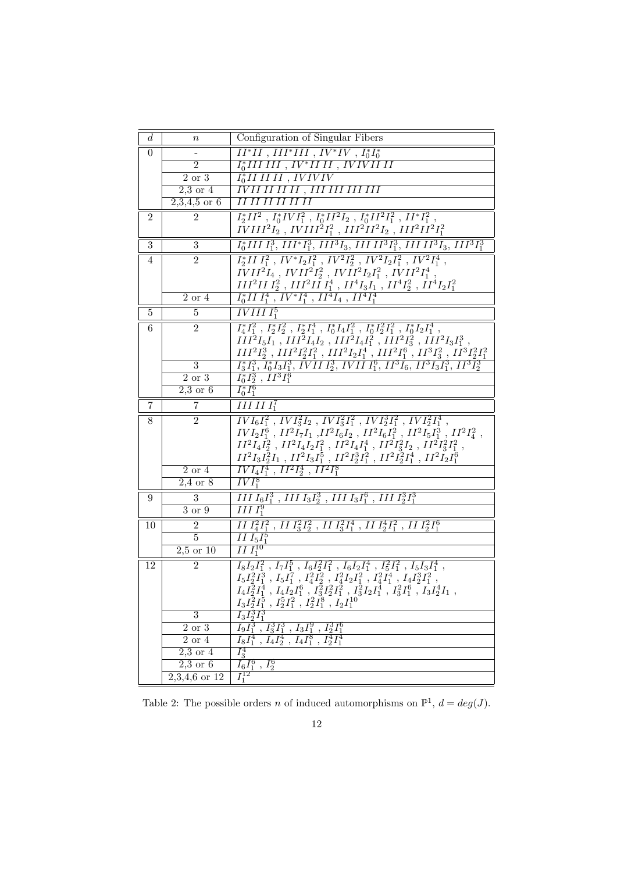| $\boldsymbol{d}$ | $\it n$                      | Configuration of Singular Fibers                                                                                                                                                                         |
|------------------|------------------------------|----------------------------------------------------------------------------------------------------------------------------------------------------------------------------------------------------------|
| $\theta$         |                              | $II^*II$ , $III^*III$ , $IV^*IV$ , $I_0^*I_0^*$                                                                                                                                                          |
|                  | $\overline{2}$               | $\overline{I_0^* III\ III}$ , $IV^* III\ II$ , $IVIVIII\ II$                                                                                                                                             |
|                  | 2 or 3                       | $I_0^*III$ $II$ $II$ $IVIVIV$                                                                                                                                                                            |
|                  | $2,3$ or $4$                 | <u>IVII II II II , III III III III</u>                                                                                                                                                                   |
|                  | $2,3,4,5$ or 6               | IIIIIIIIIII                                                                                                                                                                                              |
| $\overline{2}$   | $\overline{2}$               | $I_2^*II^2$ , $I_0^*IVI_1^2$ , $I_0^*II^2I_2$ , $I_0^*II^2I_1^2$ , $II^*I_1^2$ ,                                                                                                                         |
|                  |                              | $\overline{IVIII^2I_2}$ , $\overline{IVIII^2I_1^2}$ , $III^2II^2I_2$ , $III^2II^2I_1^2$                                                                                                                  |
| 3                | 3                            | $I_0^*III$ $I_1^3$ , $III^*I_1^3$ , $III^3I_3$ , $III$ $II^3I_1^3$ , $III$ $II^3I_3$ , $III^3I_1^3$                                                                                                      |
| 4                | $\overline{2}$               | $I_2^*II I_1^2$ , $IV^*I_2I_1^2$ , $IV^2I_2^2$ , $IV^2I_2I_1^2$ , $IV^2I_1^4$ ,                                                                                                                          |
|                  |                              | $IVII^2I_4$ , $IVII^2I_2^2$ , $IVII^2I_2I_1^2$ , $IVII^2I_1^4$ ,                                                                                                                                         |
|                  |                              | $III^2III_2^2$ , $III^2III_1^4$ , $II^4I_3I_1$ , $II^4I_2^2$ , $II^4I_2I_1^2$                                                                                                                            |
|                  | $2$ or $4$                   | $I_0^*III_1^4$ , $IV^*I_1^4$ , $II^4I_4$ , $II^4I_1^4$                                                                                                                                                   |
| 5                | 5                            | $IVIIII_1^5$                                                                                                                                                                                             |
| 6                | $\overline{2}$               | $I_4^*I_1^2$ , $I_2^*I_2^2$ , $I_2^*I_1^4$ , $I_0^*I_4I_1^2$ , $I_0^*I_2^2I_1^2$ , $I_0^*I_2I_1^4$ ,                                                                                                     |
|                  |                              | $III^2I_5I_1$ , $III^2I_4I_2$ , $III^2I_4I_1^2$ , $III^2I_3^2$ , $III^2I_3I_1^3$ ,                                                                                                                       |
|                  |                              | $III^2I_2^3$ , $III^2I_2^2I_1^2$ , $III^2I_2I_1^4$ , $III^2I_1^6$ , $II^3I_3^2$ , $II^3I_2^2I_1^2$                                                                                                       |
|                  | $\overline{3}$               | $I_3^*I_1^3$ , $I_0^*I_3I_1^3$ , IVII $I_2^3$ , IVII $I_1^6$ , II <sup>3</sup> $I_6$ , II <sup>3</sup> $I_3I_1^3$ , II <sup>3</sup> $I_2^3$                                                              |
|                  | $\overline{2 \text{ or } 3}$ | $I_0^* \bar{I}_2^3$ , $II^3 \bar{I}_1^6$                                                                                                                                                                 |
|                  | $2,3$ or 6                   | $I_0^* I_1^6$                                                                                                                                                                                            |
| 7                | $\overline{7}$               | $\overline{IIIIII_1^7}$                                                                                                                                                                                  |
| 8                | $\overline{2}$               | $\frac{IVI_6I_1^2}{IVI_6I_1^2}$ , $\frac{IVI_3^2I_2}{IVI_3^2I_1^2}$ , $\frac{IVI_2^3I_1^2}{IVI_2^2I_1^4}$ ,                                                                                              |
|                  |                              | $IVI_2I_1^6$ , $II^2I_7I_1$ , $II^2I_6I_2$ , $II^2I_6I_1^2$ , $II^2I_5I_1^3$ , $II^2I_4^2$ ,                                                                                                             |
|                  |                              | $II^2I_4I_2^2$ , $II^2I_4I_2I_1^2$ , $II^2I_4I_1^4$ , $II^2I_3^2I_2$ , $II^2I_3^2I_1^2$ ,                                                                                                                |
|                  |                              | $II^2I_3I_2^2I_1$ , $II^2I_3I_1^5$ , $II^2I_2^3I_1^2$ , $II^2I_2^2I_1^4$ , $II^2I_2I_1^6$                                                                                                                |
|                  | $2$ or $4$<br>$2,4$ or $8$   | $\overline{IVI_4I_1^4$ , $II^2I_2^4$ , $II^2I_1^8$<br>$\overline{IVI_1^8}$                                                                                                                               |
|                  |                              |                                                                                                                                                                                                          |
| 9                | $\overline{3}$               | $\overline{III}\ I_6 I_1^3$ , $\overline{III}\ I_3 I_2^3$ , $\overline{III}\ I_3 I_1^6$ , $\overline{III}\ I_2^3 I_1^3$<br>$IIII_1^9$                                                                    |
|                  | $3$ or $9$                   |                                                                                                                                                                                                          |
| 10               | $\overline{2}$               | $\frac{1}{2}I_1^2I_1^2$ , $\frac{1}{3}I_2^2$ , $\frac{1}{3}I_1^2I_1^4$ , $\frac{1}{2}I_1^4I_2^2$ , $\frac{1}{2}I_1^2I_1^6$                                                                               |
|                  | $\overline{5}$               | $\overline{II}\,I_5I_1^5$<br>$\overline{II}I_1^{10}$                                                                                                                                                     |
|                  | $2,5$ or $10$                |                                                                                                                                                                                                          |
| 12               | $\overline{2}$               | $I_8I_2I_1^2$ , $I_7I_1^5$ , $I_6I_2^2I_1^2$ , $I_6I_2I_1^4$ , $I_5^2I_1^2$ , $I_5I_3I_1^4$ ,                                                                                                            |
|                  |                              | $I_5I_2^2I_1^3$ , $I_5I_1^7$ , $I_4^2I_2^2$ , $I_4^2I_2I_1^2$ , $I_4^2I_1^4$ , $I_4I_2^3I_1^2$<br>$I_4I_2^2I_1^4$ , $I_4I_2I_1^6$ , $I_3^2I_2^2I_1^2$ , $I_3^2I_2I_1^4$ , $I_3^2I_1^6$ , $I_3I_2^4I_1$ , |
|                  |                              | $I_3I_2^2I_1^5$ , $I_2^5I_1^2$ , $I_2^2I_1^8$ , $I_2I_1^{10}$                                                                                                                                            |
|                  | $\overline{3}$               | $I_{3}I_{2}^{3}I_{1}^{3}$                                                                                                                                                                                |
|                  | $2$ or $3$                   | $\overline{I_9I_1^3}$ , $\overline{I_3^3I_1^3}$ , $\overline{I_3I_1^9}$ , $\overline{I_2^3I_1^6}$                                                                                                        |
|                  | $2\ \mathrm{or}\ 4$          | $\overline{I_8I_1^4$ , $\overline{I_4I_2^4}$ , $\overline{I_4I_1^8}$ , $\overline{I_2^4I_1^4}$                                                                                                           |
|                  | $2,3$ or $4$                 | $I_3^4$                                                                                                                                                                                                  |
|                  | $2,3$ or $6$                 | $I_6I_1^6$ , $I_2^6$                                                                                                                                                                                     |
|                  | $2,3,4,6$ or $12$            | $I_1^{12}$                                                                                                                                                                                               |

Table 2: The possible orders *n* of induced automorphisms on  $\mathbb{P}^1$ ,  $d = deg(J)$ .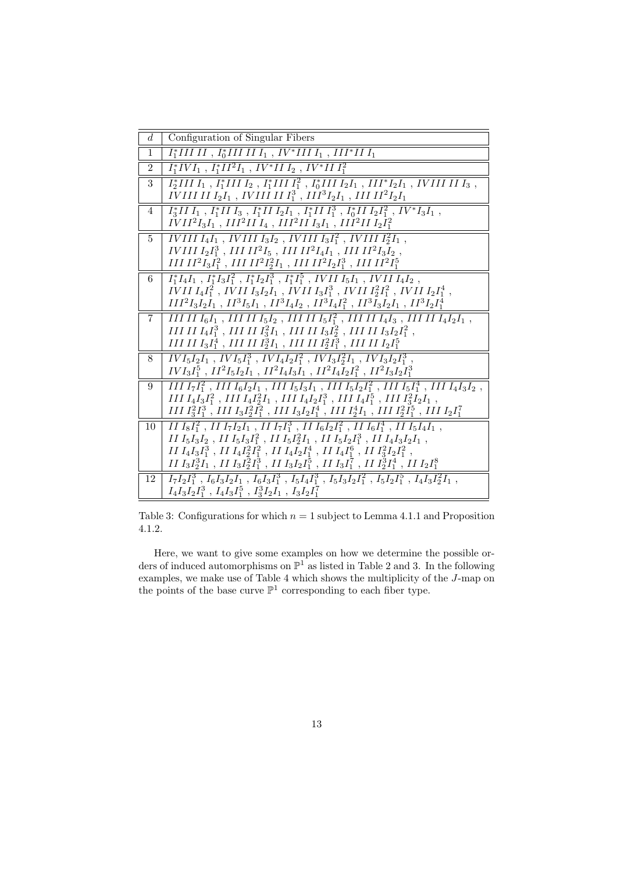| $d_{\cdot}$    | Configuration of Singular Fibers                                                                                                                                                                                                      |
|----------------|---------------------------------------------------------------------------------------------------------------------------------------------------------------------------------------------------------------------------------------|
| $\mathbf{1}$   | $I_1^*IIIII$ , $I_0^*IIIIII_1$ , $IV^*IIII_1$ , $III^*III_1$                                                                                                                                                                          |
| $\mathfrak{D}$ | $I_1^*IVI_1, I_1^*II^2I_1, IV^*III_2, IV^*III_1^2$                                                                                                                                                                                    |
| $\mathbf{3}$   | $I_2^*III I_1, I_1^*III I_2, I_1^*III I_1^2, I_0^*III I_2I_1, III^*I_2I_1, IVIII II I_3,$<br>IVIII II $I_2I_1$ , IVIII II $I_1^3$ , III $^3I_2I_1$ , III II $^2I_2I_1$                                                                |
| 4              | $I_3^*II I_1, I_1^*II I_3, I_1^*II I_2I_1, I_1^*II I_1^3, I_0^*II I_2I_1^2, IV^*I_3I_1,$                                                                                                                                              |
|                | $IVII2I3I1$ , $III2II I4$ , $III2II I3I1$ , $III2II I2I12$                                                                                                                                                                            |
| $5^{\circ}$    | <i>IVIII I<sub>4</sub>I<sub>1</sub></i> , <i>IVIII I<sub>3</sub>I<sub>2</sub></i> , <i>IVIII I<sub>3</sub>I</i> <sup>2</sup> <sub>1</sub> , <i>IVIII I</i> <sup>2</sup> <sub>2</sub> <i>I</i> <sub>1</sub> ,                          |
|                | <i>IVIII</i> $I_2I_1^3$ , <i>III</i> $II^2I_5$ , <i>III</i> $II^2I_4I_1$ , <i>III</i> $II^2I_3I_2$ ,                                                                                                                                  |
|                | $III II^2 I_3 I_1^2$ , $III II^2 I_2^2 I_1$ , $III II^2 I_2 I_1^3$ , $III II^2 I_1^5$                                                                                                                                                 |
| 6              | $I_1^*I_4I_1, I_1^*I_3I_1^2, I_1^*I_2I_1^3, I_1^*I_1^5, IVIII_5I_1, IVIII_4I_2,$                                                                                                                                                      |
|                | <i>IVII</i> $I_4I_1^2$ , <i>IVII</i> $I_3I_2I_1$ , <i>IVII</i> $I_3I_1^3$ , <i>IVII</i> $I_2^2I_1^2$ , <i>IVII</i> $I_2I_1^4$ ,<br>$III^2I_3I_2I_1$ , $II^3I_5I_1$ , $II^3I_4I_2$ , $II^3I_4I_1^2$ , $II^3I_3I_2I_1$ , $II^3I_2I_1^4$ |
|                |                                                                                                                                                                                                                                       |
| 7              | III II $I_6I_1$ , III II $I_5I_2$ , III II $I_5I_1^2$ , III II $I_4I_3$ , III II $I_4I_2I_1$ ,<br>III II $I_4I_1^3$ , III II $I_3^2I_1$ , III II $I_3I_2^2$ , III II $I_3I_2I_1^2$ ,                                                  |
|                | III II I $I_3I_1^4$ , III II I $I_2^3I_1$ , III II I $I_2^2I_1^3$ , III II I $I_2I_1^5$                                                                                                                                               |
| 8              | $IVI_5I_2I_1$ , $IVI_5I_1^3$ , $IVI_4I_2I_1^2$ , $IVI_3I_2^2I_1$ , $IVI_3I_2I_1^3$ ,                                                                                                                                                  |
|                | $IVI_3I_1^5$ , $II^2I_5I_2I_1$ , $II^2I_4I_3I_1$ , $II^2I_4I_2I_1^2$ , $II^2I_3I_2I_1^3$                                                                                                                                              |
| 9              | III $I_7I_1^2$ , III $I_6I_2I_1$ , III $I_5I_3I_1$ , III $I_5I_2I_1^2$ , III $I_5I_1^4$ , III $I_4I_3I_2$ ,                                                                                                                           |
|                | III $I_4I_3I_1^2$ , III $I_4I_2^2I_1$ , III $I_4I_2I_1^3$ , III $I_4I_1^5$ , III $I_3^2I_2I_1$ ,                                                                                                                                      |
|                | $III I_3^2 I_1^3$ , $III I_3 I_2^2 I_1^2$ , $III I_3 I_2 I_1^4$ , $III I_2^4 I_1$ , $III I_2^2 I_1^5$ , $III I_2 I_1^7$                                                                                                               |
| 10             | II $I_8I_1^2$ , II $I_7I_2I_1$ , II $I_7I_1^3$ , II $I_6I_2I_1^2$ , II $I_6I_1^4$ , II $I_5I_4I_1$ ,                                                                                                                                  |
|                | II $I_5I_3I_2$ , II $I_5I_3I_1^2$ , II $I_5I_2^2I_1$ , II $I_5I_2I_1^3$ , II $I_4I_3I_2I_1$ ,                                                                                                                                         |
|                | II $I_4I_3I_1^3$ , II $I_4I_2^2I_1^2$ , II $I_4I_2I_1^4$ , II $I_4I_1^6$ , II $I_3^2I_2I_1^2$ ,                                                                                                                                       |
|                | <i>II</i> $I_3I_2^3I_1$ , <i>II</i> $I_3I_2^2I_1^3$ , <i>II</i> $I_3I_2I_1^5$ , <i>II</i> $I_3I_1^7$ , <i>II</i> $I_2^3I_1^4$ , <i>II</i> $I_2I_1^8$                                                                                  |
| 12             | $I_7I_2I_1^3$ , $I_6I_3I_2I_1$ , $I_6I_3I_1^3$ , $I_5I_4I_1^3$ , $I_5I_3I_2I_1^2$ , $I_5I_2I_1^5$ , $I_4I_3I_2^2I_1$ ,                                                                                                                |
|                | $I_4I_3I_2I_1^3$ , $I_4I_3I_1^5$ , $I_3^3I_2I_1$ , $I_3I_2I_1^7$                                                                                                                                                                      |

Table 3: Configurations for which  $n = 1$  subject to Lemma 4.1.1 and Proposition 4.1.2.

Here, we want to give some examples on how we determine the possible orders of induced automorphisms on  $\mathbb{P}^1$  as listed in Table 2 and 3. In the following examples, we make use of Table 4 which shows the multiplicity of the J-map on the points of the base curve  $\mathbb{P}^1$  corresponding to each fiber type.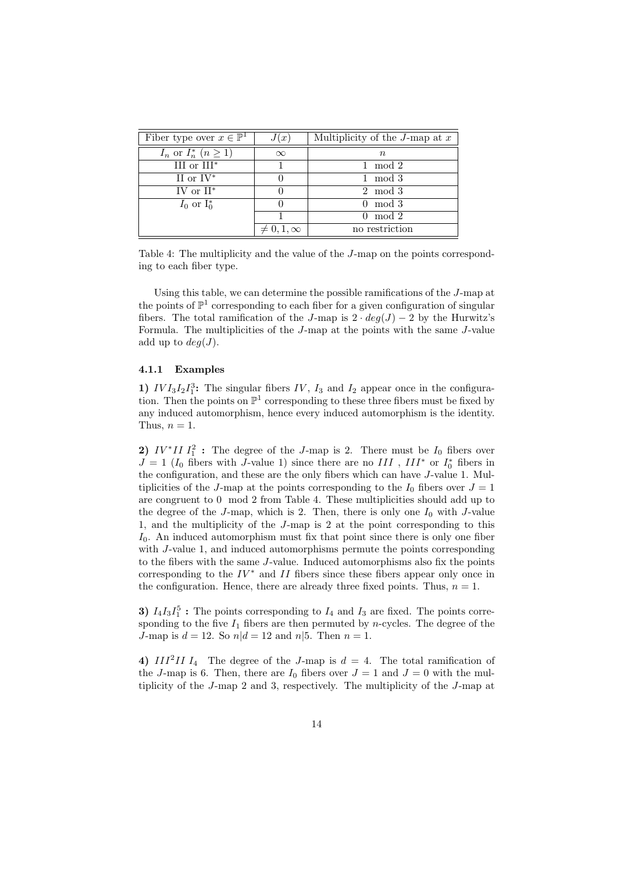| Fiber type over $x \in \mathbb{P}^1$ | J(x)                | Multiplicity of the $J$ -map at $x$ |
|--------------------------------------|---------------------|-------------------------------------|
| $I_n$ or $I_n^*$ $(n \geq 1)$        | $\infty$            | $n_{\rm}$                           |
| III or $III^*$                       |                     | mod 2<br>1.                         |
| II or $IV^*$                         |                     | mod 3<br>$\mathbf{L}$               |
| IV or $II^*$                         |                     | 2 mod 3                             |
| $I_0$ or $I_0^*$                     |                     | $0 \mod 3$                          |
|                                      |                     | $0 \mod 2$                          |
|                                      | $\neq 0, 1, \infty$ | no restriction                      |

Table 4: The multiplicity and the value of the J-map on the points corresponding to each fiber type.

Using this table, we can determine the possible ramifications of the J-map at the points of  $\mathbb{P}^1$  corresponding to each fiber for a given configuration of singular fibers. The total ramification of the J-map is  $2 \cdot deg(J) - 2$  by the Hurwitz's Formula. The multiplicities of the J-map at the points with the same J-value add up to  $deg(J)$ .

#### 4.1.1 Examples

1)  $IVI_3I_2I_1^3$ : The singular fibers IV,  $I_3$  and  $I_2$  appear once in the configuration. Then the points on  $\mathbb{P}^1$  corresponding to these three fibers must be fixed by any induced automorphism, hence every induced automorphism is the identity. Thus,  $n = 1$ .

2)  $IV^*II I_1^2$ : The degree of the J-map is 2. There must be  $I_0$  fibers over  $J = 1$  ( $I_0$  fibers with J-value 1) since there are no  $III$  ,  $III^*$  or  $I_0^*$  fibers in the configuration, and these are the only fibers which can have J-value 1. Multiplicities of the J-map at the points corresponding to the  $I_0$  fibers over  $J = 1$ are congruent to 0 mod 2 from Table 4. These multiplicities should add up to the degree of the  $J$ -map, which is 2. Then, there is only one  $I_0$  with  $J$ -value 1, and the multiplicity of the J-map is 2 at the point corresponding to this  $I_0$ . An induced automorphism must fix that point since there is only one fiber with *J*-value 1, and induced automorphisms permute the points corresponding to the fibers with the same J-value. Induced automorphisms also fix the points corresponding to the  $IV^*$  and  $II$  fibers since these fibers appear only once in the configuration. Hence, there are already three fixed points. Thus,  $n = 1$ .

3)  $I_4I_3I_1^5$ : The points corresponding to  $I_4$  and  $I_3$  are fixed. The points corresponding to the five  $I_1$  fibers are then permuted by *n*-cycles. The degree of the J-map is  $d = 12$ . So  $n/d = 12$  and  $n/5$ . Then  $n = 1$ .

4)  $III^2II I_4$  The degree of the J-map is  $d = 4$ . The total ramification of the J-map is 6. Then, there are  $I_0$  fibers over  $J = 1$  and  $J = 0$  with the multiplicity of the J-map 2 and 3, respectively. The multiplicity of the J-map at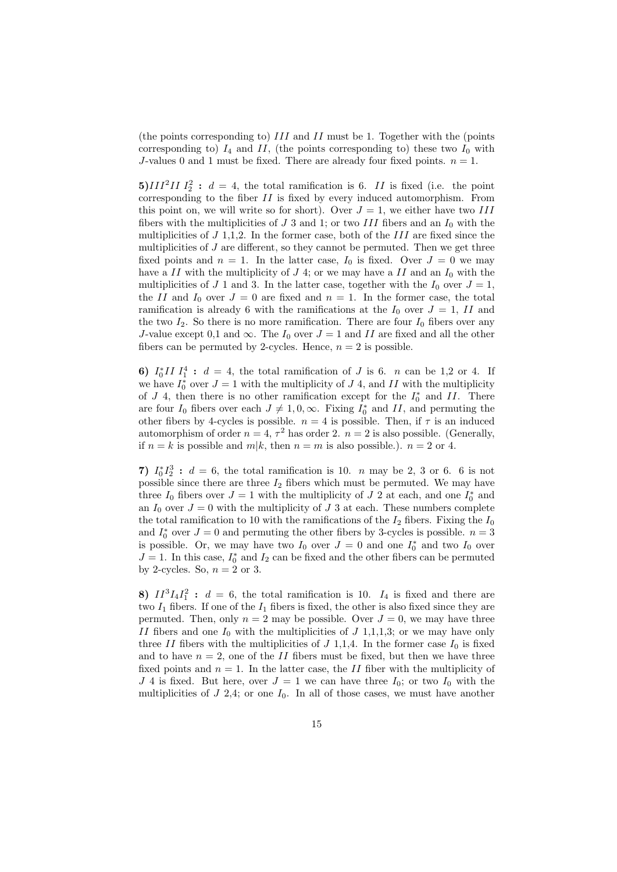(the points corresponding to) III and II must be 1. Together with the (points corresponding to)  $I_4$  and  $II$ , (the points corresponding to) these two  $I_0$  with J-values 0 and 1 must be fixed. There are already four fixed points.  $n = 1$ .

**5**)*III*<sup>2</sup>*II*  $I_2^2$  :  $d = 4$ , the total ramification is 6. *II* is fixed (i.e. the point corresponding to the fiber II is fixed by every induced automorphism. From this point on, we will write so for short). Over  $J = 1$ , we either have two III fibers with the multiplicities of J 3 and 1; or two III fibers and an  $I_0$  with the multiplicities of  $J$  1,1,2. In the former case, both of the  $III$  are fixed since the multiplicities of  $J$  are different, so they cannot be permuted. Then we get three fixed points and  $n = 1$ . In the latter case,  $I_0$  is fixed. Over  $J = 0$  we may have a II with the multiplicity of J 4; or we may have a II and an  $I_0$  with the multiplicities of J 1 and 3. In the latter case, together with the  $I_0$  over  $J = 1$ , the II and  $I_0$  over  $J = 0$  are fixed and  $n = 1$ . In the former case, the total ramification is already 6 with the ramifications at the  $I_0$  over  $J = 1$ , II and the two  $I_2$ . So there is no more ramification. There are four  $I_0$  fibers over any J-value except 0,1 and  $\infty$ . The  $I_0$  over  $J = 1$  and II are fixed and all the other fibers can be permuted by 2-cycles. Hence,  $n = 2$  is possible.

6)  $I_0^* II I_1^4 : d = 4$ , the total ramification of J is 6. *n* can be 1,2 or 4. If we have  $I_0^*$  over  $J = 1$  with the multiplicity of  $J$  4, and  $II$  with the multiplicity of  $J$  4, then there is no other ramification except for the  $I_0^*$  and  $II$ . There are four  $I_0$  fibers over each  $J \neq 1, 0, \infty$ . Fixing  $I_0^*$  and  $II$ , and permuting the other fibers by 4-cycles is possible.  $n = 4$  is possible. Then, if  $\tau$  is an induced automorphism of order  $n = 4, \tau^2$  has order 2.  $n = 2$  is also possible. (Generally, if  $n = k$  is possible and  $m|k$ , then  $n = m$  is also possible.).  $n = 2$  or 4.

7)  $I_0^*I_2^3$ :  $d = 6$ , the total ramification is 10. *n* may be 2, 3 or 6. 6 is not possible since there are three  $I_2$  fibers which must be permuted. We may have three  $I_0$  fibers over  $J = 1$  with the multiplicity of  $J$  2 at each, and one  $I_0^*$  and an  $I_0$  over  $J = 0$  with the multiplicity of J 3 at each. These numbers complete the total ramification to 10 with the ramifications of the  $I_2$  fibers. Fixing the  $I_0$ and  $I_0^*$  over  $J=0$  and permuting the other fibers by 3-cycles is possible.  $n=3$ is possible. Or, we may have two  $I_0$  over  $J = 0$  and one  $I_0^*$  and two  $I_0$  over  $J = 1$ . In this case,  $I_0^*$  and  $I_2$  can be fixed and the other fibers can be permuted by 2-cycles. So,  $n = 2$  or 3.

8)  $II^3I_4I_1^2$ :  $d = 6$ , the total ramification is 10.  $I_4$  is fixed and there are two  $I_1$  fibers. If one of the  $I_1$  fibers is fixed, the other is also fixed since they are permuted. Then, only  $n = 2$  may be possible. Over  $J = 0$ , we may have three II fibers and one  $I_0$  with the multiplicities of  $J$  1,1,1,3; or we may have only three II fibers with the multiplicities of  $J$  1,1,4. In the former case  $I_0$  is fixed and to have  $n = 2$ , one of the II fibers must be fixed, but then we have three fixed points and  $n = 1$ . In the latter case, the II fiber with the multiplicity of J 4 is fixed. But here, over  $J = 1$  we can have three  $I_0$ ; or two  $I_0$  with the multiplicities of  $J$  2,4; or one  $I_0$ . In all of those cases, we must have another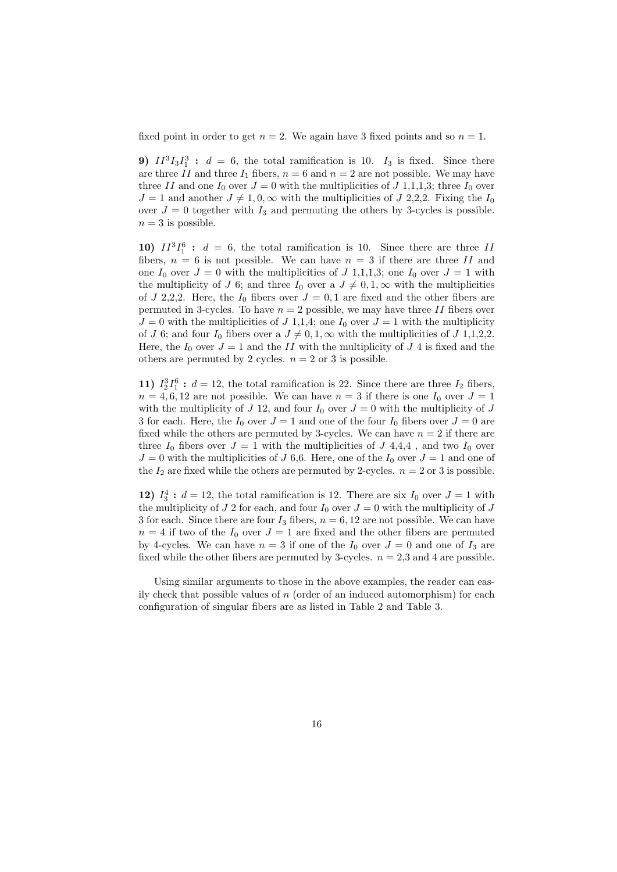fixed point in order to get  $n = 2$ . We again have 3 fixed points and so  $n = 1$ .

**9)**  $II^3I_3I_1^3$  :  $d = 6$ , the total ramification is 10.  $I_3$  is fixed. Since there are three II and three  $I_1$  fibers,  $n = 6$  and  $n = 2$  are not possible. We may have three II and one  $I_0$  over  $J = 0$  with the multiplicities of  $J$  1,1,1,3; three  $I_0$  over  $J = 1$  and another  $J \neq 1, 0, \infty$  with the multiplicities of J 2,2,2. Fixing the  $I_0$ over  $J = 0$  together with  $I_3$  and permuting the others by 3-cycles is possible.  $n = 3$  is possible.

10)  $II^3I_1^6$  :  $d = 6$ , the total ramification is 10. Since there are three II fibers,  $n = 6$  is not possible. We can have  $n = 3$  if there are three II and one  $I_0$  over  $J = 0$  with the multiplicities of  $J$  1,1,1,3; one  $I_0$  over  $J = 1$  with the multiplicity of J 6; and three  $I_0$  over a  $J \neq 0, 1, \infty$  with the multiplicities of J 2,2,2. Here, the  $I_0$  fibers over  $J = 0, 1$  are fixed and the other fibers are permuted in 3-cycles. To have  $n = 2$  possible, we may have three II fibers over  $J = 0$  with the multiplicities of  $J$  1,1,4; one  $I_0$  over  $J = 1$  with the multiplicity of J 6; and four  $I_0$  fibers over a  $J \neq 0, 1, \infty$  with the multiplicities of J 1,1,2,2. Here, the  $I_0$  over  $J = 1$  and the II with the multiplicity of J 4 is fixed and the others are permuted by 2 cycles.  $n = 2$  or 3 is possible.

11)  $I_2^3I_1^6$ :  $d = 12$ , the total ramification is 22. Since there are three  $I_2$  fibers,  $n = 4, 6, 12$  are not possible. We can have  $n = 3$  if there is one  $I_0$  over  $J = 1$ with the multiplicity of J 12, and four  $I_0$  over  $J = 0$  with the multiplicity of J 3 for each. Here, the  $I_0$  over  $J = 1$  and one of the four  $I_0$  fibers over  $J = 0$  are fixed while the others are permuted by 3-cycles. We can have  $n = 2$  if there are three  $I_0$  fibers over  $J = 1$  with the multiplicities of  $J$  4,4,4, and two  $I_0$  over  $J = 0$  with the multiplicities of J 6,6. Here, one of the  $I_0$  over  $J = 1$  and one of the  $I_2$  are fixed while the others are permuted by 2-cycles.  $n = 2$  or 3 is possible.

12)  $I_3^4$ :  $d = 12$ , the total ramification is 12. There are six  $I_0$  over  $J = 1$  with the multiplicity of J 2 for each, and four  $I_0$  over  $J = 0$  with the multiplicity of J 3 for each. Since there are four  $I_3$  fibers,  $n = 6, 12$  are not possible. We can have  $n = 4$  if two of the  $I_0$  over  $J = 1$  are fixed and the other fibers are permuted by 4-cycles. We can have  $n = 3$  if one of the  $I_0$  over  $J = 0$  and one of  $I_3$  are fixed while the other fibers are permuted by 3-cycles.  $n = 2,3$  and 4 are possible.

Using similar arguments to those in the above examples, the reader can easily check that possible values of  $n$  (order of an induced automorphism) for each configuration of singular fibers are as listed in Table 2 and Table 3.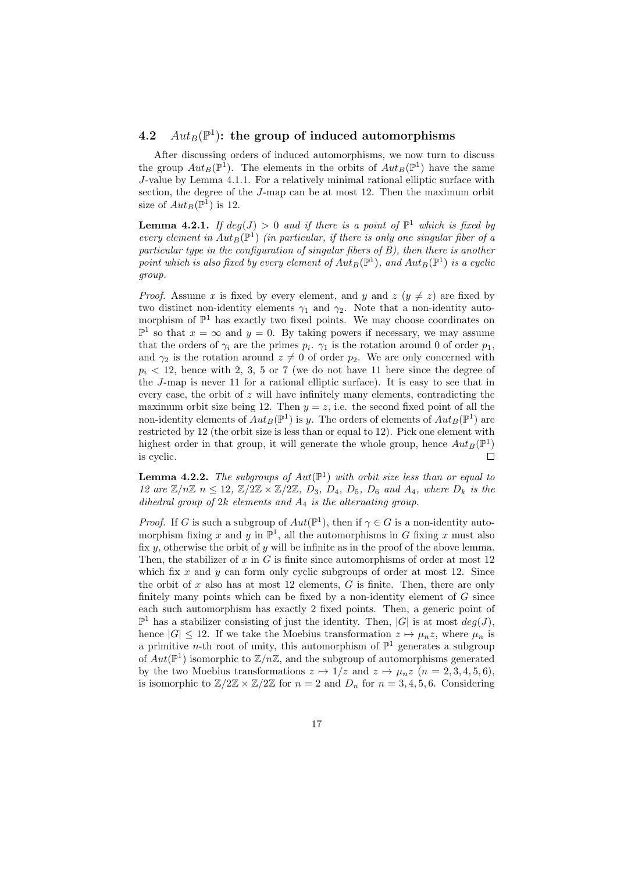## 4.2  $Aut_B(\mathbb{P}^1)$ : the group of induced automorphisms

After discussing orders of induced automorphisms, we now turn to discuss the group  $Aut_B(\mathbb{P}^1)$ . The elements in the orbits of  $Aut_B(\mathbb{P}^1)$  have the same J-value by Lemma 4.1.1. For a relatively minimal rational elliptic surface with section, the degree of the J-map can be at most 12. Then the maximum orbit size of  $Aut_B(\mathbb{P}^1)$  is 12.

**Lemma 4.2.1.** If  $deg(J) > 0$  and if there is a point of  $\mathbb{P}^1$  which is fixed by every element in  $Aut_B(\mathbb{P}^1)$  (in particular, if there is only one singular fiber of a particular type in the configuration of singular fibers of B), then there is another point which is also fixed by every element of  $Aut_B(\mathbb{P}^1)$ , and  $Aut_B(\mathbb{P}^1)$  is a cyclic group.

*Proof.* Assume x is fixed by every element, and y and  $z (y \neq z)$  are fixed by two distinct non-identity elements  $\gamma_1$  and  $\gamma_2$ . Note that a non-identity automorphism of  $\mathbb{P}^1$  has exactly two fixed points. We may choose coordinates on  $\mathbb{P}^1$  so that  $x = \infty$  and  $y = 0$ . By taking powers if necessary, we may assume that the orders of  $\gamma_i$  are the primes  $p_i$ .  $\gamma_1$  is the rotation around 0 of order  $p_1$ , and  $\gamma_2$  is the rotation around  $z \neq 0$  of order  $p_2$ . We are only concerned with  $p_i < 12$ , hence with 2, 3, 5 or 7 (we do not have 11 here since the degree of the J-map is never 11 for a rational elliptic surface). It is easy to see that in every case, the orbit of  $z$  will have infinitely many elements, contradicting the maximum orbit size being 12. Then  $y = z$ , i.e. the second fixed point of all the non-identity elements of  $Aut_B(\mathbb{P}^1)$  is y. The orders of elements of  $Aut_B(\mathbb{P}^1)$  are restricted by 12 (the orbit size is less than or equal to 12). Pick one element with highest order in that group, it will generate the whole group, hence  $Aut_B(\mathbb{P}^1)$ is cyclic.  $\Box$ 

**Lemma 4.2.2.** The subgroups of  $Aut(\mathbb{P}^1)$  with orbit size less than or equal to 12 are  $\mathbb{Z}/n\mathbb{Z}$   $n \leq 12$ ,  $\mathbb{Z}/2\mathbb{Z} \times \mathbb{Z}/2\mathbb{Z}$ ,  $D_3$ ,  $D_4$ ,  $D_5$ ,  $D_6$  and  $A_4$ , where  $D_k$  is the dihedral group of  $2k$  elements and  $A_4$  is the alternating group.

*Proof.* If G is such a subgroup of  $Aut(\mathbb{P}^1)$ , then if  $\gamma \in G$  is a non-identity automorphism fixing x and y in  $\mathbb{P}^1$ , all the automorphisms in G fixing x must also fix  $y$ , otherwise the orbit of  $y$  will be infinite as in the proof of the above lemma. Then, the stabilizer of  $x$  in  $G$  is finite since automorphisms of order at most 12 which fix x and y can form only cyclic subgroups of order at most 12. Since the orbit of x also has at most 12 elements,  $G$  is finite. Then, there are only finitely many points which can be fixed by a non-identity element of  $G$  since each such automorphism has exactly 2 fixed points. Then, a generic point of  $\mathbb{P}^1$  has a stabilizer consisting of just the identity. Then, |G| is at most  $deg(J)$ , hence  $|G| \leq 12$ . If we take the Moebius transformation  $z \mapsto \mu_n z$ , where  $\mu_n$  is a primitive *n*-th root of unity, this automorphism of  $\mathbb{P}^1$  generates a subgroup of  $Aut(\mathbb{P}^1)$  isomorphic to  $\mathbb{Z}/n\mathbb{Z}$ , and the subgroup of automorphisms generated by the two Moebius transformations  $z \mapsto 1/z$  and  $z \mapsto \mu_n z$   $(n = 2, 3, 4, 5, 6)$ , is isomorphic to  $\mathbb{Z}/2\mathbb{Z} \times \mathbb{Z}/2\mathbb{Z}$  for  $n = 2$  and  $D_n$  for  $n = 3, 4, 5, 6$ . Considering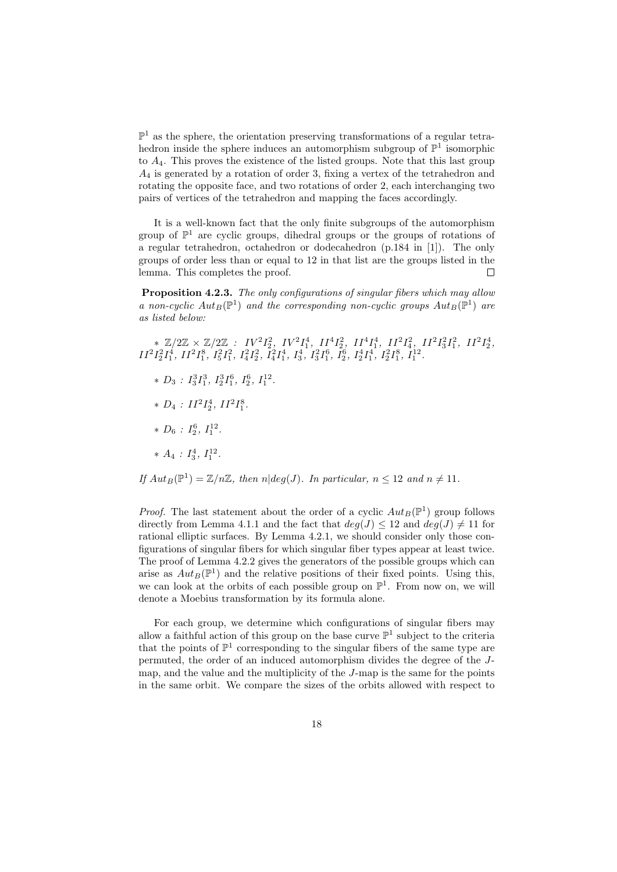$\mathbb{P}^1$  as the sphere, the orientation preserving transformations of a regular tetrahedron inside the sphere induces an automorphism subgroup of  $\mathbb{P}^1$  isomorphic to  $A_4$ . This proves the existence of the listed groups. Note that this last group  $A_4$  is generated by a rotation of order 3, fixing a vertex of the tetrahedron and rotating the opposite face, and two rotations of order 2, each interchanging two pairs of vertices of the tetrahedron and mapping the faces accordingly.

It is a well-known fact that the only finite subgroups of the automorphism group of  $\mathbb{P}^1$  are cyclic groups, dihedral groups or the groups of rotations of a regular tetrahedron, octahedron or dodecahedron (p.184 in [1]). The only groups of order less than or equal to 12 in that list are the groups listed in the lemma. This completes the proof. П

Proposition 4.2.3. The only configurations of singular fibers which may allow a non-cyclic  $Aut_B(\mathbb{P}^1)$  and the corresponding non-cyclic groups  $Aut_B(\mathbb{P}^1)$  are as listed below:

 $* \ \mathbb{Z}/2\mathbb{Z} \times \mathbb{Z}/2\mathbb{Z} \ : \ IV^2I_2^2, \ IV^2I_1^4, \ II^4I_2^2, \ II^4I_1^4, \ II^2I_4^2, \ II^2I_3^2I_1^2, \ II^2I_2^4,$  $II^2I_2^2I_1^4$ ,  $II^2I_1^8$ ,  $I_5^2I_1^2$ ,  $I_4^2I_2^2$ ,  $I_4^2I_1^4$ ,  $I_3^4$ ,  $I_3^2I_1^6$ ,  $I_2^6$ ,  $I_2^4I_1^4$ ,  $I_2^2I_1^8$ ,  $I_1^{12}$ .

- $* D_3: I_3^3I_1^3, I_2^3I_1^6, I_2^6, I_1^{12}.$
- $* D_4 : II^2 I_2^4, II^2 I_1^8.$
- $* D_6: I_2^6, I_1^{12}.$
- $* A_4 : I_3^4, I_1^{12}.$
- If  $Aut_B(\mathbb{P}^1) = \mathbb{Z}/n\mathbb{Z}$ , then  $n|deg(J)$ . In particular,  $n \leq 12$  and  $n \neq 11$ .

*Proof.* The last statement about the order of a cyclic  $Aut_B(\mathbb{P}^1)$  group follows directly from Lemma 4.1.1 and the fact that  $deg(J) \leq 12$  and  $deg(J) \neq 11$  for rational elliptic surfaces. By Lemma 4.2.1, we should consider only those configurations of singular fibers for which singular fiber types appear at least twice. The proof of Lemma 4.2.2 gives the generators of the possible groups which can arise as  $Aut_B(\mathbb{P}^1)$  and the relative positions of their fixed points. Using this, we can look at the orbits of each possible group on  $\mathbb{P}^1$ . From now on, we will denote a Moebius transformation by its formula alone.

For each group, we determine which configurations of singular fibers may allow a faithful action of this group on the base curve  $\mathbb{P}^1$  subject to the criteria that the points of  $\mathbb{P}^1$  corresponding to the singular fibers of the same type are permuted, the order of an induced automorphism divides the degree of the Jmap, and the value and the multiplicity of the J-map is the same for the points in the same orbit. We compare the sizes of the orbits allowed with respect to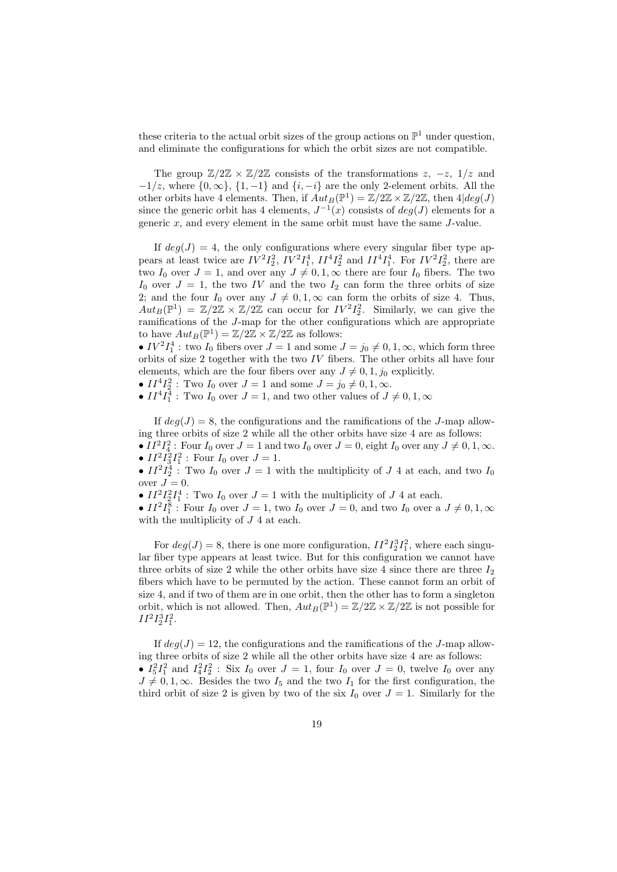these criteria to the actual orbit sizes of the group actions on  $\mathbb{P}^1$  under question, and eliminate the configurations for which the orbit sizes are not compatible.

The group  $\mathbb{Z}/2\mathbb{Z} \times \mathbb{Z}/2\mathbb{Z}$  consists of the transformations  $z, -z, 1/z$  and  $-1/z$ , where  $\{0,\infty\}$ ,  $\{1,-1\}$  and  $\{i,-i\}$  are the only 2-element orbits. All the other orbits have 4 elements. Then, if  $Aut_B(\mathbb{P}^1) = \mathbb{Z}/2\mathbb{Z} \times \mathbb{Z}/2\mathbb{Z}$ , then  $4|deg(J)$ since the generic orbit has 4 elements,  $J^{-1}(x)$  consists of  $deg(J)$  elements for a generic  $x$ , and every element in the same orbit must have the same  $J$ -value.

If  $deg(J) = 4$ , the only configurations where every singular fiber type appears at least twice are  $IV^2I_2^2$ ,  $IV^2I_1^4$ ,  $II^4I_2^2$  and  $II^4I_1^4$ . For  $IV^2I_2^2$ , there are two  $I_0$  over  $J = 1$ , and over any  $J \neq 0, 1, \infty$  there are four  $I_0$  fibers. The two  $I_0$  over  $J = 1$ , the two IV and the two  $I_2$  can form the three orbits of size 2; and the four  $I_0$  over any  $J \neq 0, 1, \infty$  can form the orbits of size 4. Thus,  $Aut_B(\mathbb{P}^1) = \mathbb{Z}/2\mathbb{Z} \times \mathbb{Z}/2\mathbb{Z}$  can occur for  $IV^2I_2^2$ . Similarly, we can give the ramifications of the J-map for the other configurations which are appropriate to have  $Aut_B(\mathbb{P}^1) = \mathbb{Z}/2\mathbb{Z} \times \mathbb{Z}/2\mathbb{Z}$  as follows:

•  $IV^2I_1^4$ : two  $I_0$  fibers over  $J = 1$  and some  $J = j_0 \neq 0, 1, \infty$ , which form three orbits of size 2 together with the two IV fibers. The other orbits all have four elements, which are the four fibers over any  $J \neq 0, 1, j_0$  explicitly.

•  $II^{4}I_{2}^{2}$ : Two  $I_{0}$  over  $J = 1$  and some  $J = j_{0} \neq 0, 1, \infty$ .

•  $II^4I_1^4$ : Two  $I_0$  over  $J=1$ , and two other values of  $J \neq 0, 1, \infty$ 

If  $deg(J) = 8$ , the configurations and the ramifications of the J-map allowing three orbits of size 2 while all the other orbits have size 4 are as follows: •  $II^2I_4^2$ : Four  $I_0$  over  $J = 1$  and two  $I_0$  over  $J = 0$ , eight  $I_0$  over any  $J \neq 0, 1, \infty$ .

•  $II^2 I_3^2 I_1^2$ : Four  $I_0$  over  $J = 1$ .

•  $II^2I_2^4$ : Two  $I_0$  over  $J = 1$  with the multiplicity of  $J$  4 at each, and two  $I_0$ over  $J=0$ .

•  $II^2I_2^2I_1^4$ : Two  $I_0$  over  $J=1$  with the multiplicity of  $J$  4 at each.

•  $II^2I_1^8$ : Four  $I_0$  over  $J = 1$ , two  $I_0$  over  $J = 0$ , and two  $I_0$  over a  $J \neq 0, 1, \infty$ with the multiplicity of  $J$  4 at each.

For  $deg(J) = 8$ , there is one more configuration,  $II^2 I_2^3 I_1^2$ , where each singular fiber type appears at least twice. But for this configuration we cannot have three orbits of size 2 while the other orbits have size 4 since there are three  $I_2$ fibers which have to be permuted by the action. These cannot form an orbit of size 4, and if two of them are in one orbit, then the other has to form a singleton orbit, which is not allowed. Then,  $Aut_B(\mathbb{P}^1) = \mathbb{Z}/2\mathbb{Z} \times \mathbb{Z}/2\mathbb{Z}$  is not possible for  $II^2I_2^3I_1^2.$ 

If  $deg(J) = 12$ , the configurations and the ramifications of the J-map allowing three orbits of size 2 while all the other orbits have size 4 are as follows: •  $I_5^2 I_1^2$  and  $I_4^2 I_2^2$ : Six  $I_0$  over  $J = 1$ , four  $I_0$  over  $J = 0$ , twelve  $I_0$  over any  $J \neq 0, 1, \infty$ . Besides the two  $I_5$  and the two  $I_1$  for the first configuration, the third orbit of size 2 is given by two of the six  $I_0$  over  $J = 1$ . Similarly for the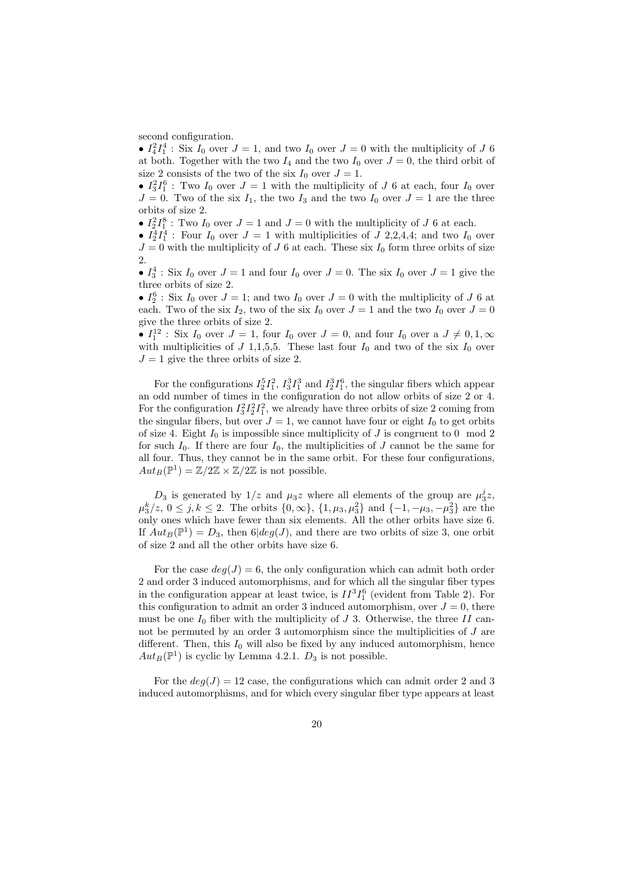second configuration.

•  $I_4^2 I_1^4$ : Six  $I_0$  over  $J = 1$ , and two  $I_0$  over  $J = 0$  with the multiplicity of J 6 at both. Together with the two  $I_4$  and the two  $I_0$  over  $J = 0$ , the third orbit of size 2 consists of the two of the six  $I_0$  over  $J = 1$ .

•  $I_3^2I_1^6$ : Two  $I_0$  over  $J=1$  with the multiplicity of J 6 at each, four  $I_0$  over  $J = 0$ . Two of the six  $I_1$ , the two  $I_3$  and the two  $I_0$  over  $J = 1$  are the three orbits of size 2.

•  $I_2^2 I_1^8$ : Two  $I_0$  over  $J = 1$  and  $J = 0$  with the multiplicity of J 6 at each.

•  $I_2^4 I_1^4$ : Four  $I_0$  over  $J = 1$  with multiplicities of  $J$  2,2,4,4; and two  $I_0$  over  $J = 0$  with the multiplicity of J 6 at each. These six  $I_0$  form three orbits of size 2.

•  $I_3^4$ : Six  $I_0$  over  $J = 1$  and four  $I_0$  over  $J = 0$ . The six  $I_0$  over  $J = 1$  give the three orbits of size 2.

•  $I_2^6$ : Six  $I_0$  over  $J = 1$ ; and two  $I_0$  over  $J = 0$  with the multiplicity of J 6 at each. Two of the six  $I_2$ , two of the six  $I_0$  over  $J = 1$  and the two  $I_0$  over  $J = 0$ give the three orbits of size 2.

•  $I_1^{12}$ : Six  $I_0$  over  $J = 1$ , four  $I_0$  over  $J = 0$ , and four  $I_0$  over a  $J \neq 0, 1, \infty$ with multiplicities of J 1,1,5,5. These last four  $I_0$  and two of the six  $I_0$  over  $J = 1$  give the three orbits of size 2.

For the configurations  $I_2^5I_1^2$ ,  $I_3^3I_1^3$  and  $I_2^3I_1^6$ , the singular fibers which appear an odd number of times in the configuration do not allow orbits of size 2 or 4. For the configuration  $I_3^2 I_2^2 I_1^2$ , we already have three orbits of size 2 coming from the singular fibers, but over  $J = 1$ , we cannot have four or eight  $I_0$  to get orbits of size 4. Eight  $I_0$  is impossible since multiplicity of  $J$  is congruent to 0 mod 2 for such  $I_0$ . If there are four  $I_0$ , the multiplicities of J cannot be the same for all four. Thus, they cannot be in the same orbit. For these four configurations,  $Aut_B(\mathbb{P}^1) = \mathbb{Z}/2\mathbb{Z} \times \mathbb{Z}/2\mathbb{Z}$  is not possible.

 $D_3$  is generated by  $1/z$  and  $\mu_3 z$  where all elements of the group are  $\mu_3^j z$ ,  $\mu_3^k/z$ , 0 ≤ j, k ≤ 2. The orbits {0, ∞}, {1,  $\mu_3$ ,  $\mu_3^2$ } and {-1, - $\mu_3$ , - $\mu_3^2$ } are the only ones which have fewer than six elements. All the other orbits have size 6. If  $Aut_B(\mathbb{P}^1) = D_3$ , then  $6|deg(J)$ , and there are two orbits of size 3, one orbit of size 2 and all the other orbits have size 6.

For the case  $deg(J) = 6$ , the only configuration which can admit both order 2 and order 3 induced automorphisms, and for which all the singular fiber types in the configuration appear at least twice, is  $II^3I_1^6$  (evident from Table 2). For this configuration to admit an order 3 induced automorphism, over  $J = 0$ , there must be one  $I_0$  fiber with the multiplicity of J 3. Otherwise, the three II cannot be permuted by an order 3 automorphism since the multiplicities of J are different. Then, this  $I_0$  will also be fixed by any induced automorphism, hence  $Aut_B(\mathbb{P}^1)$  is cyclic by Lemma 4.2.1.  $D_3$  is not possible.

For the  $deg(J) = 12$  case, the configurations which can admit order 2 and 3 induced automorphisms, and for which every singular fiber type appears at least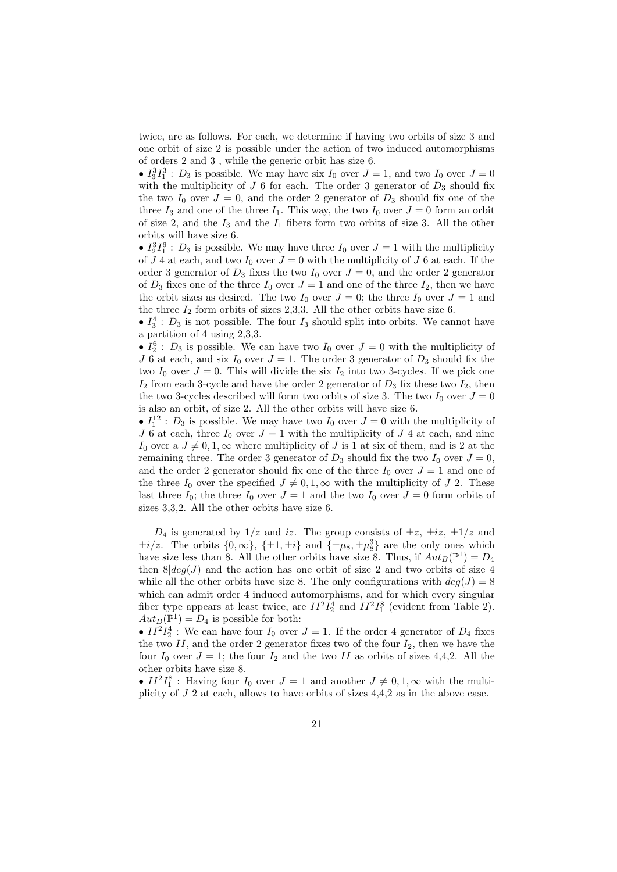twice, are as follows. For each, we determine if having two orbits of size 3 and one orbit of size 2 is possible under the action of two induced automorphisms of orders 2 and 3 , while the generic orbit has size 6.

•  $I_3^3I_1^3$ :  $D_3$  is possible. We may have six  $I_0$  over  $J = 1$ , and two  $I_0$  over  $J = 0$ with the multiplicity of  $J$  6 for each. The order 3 generator of  $D_3$  should fix the two  $I_0$  over  $J = 0$ , and the order 2 generator of  $D_3$  should fix one of the three  $I_3$  and one of the three  $I_1$ . This way, the two  $I_0$  over  $J = 0$  form an orbit of size 2, and the  $I_3$  and the  $I_1$  fibers form two orbits of size 3. All the other orbits will have size 6.

•  $I_2^3 I_1^6$ :  $D_3$  is possible. We may have three  $I_0$  over  $J = 1$  with the multiplicity of  $J$  4 at each, and two  $I_0$  over  $J = 0$  with the multiplicity of  $J$  6 at each. If the order 3 generator of  $D_3$  fixes the two  $I_0$  over  $J = 0$ , and the order 2 generator of  $D_3$  fixes one of the three  $I_0$  over  $J = 1$  and one of the three  $I_2$ , then we have the orbit sizes as desired. The two  $I_0$  over  $J = 0$ ; the three  $I_0$  over  $J = 1$  and the three  $I_2$  form orbits of sizes 2,3,3. All the other orbits have size 6.

•  $I_3^4$ :  $D_3$  is not possible. The four  $I_3$  should split into orbits. We cannot have a partition of 4 using 2,3,3.

•  $I_2^6$ :  $D_3$  is possible. We can have two  $I_0$  over  $J=0$  with the multiplicity of J 6 at each, and six  $I_0$  over  $J = 1$ . The order 3 generator of  $D_3$  should fix the two  $I_0$  over  $J = 0$ . This will divide the six  $I_2$  into two 3-cycles. If we pick one  $I_2$  from each 3-cycle and have the order 2 generator of  $D_3$  fix these two  $I_2$ , then the two 3-cycles described will form two orbits of size 3. The two  $I_0$  over  $J = 0$ is also an orbit, of size 2. All the other orbits will have size 6.

•  $I_1^{12}$ :  $D_3$  is possible. We may have two  $I_0$  over  $J=0$  with the multiplicity of J 6 at each, three  $I_0$  over  $J = 1$  with the multiplicity of J 4 at each, and nine I<sub>0</sub> over a  $J \neq 0, 1, \infty$  where multiplicity of J is 1 at six of them, and is 2 at the remaining three. The order 3 generator of  $D_3$  should fix the two  $I_0$  over  $J = 0$ , and the order 2 generator should fix one of the three  $I_0$  over  $J = 1$  and one of the three  $I_0$  over the specified  $J \neq 0, 1, \infty$  with the multiplicity of J 2. These last three  $I_0$ ; the three  $I_0$  over  $J = 1$  and the two  $I_0$  over  $J = 0$  form orbits of sizes 3,3,2. All the other orbits have size 6.

 $D_4$  is generated by  $1/z$  and iz. The group consists of  $\pm z$ ,  $\pm iz$ ,  $\pm 1/z$  and  $\pm i/z$ . The orbits  $\{0,\infty\}$ ,  $\{\pm 1,\pm i\}$  and  $\{\pm \mu_8,\pm \mu_8^3\}$  are the only ones which have size less than 8. All the other orbits have size 8. Thus, if  $Aut_B(\mathbb{P}^1) = D_4$ then  $8|deg(J)$  and the action has one orbit of size 2 and two orbits of size 4 while all the other orbits have size 8. The only configurations with  $deg(J) = 8$ which can admit order 4 induced automorphisms, and for which every singular fiber type appears at least twice, are  $II^2I_2^4$  and  $II^2I_1^8$  (evident from Table 2).  $Aut_B(\mathbb{P}^1) = D_4$  is possible for both:

•  $II^2I_2^4$ : We can have four  $I_0$  over  $J = 1$ . If the order 4 generator of  $D_4$  fixes the two II, and the order 2 generator fixes two of the four  $I_2$ , then we have the four  $I_0$  over  $J = 1$ ; the four  $I_2$  and the two II as orbits of sizes 4,4,2. All the other orbits have size 8.

•  $II^2I_1^8$ : Having four  $I_0$  over  $J = 1$  and another  $J \neq 0, 1, \infty$  with the multiplicity of J 2 at each, allows to have orbits of sizes 4,4,2 as in the above case.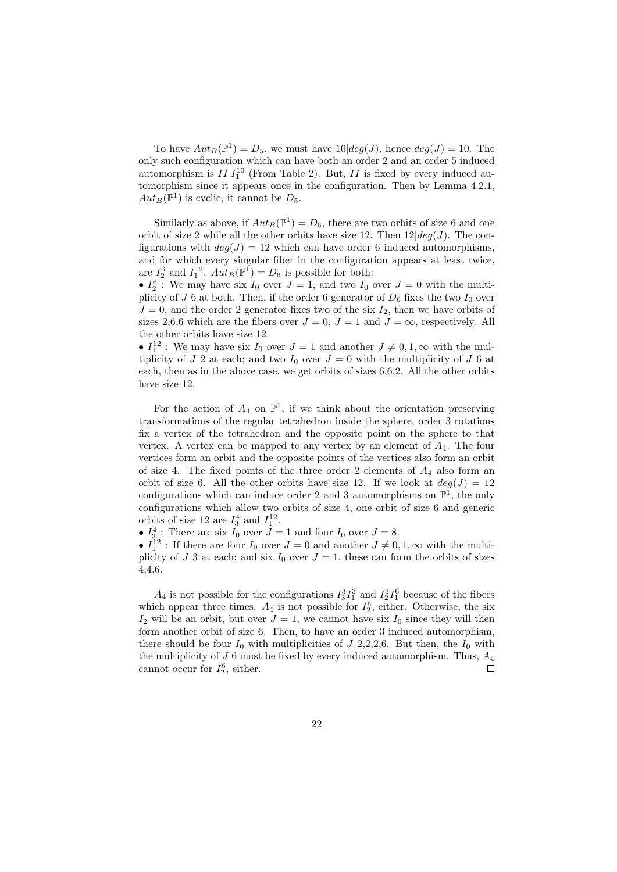To have  $Aut_B(\mathbb{P}^1) = D_5$ , we must have  $10|deg(J)$ , hence  $deg(J) = 10$ . The only such configuration which can have both an order 2 and an order 5 induced automorphism is  $II I_1^{10}$  (From Table 2). But,  $II$  is fixed by every induced automorphism since it appears once in the configuration. Then by Lemma 4.2.1,  $Aut_B(\mathbb{P}^1)$  is cyclic, it cannot be  $D_5$ .

Similarly as above, if  $Aut_B(\mathbb{P}^1) = D_6$ , there are two orbits of size 6 and one orbit of size 2 while all the other orbits have size 12. Then  $12|deq(J)$ . The configurations with  $deg(J) = 12$  which can have order 6 induced automorphisms, and for which every singular fiber in the configuration appears at least twice, are  $I_2^6$  and  $I_1^{12}$ .  $Aut_B(\mathbb{P}^1) = D_6$  is possible for both:

•  $I_2^6$ : We may have six  $I_0$  over  $J = 1$ , and two  $I_0$  over  $J = 0$  with the multiplicity of J 6 at both. Then, if the order 6 generator of  $D_6$  fixes the two  $I_0$  over  $J = 0$ , and the order 2 generator fixes two of the six  $I_2$ , then we have orbits of sizes 2,6,6 which are the fibers over  $J = 0$ ,  $J = 1$  and  $J = \infty$ , respectively. All the other orbits have size 12.

•  $I_1^{12}$ : We may have six  $I_0$  over  $J = 1$  and another  $J \neq 0, 1, \infty$  with the multiplicity of J 2 at each; and two  $I_0$  over  $J = 0$  with the multiplicity of J 6 at each, then as in the above case, we get orbits of sizes 6,6,2. All the other orbits have size 12.

For the action of  $A_4$  on  $\mathbb{P}^1$ , if we think about the orientation preserving transformations of the regular tetrahedron inside the sphere, order 3 rotations fix a vertex of the tetrahedron and the opposite point on the sphere to that vertex. A vertex can be mapped to any vertex by an element of  $A_4$ . The four vertices form an orbit and the opposite points of the vertices also form an orbit of size 4. The fixed points of the three order 2 elements of  $A_4$  also form an orbit of size 6. All the other orbits have size 12. If we look at  $deg(J) = 12$ configurations which can induce order 2 and 3 automorphisms on  $\mathbb{P}^1$ , the only configurations which allow two orbits of size 4, one orbit of size 6 and generic orbits of size 12 are  $I_3^4$  and  $I_1^{12}$ .

•  $I_3^4$ : There are six  $I_0$  over  $J = 1$  and four  $I_0$  over  $J = 8$ .

•  $I_1^{12}$ : If there are four  $I_0$  over  $J=0$  and another  $J\neq 0, 1, \infty$  with the multiplicity of J 3 at each; and six  $I_0$  over  $J = 1$ , these can form the orbits of sizes 4,4,6.

 $A_4$  is not possible for the configurations  $I_3^3I_1^3$  and  $I_2^3I_1^6$  because of the fibers which appear three times.  $A_4$  is not possible for  $I_2^6$ , either. Otherwise, the six  $I_2$  will be an orbit, but over  $J = 1$ , we cannot have six  $I_0$  since they will then form another orbit of size 6. Then, to have an order 3 induced automorphism, there should be four  $I_0$  with multiplicities of  $J$  2,2,2,6. But then, the  $I_0$  with the multiplicity of  $J$  6 must be fixed by every induced automorphism. Thus,  $A_4$ cannot occur for  $I_2^6$ , either.  $\Box$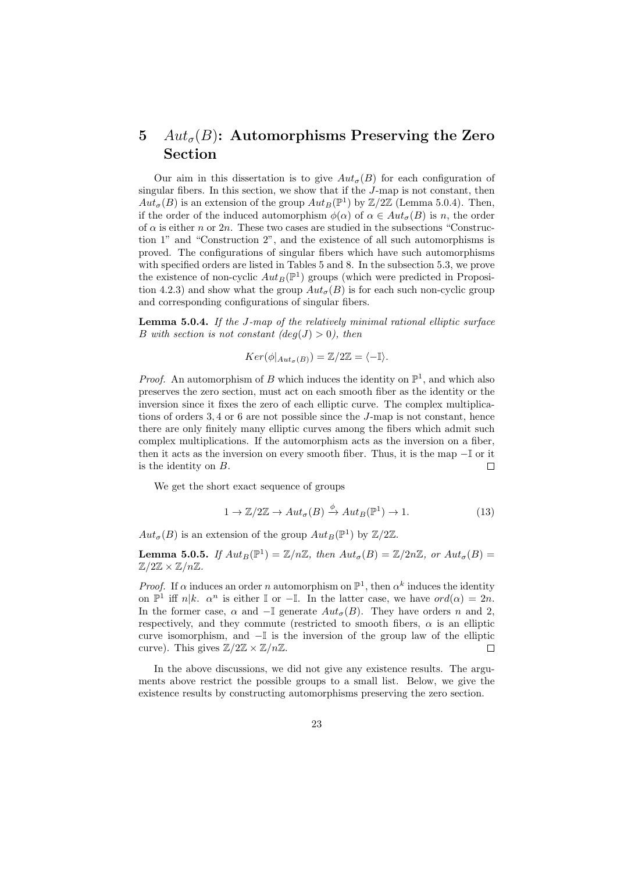## 5  $Aut_{\sigma}(B)$ : Automorphisms Preserving the Zero Section

Our aim in this dissertation is to give  $Aut_{\sigma}(B)$  for each configuration of singular fibers. In this section, we show that if the J-map is not constant, then  $Aut_{\sigma}(B)$  is an extension of the group  $Aut_B(\mathbb{P}^1)$  by  $\mathbb{Z}/2\mathbb{Z}$  (Lemma 5.0.4). Then, if the order of the induced automorphism  $\phi(\alpha)$  of  $\alpha \in Aut_{\sigma}(B)$  is n, the order of  $\alpha$  is either n or 2n. These two cases are studied in the subsections "Construction 1" and "Construction 2", and the existence of all such automorphisms is proved. The configurations of singular fibers which have such automorphisms with specified orders are listed in Tables 5 and 8. In the subsection 5.3, we prove the existence of non-cyclic  $Aut_B(\mathbb{P}^1)$  groups (which were predicted in Proposition 4.2.3) and show what the group  $Aut_{\sigma}(B)$  is for each such non-cyclic group and corresponding configurations of singular fibers.

Lemma 5.0.4. If the J-map of the relatively minimal rational elliptic surface B with section is not constant  $deg(J) > 0$ , then

$$
Ker(\phi|_{Aut_{\sigma}(B)}) = \mathbb{Z}/2\mathbb{Z} = \langle -\mathbb{I} \rangle.
$$

*Proof.* An automorphism of B which induces the identity on  $\mathbb{P}^1$ , and which also preserves the zero section, must act on each smooth fiber as the identity or the inversion since it fixes the zero of each elliptic curve. The complex multiplications of orders 3, 4 or 6 are not possible since the J-map is not constant, hence there are only finitely many elliptic curves among the fibers which admit such complex multiplications. If the automorphism acts as the inversion on a fiber, then it acts as the inversion on every smooth fiber. Thus, it is the map −I or it is the identity on B. П

We get the short exact sequence of groups

$$
1 \to \mathbb{Z}/2\mathbb{Z} \to Aut_{\sigma}(B) \xrightarrow{\phi} Aut_B(\mathbb{P}^1) \to 1. \tag{13}
$$

 $Aut_{\sigma}(B)$  is an extension of the group  $Aut_B(\mathbb{P}^1)$  by  $\mathbb{Z}/2\mathbb{Z}$ .

**Lemma 5.0.5.** If  $Aut_B(\mathbb{P}^1) = \mathbb{Z}/n\mathbb{Z}$ , then  $Aut_{\sigma}(B) = \mathbb{Z}/2n\mathbb{Z}$ , or  $Aut_{\sigma}(B) =$  $\mathbb{Z}/2\mathbb{Z} \times \mathbb{Z}/n\mathbb{Z}$ .

*Proof.* If  $\alpha$  induces an order n automorphism on  $\mathbb{P}^1$ , then  $\alpha^k$  induces the identity on  $\mathbb{P}^1$  iff  $n|k$ .  $\alpha^n$  is either  $\mathbb I$  or  $-\mathbb I$ . In the latter case, we have  $ord(\alpha) = 2n$ . In the former case,  $\alpha$  and  $-\mathbb{I}$  generate  $Aut_{\sigma}(B)$ . They have orders n and 2, respectively, and they commute (restricted to smooth fibers,  $\alpha$  is an elliptic curve isomorphism, and  $-\mathbb{I}$  is the inversion of the group law of the elliptic curve). This gives  $\mathbb{Z}/2\mathbb{Z} \times \mathbb{Z}/n\mathbb{Z}$ .  $\Box$ 

In the above discussions, we did not give any existence results. The arguments above restrict the possible groups to a small list. Below, we give the existence results by constructing automorphisms preserving the zero section.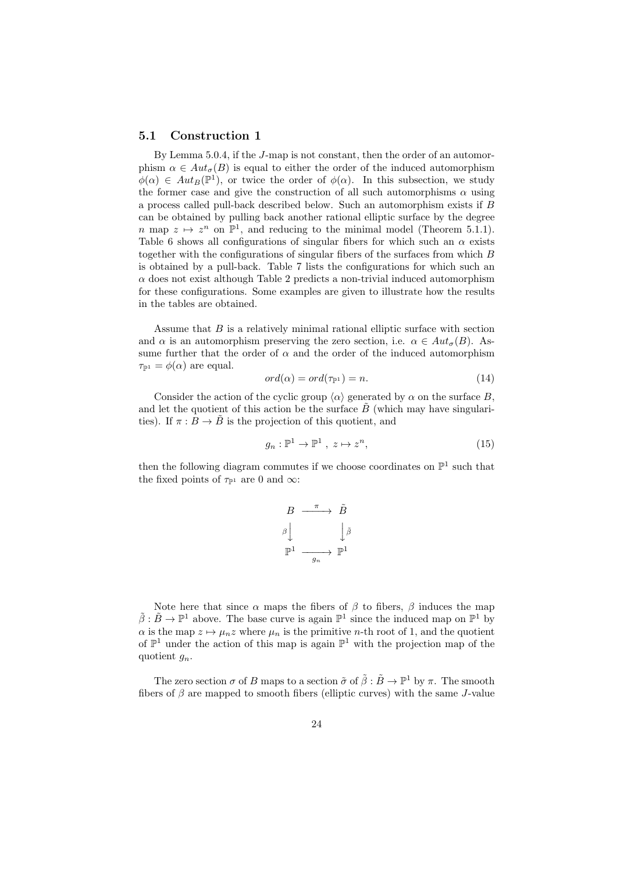#### 5.1 Construction 1

By Lemma 5.0.4, if the J-map is not constant, then the order of an automorphism  $\alpha \in Aut_{\sigma}(B)$  is equal to either the order of the induced automorphism  $\phi(\alpha) \in Aut_B(\mathbb{P}^1)$ , or twice the order of  $\phi(\alpha)$ . In this subsection, we study the former case and give the construction of all such automorphisms  $\alpha$  using a process called pull-back described below. Such an automorphism exists if B can be obtained by pulling back another rational elliptic surface by the degree n map  $z \mapsto z^n$  on  $\mathbb{P}^1$ , and reducing to the minimal model (Theorem 5.1.1). Table 6 shows all configurations of singular fibers for which such an  $\alpha$  exists together with the configurations of singular fibers of the surfaces from which B is obtained by a pull-back. Table 7 lists the configurations for which such an  $\alpha$  does not exist although Table 2 predicts a non-trivial induced automorphism for these configurations. Some examples are given to illustrate how the results in the tables are obtained.

Assume that  $B$  is a relatively minimal rational elliptic surface with section and  $\alpha$  is an automorphism preserving the zero section, i.e.  $\alpha \in Aut_{\sigma}(B)$ . Assume further that the order of  $\alpha$  and the order of the induced automorphism  $\tau_{\mathbb{P}^1} = \phi(\alpha)$  are equal.

$$
ord(\alpha) = ord(\tau_{\mathbb{P}^1}) = n.
$$
\n(14)

Consider the action of the cyclic group  $\langle \alpha \rangle$  generated by  $\alpha$  on the surface B, and let the quotient of this action be the surface  $B$  (which may have singularities). If  $\pi : B \to \tilde{B}$  is the projection of this quotient, and

$$
g_n: \mathbb{P}^1 \to \mathbb{P}^1 \ , \ z \mapsto z^n, \tag{15}
$$

then the following diagram commutes if we choose coordinates on  $\mathbb{P}^1$  such that the fixed points of  $\tau_{\mathbb{P}^1}$  are 0 and  $\infty$ :

$$
\begin{array}{ccc}\nB & \xrightarrow{\pi} & \tilde{B} \\
\beta \downarrow & & \downarrow{\tilde{\beta}} \\
\mathbb{P}^1 & \xrightarrow{g_n} & \mathbb{P}^1\n\end{array}
$$

Note here that since  $\alpha$  maps the fibers of  $\beta$  to fibers,  $\beta$  induces the map  $\tilde{\beta}: \tilde{B} \to \mathbb{P}^1$  above. The base curve is again  $\mathbb{P}^1$  since the induced map on  $\mathbb{P}^1$  by  $\alpha$  is the map  $z \mapsto \mu_n z$  where  $\mu_n$  is the primitive n-th root of 1, and the quotient of  $\mathbb{P}^1$  under the action of this map is again  $\mathbb{P}^1$  with the projection map of the quotient  $q_n$ .

The zero section  $\sigma$  of B maps to a section  $\tilde{\sigma}$  of  $\tilde{\beta}$  :  $\tilde{B} \to \mathbb{P}^1$  by  $\pi$ . The smooth fibers of  $\beta$  are mapped to smooth fibers (elliptic curves) with the same J-value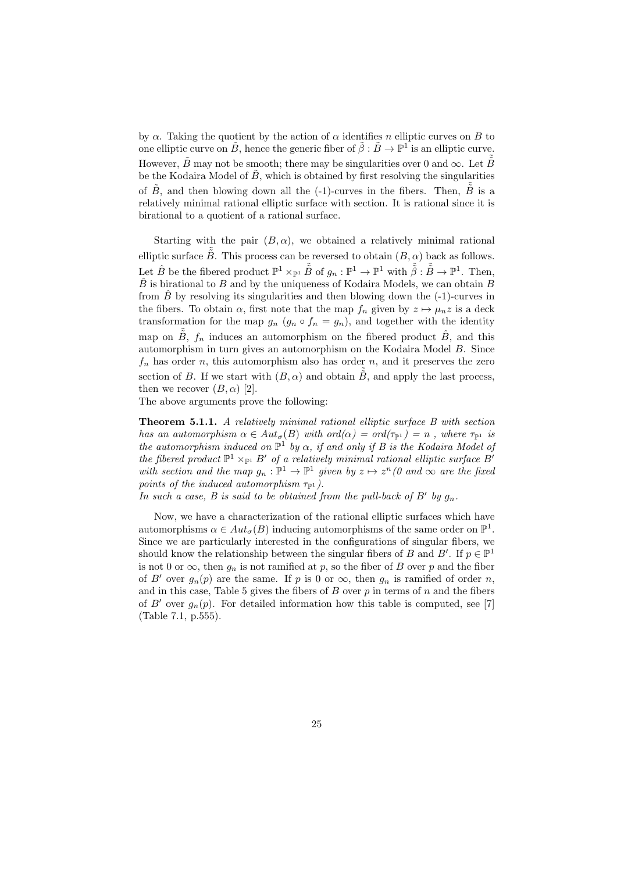by  $\alpha$ . Taking the quotient by the action of  $\alpha$  identifies n elliptic curves on B to one elliptic curve on  $\tilde{B}$ , hence the generic fiber of  $\tilde{\beta}: \tilde{B} \to \mathbb{P}^1$  is an elliptic curve. However,  $\tilde{B}$  may not be smooth; there may be singularities over 0 and  $\infty$ . Let  $\tilde{\tilde{B}}$ be the Kodaira Model of  $B$ , which is obtained by first resolving the singularities of  $\tilde{B}$ , and then blowing down all the (-1)-curves in the fibers. Then,  $\tilde{\tilde{B}}$  is a relatively minimal rational elliptic surface with section. It is rational since it is birational to a quotient of a rational surface.

Starting with the pair  $(B, \alpha)$ , we obtained a relatively minimal rational elliptic surface  $\tilde{\tilde{B}}$ . This process can be reversed to obtain  $(B, \alpha)$  back as follows. Let  $\hat{B}$  be the fibered product  $\mathbb{P}^1 \times_{\mathbb{P}^1} \tilde{\tilde{B}}$  of  $g_n : \mathbb{P}^1 \to \mathbb{P}^1$  with  $\tilde{\tilde{\beta}} : \tilde{\tilde{B}} \to \mathbb{P}^1$ . Then,  $\hat{B}$  is birational to B and by the uniqueness of Kodaira Models, we can obtain B from  $\hat{B}$  by resolving its singularities and then blowing down the (-1)-curves in the fibers. To obtain  $\alpha$ , first note that the map  $f_n$  given by  $z \mapsto \mu_n z$  is a deck transformation for the map  $g_n$   $(g_n \circ f_n = g_n)$ , and together with the identity map on  $\tilde{B}$ ,  $f_n$  induces an automorphism on the fibered product  $\hat{B}$ , and this automorphism in turn gives an automorphism on the Kodaira Model B. Since  $f_n$  has order n, this automorphism also has order n, and it preserves the zero section of B. If we start with  $(B, \alpha)$  and obtain  $\tilde{B}$ , and apply the last process, then we recover  $(B, \alpha)$  [2].

The above arguments prove the following:

Theorem 5.1.1. A relatively minimal rational elliptic surface B with section has an automorphism  $\alpha \in Aut_{\sigma}(B)$  with  $ord(\alpha) = ord(\tau_{p_1}) = n$ , where  $\tau_{p_1}$  is the automorphism induced on  $\mathbb{P}^1$  by  $\alpha$ , if and only if B is the Kodaira Model of the fibered product  $\mathbb{P}^1 \times_{\mathbb{P}^1} B'$  of a relatively minimal rational elliptic surface B' with section and the map  $g_n : \mathbb{P}^1 \to \mathbb{P}^1$  given by  $z \mapsto z^n$  (0 and  $\infty$  are the fixed points of the induced automorphism  $\tau_{\mathbb{P}^1}$ ).

In such a case, B is said to be obtained from the pull-back of  $B'$  by  $g_n$ .

Now, we have a characterization of the rational elliptic surfaces which have automorphisms  $\alpha \in Aut_{\sigma}(B)$  inducing automorphisms of the same order on  $\mathbb{P}^1$ . Since we are particularly interested in the configurations of singular fibers, we should know the relationship between the singular fibers of B and B'. If  $p \in \mathbb{P}^1$ is not 0 or  $\infty$ , then  $g_n$  is not ramified at p, so the fiber of B over p and the fiber of B' over  $g_n(p)$  are the same. If p is 0 or  $\infty$ , then  $g_n$  is ramified of order n, and in this case, Table 5 gives the fibers of  $B$  over  $p$  in terms of  $n$  and the fibers of B' over  $g_n(p)$ . For detailed information how this table is computed, see [7] (Table 7.1, p.555).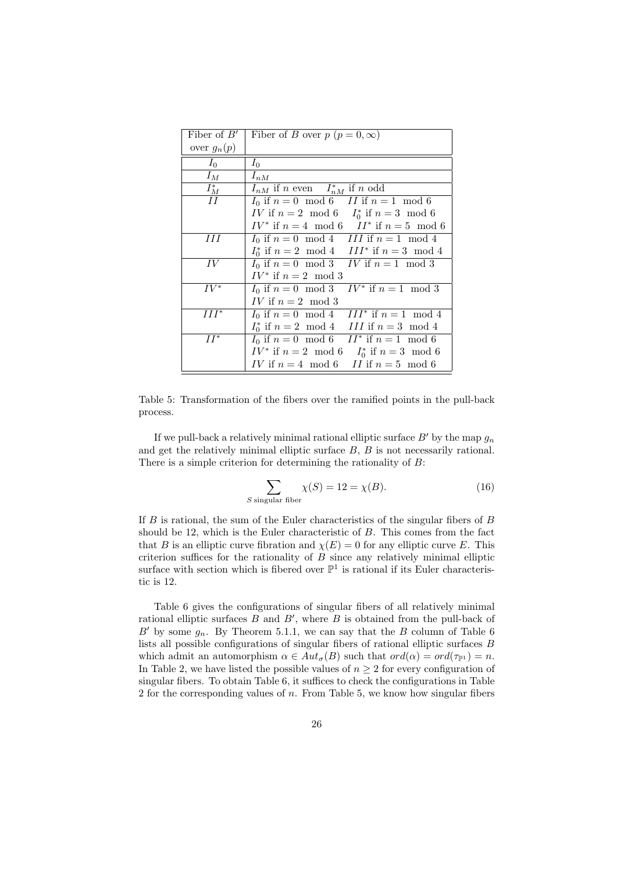| Fiber of $B'$      | Fiber of B over $p (p = 0, \infty)$                                 |
|--------------------|---------------------------------------------------------------------|
| over $g_n(p)$      |                                                                     |
| $I_0$              | $I_0$                                                               |
| $I_M$              | $I_{nM}$                                                            |
| $\frac{I_M^*}{II}$ | $I_{nM}$ if n even $I_{nM}^*$ if n odd                              |
|                    | $I_0$ if $n = 0 \mod 6$ II if $n = 1 \mod 6$                        |
|                    | <i>IV</i> if $n = 2 \mod 6$ <i>I</i> <sup>*</sup> if $n = 3 \mod 6$ |
|                    | $IV^*$ if $n = 4 \mod 6$ $II^*$ if $n = 5 \mod 6$                   |
| HН                 | $I_0$ if $n = 0 \mod 4$ III if $n = 1 \mod 4$                       |
|                    | $I_0^*$ if $n = 2 \mod 4$ III <sup>*</sup> if $n = 3 \mod 4$        |
| IV                 | $I_0$ if $n = 0 \mod 3$ IV if $n = 1 \mod 3$                        |
|                    | $IV^*$ if $n=2 \mod 3$                                              |
| $IV^*$             | $I_0$ if $n = 0 \mod 3$ $IV^*$ if $n = 1 \mod 3$                    |
|                    | <i>IV</i> if $n = 2 \mod 3$                                         |
| $III^*$            | $I_0$ if $n = 0 \mod 4$ III* if $n = 1 \mod 4$                      |
|                    | $I_0^*$ if $n=2 \mod 4$ III if $n=3 \mod 4$                         |
| $II^*$             | $I_0$ if $n=0 \mod 6$ II <sup>*</sup> if $n=1 \mod 6$               |
|                    | $IV^*$ if $n = 2 \mod 6$ $I_0^*$ if $n = 3 \mod 6$                  |
|                    | IV if $n = 4 \mod 6$ II if $n = 5 \mod 6$                           |

Table 5: Transformation of the fibers over the ramified points in the pull-back process.

If we pull-back a relatively minimal rational elliptic surface  $B'$  by the map  $g_n$ and get the relatively minimal elliptic surface  $B, B$  is not necessarily rational. There is a simple criterion for determining the rationality of B:

$$
\sum_{S \text{ singular fiber}} \chi(S) = 12 = \chi(B). \tag{16}
$$

If B is rational, the sum of the Euler characteristics of the singular fibers of B should be 12, which is the Euler characteristic of B. This comes from the fact that B is an elliptic curve fibration and  $\chi(E) = 0$  for any elliptic curve E. This criterion suffices for the rationality of  $B$  since any relatively minimal elliptic surface with section which is fibered over  $\mathbb{P}^1$  is rational if its Euler characteristic is 12.

Table 6 gives the configurations of singular fibers of all relatively minimal rational elliptic surfaces  $B$  and  $B'$ , where  $B$  is obtained from the pull-back of  $B'$  by some  $g_n$ . By Theorem 5.1.1, we can say that the B column of Table 6 lists all possible configurations of singular fibers of rational elliptic surfaces B which admit an automorphism  $\alpha \in Aut_{\sigma}(B)$  such that  $ord(\alpha) = ord(\tau_{\mathbb{P}^1}) = n$ . In Table 2, we have listed the possible values of  $n \geq 2$  for every configuration of singular fibers. To obtain Table 6, it suffices to check the configurations in Table 2 for the corresponding values of  $n$ . From Table 5, we know how singular fibers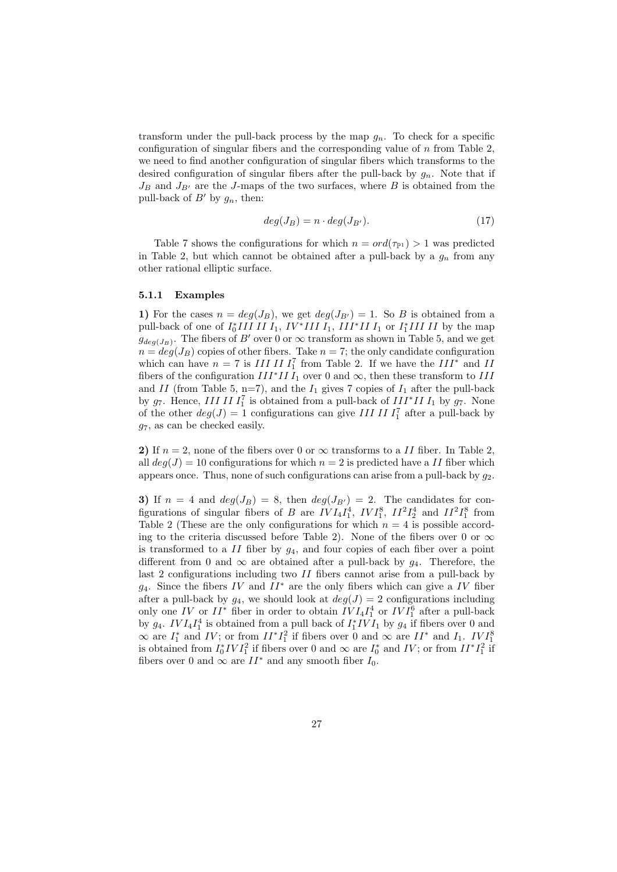transform under the pull-back process by the map  $g_n$ . To check for a specific configuration of singular fibers and the corresponding value of  $n$  from Table 2, we need to find another configuration of singular fibers which transforms to the desired configuration of singular fibers after the pull-back by  $g_n$ . Note that if  $J_B$  and  $J_{B'}$  are the J-maps of the two surfaces, where B is obtained from the pull-back of  $B'$  by  $g_n$ , then:

$$
deg(J_B) = n \cdot deg(J_{B'}). \tag{17}
$$

Table 7 shows the configurations for which  $n = ord(\tau_{\mathbb{P}^1}) > 1$  was predicted in Table 2, but which cannot be obtained after a pull-back by a  $g_n$  from any other rational elliptic surface.

#### 5.1.1 Examples

1) For the cases  $n = deg(J_B)$ , we get  $deg(J_{B'}) = 1$ . So B is obtained from a pull-back of one of  $I_0^* III II I_1$ ,  $IV^* III I_1$ ,  $III^* II I_1$  or  $I_1^* III II$  by the map  $g_{deg(J_B)}$ . The fibers of B' over 0 or  $\infty$  transform as shown in Table 5, and we get  $n = deg(J_B)$  copies of other fibers. Take  $n = 7$ ; the only candidate configuration which can have  $n = 7$  is  $III \, II \, I_1^7$  from Table 2. If we have the  $III^*$  and  $II$ fibers of the configuration  $III^*II I_1$  over 0 and  $\infty$ , then these transform to III and II (from Table 5, n=7), and the  $I_1$  gives 7 copies of  $I_1$  after the pull-back by  $g_7$ . Hence, III II  $I_1^7$  is obtained from a pull-back of III<sup>\*</sup>II  $I_1$  by  $g_7$ . None of the other  $deg(J) = 1$  configurations can give III II  $I_1^7$  after a pull-back by  $q_7$ , as can be checked easily.

2) If  $n = 2$ , none of the fibers over 0 or  $\infty$  transforms to a *II* fiber. In Table 2, all  $deg(J) = 10$  configurations for which  $n = 2$  is predicted have a II fiber which appears once. Thus, none of such configurations can arise from a pull-back by  $g_2$ .

3) If  $n = 4$  and  $deg(J_B) = 8$ , then  $deg(J_{B'}) = 2$ . The candidates for configurations of singular fibers of B are  $IVI_4I_1^4$ ,  $IVI_1^8$ ,  $II^2I_2^4$  and  $II^2I_1^8$  from Table 2 (These are the only configurations for which  $n = 4$  is possible according to the criteria discussed before Table 2). None of the fibers over 0 or  $\infty$ is transformed to a  $II$  fiber by  $q_4$ , and four copies of each fiber over a point different from 0 and  $\infty$  are obtained after a pull-back by  $g_4$ . Therefore, the last 2 configurations including two II fibers cannot arise from a pull-back by  $g_4$ . Since the fibers IV and II<sup>\*</sup> are the only fibers which can give a IV fiber after a pull-back by  $g_4$ , we should look at  $deg(J) = 2$  configurations including only one  $IV$  or  $II^*$  fiber in order to obtain  $IVI_4I_1^4$  or  $IVI_1^6$  after a pull-back by  $g_4$ .  $IVI_4I_1^4$  is obtained from a pull back of  $I_1^*IVI_1$  by  $g_4$  if fibers over 0 and  $\infty$  are  $I_1^*$  and  $IV$ ; or from  $II^*I_1^2$  if fibers over 0 and  $\infty$  are  $II^*$  and  $I_1$ .  $IVI_1^8$ is obtained from  $I_0^* IV I_1^2$  if fibers over 0 and  $\infty$  are  $I_0^*$  and IV; or from  $II^* I_1^2$  if fibers over 0 and  $\infty$  are  $II^*$  and any smooth fiber  $I_0$ .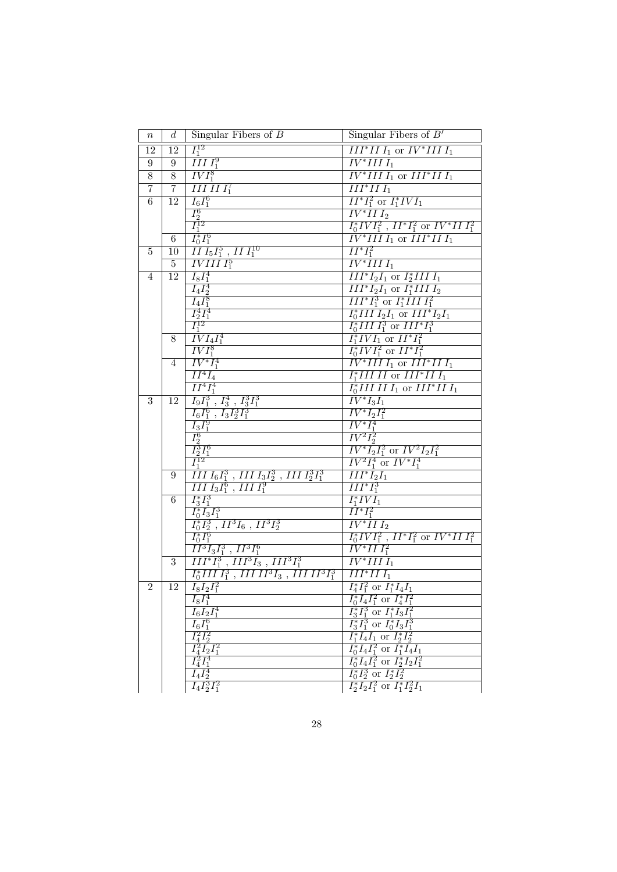| $\it n$         | $\boldsymbol{d}$ | Singular Fibers of $B$                                                                                                                                                                                                                                                                                                                                                                                                                                                                                                                               | Singular Fibers of $B'$                                                                         |
|-----------------|------------------|------------------------------------------------------------------------------------------------------------------------------------------------------------------------------------------------------------------------------------------------------------------------------------------------------------------------------------------------------------------------------------------------------------------------------------------------------------------------------------------------------------------------------------------------------|-------------------------------------------------------------------------------------------------|
| 12              | 12               | $I_1^{12}$                                                                                                                                                                                                                                                                                                                                                                                                                                                                                                                                           | $III^*II I_1$ or $IV^*III I_1$                                                                  |
| 9               | $\boldsymbol{9}$ | $\overline{IIII_1^9}$                                                                                                                                                                                                                                                                                                                                                                                                                                                                                                                                | $\overline{IV^*IIII_1}$                                                                         |
| $8\,$           | $\overline{8}$   | $\overline{IVI_1^8}$                                                                                                                                                                                                                                                                                                                                                                                                                                                                                                                                 | $IV^*III I_1$ or $III^*II I_1$                                                                  |
| $\overline{7}$  | $\overline{7}$   | $IIIIII_1^7$                                                                                                                                                                                                                                                                                                                                                                                                                                                                                                                                         | $III^*III_1$                                                                                    |
| $6\overline{6}$ |                  |                                                                                                                                                                                                                                                                                                                                                                                                                                                                                                                                                      | $\overline{II^*I_1^2}$ or $\overline{I_1^*IV}I_1$                                               |
|                 |                  |                                                                                                                                                                                                                                                                                                                                                                                                                                                                                                                                                      | $\overline{IV^*II}I_2$                                                                          |
|                 |                  |                                                                                                                                                                                                                                                                                                                                                                                                                                                                                                                                                      | $I_0^*IVI_1^2$ , $II^*I_1^2$ or $IV^*II$ $I_1^2$                                                |
|                 |                  |                                                                                                                                                                                                                                                                                                                                                                                                                                                                                                                                                      | $\frac{1}{IV^*III}$ or $\frac{1}{III^*II}$                                                      |
| 5               |                  |                                                                                                                                                                                                                                                                                                                                                                                                                                                                                                                                                      | $\overline{II^*I_1^2}$                                                                          |
|                 |                  | $\begin{array}{c c} \hline \begin{array}{c} \hline \begin{array}{c} \hline \begin{array}{c} \hline \begin{array}{c} \hline \end{array} \\ \hline \hline \end{array} \\ \hline \end{array} \\ \hline \end{array} \\ \hline \begin{array}{c} \hline \begin{array}{c} \hline \begin{array}{c} \hline \end{array} \\ \hline \end{array} \\ \hline \end{array} \\ \hline \end{array} \\ \hline \end{array} \\ \hline \begin{array}{c} \hline \begin{array}{c} \hline \end{array} \\ \hline \end{array} \\ \hline \begin{array}{c} \hline \begin{array}{c$ | $\overline{IV^*IIII_1}$                                                                         |
| 4               |                  |                                                                                                                                                                                                                                                                                                                                                                                                                                                                                                                                                      | $\overline{III^*I_2I_1}$ or $I_2^*IIII_1$                                                       |
|                 |                  |                                                                                                                                                                                                                                                                                                                                                                                                                                                                                                                                                      | $\overline{III^*I_2I_1}$ or $I_1^*IIII_2$                                                       |
|                 |                  |                                                                                                                                                                                                                                                                                                                                                                                                                                                                                                                                                      | $\overline{III^*I_1^3}$ or $I_1^*III I_1^2$                                                     |
|                 |                  |                                                                                                                                                                                                                                                                                                                                                                                                                                                                                                                                                      | $I_0^* III I_2 I_1$ or $III^* I_2 I_1$                                                          |
|                 |                  |                                                                                                                                                                                                                                                                                                                                                                                                                                                                                                                                                      | $I_0^* III I_1^3$ or $III^* I_1^3$                                                              |
|                 | 8                | $\overline{IVI_4I_1^4}$                                                                                                                                                                                                                                                                                                                                                                                                                                                                                                                              | $I_1^* IV I_1$ or $II^* I_1^2$                                                                  |
|                 |                  | $\frac{IVI_1^8}{IV^*I_1^4}$                                                                                                                                                                                                                                                                                                                                                                                                                                                                                                                          | $I_0^*IVI_1^2$ or $II^*I_1^2$<br>$IV^*IIII_1$ or $III^*III_1$                                   |
|                 | 4                | $\overline{II^4I_4}$                                                                                                                                                                                                                                                                                                                                                                                                                                                                                                                                 | $I_1^*III$ II or $III^*II$ $I_1$                                                                |
|                 |                  | $\overline{II^4I_1^4}$                                                                                                                                                                                                                                                                                                                                                                                                                                                                                                                               | $I_0^*IIIIII_1$ or $III^*III_1$                                                                 |
| 3               | 12               | $\overline{I_9I_1^3$ , $I_3^4$ , $I_3^3I_1^3$                                                                                                                                                                                                                                                                                                                                                                                                                                                                                                        | $IV^*I_3I_1$                                                                                    |
|                 |                  | $\overline{I_6I_1^6$ , $\overline{I_3I_2^3I_1^3}$                                                                                                                                                                                                                                                                                                                                                                                                                                                                                                    | $\overline{IV^*I_2I_1^2}$                                                                       |
|                 |                  |                                                                                                                                                                                                                                                                                                                                                                                                                                                                                                                                                      | $\overline{IV^* I_1^4}$                                                                         |
|                 |                  | $\frac{I_3I_1^9}{I_2^6}\frac{I_2^6}{I_2^3I_1^6}$                                                                                                                                                                                                                                                                                                                                                                                                                                                                                                     | $\overline{IV^2I_2^2}$                                                                          |
|                 |                  |                                                                                                                                                                                                                                                                                                                                                                                                                                                                                                                                                      | $\overline{IV^*I_2I_1^2}$ or $\overline{IV^2I_2I_1^2}$                                          |
|                 |                  | $I_1^{12}$                                                                                                                                                                                                                                                                                                                                                                                                                                                                                                                                           | $IV^2I_1^4$ or $IV^*I_1^4$                                                                      |
|                 | 9                | $III\overline{I_6I_1^3}$ , $III\overline{I_3I_2^3}$ , $III\overline{I_2^3I_1^3}$                                                                                                                                                                                                                                                                                                                                                                                                                                                                     | $III^*I_2I_1$                                                                                   |
|                 |                  | $III$ $I_3I_1^6$ , $III$ $I_1^9$                                                                                                                                                                                                                                                                                                                                                                                                                                                                                                                     | $III^*I_1^3$                                                                                    |
|                 | 6                | $I_3^*I_1^3$                                                                                                                                                                                                                                                                                                                                                                                                                                                                                                                                         | $I_1^*IVI_1$                                                                                    |
|                 |                  | $\overline{I_0^*}\overline{I_3}\overline{I_1^3}$                                                                                                                                                                                                                                                                                                                                                                                                                                                                                                     | $II^*I_1^2$                                                                                     |
|                 |                  | $I_0^* I_2^3$ , $I I^3 I_6$ , $I I^3 I_2^3$                                                                                                                                                                                                                                                                                                                                                                                                                                                                                                          | $\overline{IV^*II\,I_2}$                                                                        |
|                 |                  | $\overline{I_0^*I_1^6}$                                                                                                                                                                                                                                                                                                                                                                                                                                                                                                                              | $\overline{I_0^*IVI_1^2}$ , $II^*I_1^2$ or $IV^*II$ $I_1^2$                                     |
|                 |                  | $II^3I_3I_1^3$ , $II^3I_1^6$                                                                                                                                                                                                                                                                                                                                                                                                                                                                                                                         | $\overline{IV^*III}_1^2$                                                                        |
|                 | $\overline{3}$   | $III^*I_1^3$ , $III^3I_3$ , $III^3I_1^3$                                                                                                                                                                                                                                                                                                                                                                                                                                                                                                             | $\overline{IV^*IIII_1}$                                                                         |
|                 |                  | $I_0^* III \, I_1^3$ , $III \, II^3 I_3$ , $III \, II^3 I_1^3$                                                                                                                                                                                                                                                                                                                                                                                                                                                                                       | $III^*II I_1$                                                                                   |
| $\overline{2}$  | 12               | $I_8I_2I_1^2$                                                                                                                                                                                                                                                                                                                                                                                                                                                                                                                                        | $I_4^*I_1^2$ or $I_1^*I_4I_1$                                                                   |
|                 |                  | $I_8I_1^4$<br>$I_6I_2I_1^4$                                                                                                                                                                                                                                                                                                                                                                                                                                                                                                                          | $I_0^* I_4 I_1^2$ or $I_4^* I_1^2$                                                              |
|                 |                  |                                                                                                                                                                                                                                                                                                                                                                                                                                                                                                                                                      | $I_3^*I_1^3$ or $I_1^*I_3I_1^2$<br>$\overline{I_3^*I_1^3}$ or $\overline{I_0^*I_3I_1^3}$        |
|                 |                  |                                                                                                                                                                                                                                                                                                                                                                                                                                                                                                                                                      | $I_1^*I_4I_1$ or $I_2^*I_2^2$                                                                   |
|                 |                  | $\frac{I_6I_2^2I_1}{I_6I_1^6} \frac{I_4^2I_2^2}{I_4^2I_2I_1^2} \frac{I_4^2I_2I_4^4}{I_4I_4^4}$                                                                                                                                                                                                                                                                                                                                                                                                                                                       |                                                                                                 |
|                 |                  |                                                                                                                                                                                                                                                                                                                                                                                                                                                                                                                                                      | $\frac{I_0^* I_4 I_1^2 \text{ or } I_1^* I_4 I_1}{I_0^* I_4 I_1^2 \text{ or } I_2^* I_2 I_1^2}$ |
|                 |                  |                                                                                                                                                                                                                                                                                                                                                                                                                                                                                                                                                      | $\overline{I_0^* I_2^3}$ or $\overline{I_2^* I_2^2}$                                            |
|                 |                  | $\overline{I_4 I_2^3 I_1^2}$                                                                                                                                                                                                                                                                                                                                                                                                                                                                                                                         | $\frac{1}{2}I_2I_1^2$ or $I_1^*I_2^2I_1$                                                        |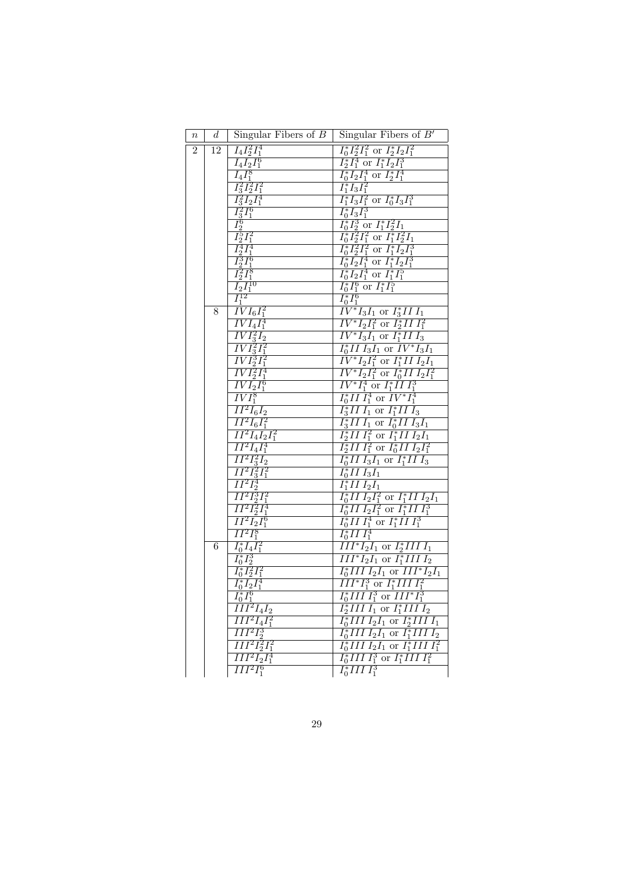| $\it n$        | $d_{-}$ | Singular Fibers of $B$                                                                                                                                                                                                                                                                                                         | Singular Fibers of $B'$                                                                                                                                                                                                     |
|----------------|---------|--------------------------------------------------------------------------------------------------------------------------------------------------------------------------------------------------------------------------------------------------------------------------------------------------------------------------------|-----------------------------------------------------------------------------------------------------------------------------------------------------------------------------------------------------------------------------|
| $\overline{2}$ | 12      | $I_4I_2^2I_1^4$                                                                                                                                                                                                                                                                                                                | $I_0^* I_2^2 I_1^2$ or $I_2^* I_2 I_1^2$                                                                                                                                                                                    |
|                |         |                                                                                                                                                                                                                                                                                                                                | $I_2^*I_1^4$ or $I_1^*I_2I_1^3$                                                                                                                                                                                             |
|                |         | $\frac{\overline{I_4I_2I_1^6}}{\overline{I_4I_1^8}}$                                                                                                                                                                                                                                                                           | $\frac{\frac{7}{6}I_2I_1^4 \text{ or } I_2^*I_1^4}{I_0^*I_2I_1^4 \text{ or } I_2^*I_1^4} \frac{I_1^*I_3I_1^2}{I_1^*I_3I_1^2}$                                                                                               |
|                |         |                                                                                                                                                                                                                                                                                                                                |                                                                                                                                                                                                                             |
|                |         |                                                                                                                                                                                                                                                                                                                                |                                                                                                                                                                                                                             |
|                |         |                                                                                                                                                                                                                                                                                                                                |                                                                                                                                                                                                                             |
|                |         |                                                                                                                                                                                                                                                                                                                                |                                                                                                                                                                                                                             |
|                |         |                                                                                                                                                                                                                                                                                                                                |                                                                                                                                                                                                                             |
|                |         |                                                                                                                                                                                                                                                                                                                                | $I_0 I_3 I_1$<br>$I_0^* I_2^3$ or $I_1^* I_2^2 I_1$<br>$I_0^* I_2^2 I_1^2$ or $I_1^* I_2^2 I_1$<br>$I_0^* I_2^2 I_1^2$ or $I_1^* I_2 I_1^3$<br>$I_0^* I_2 I_1^4$ or $I_1^* I_2 I_1^3$<br>$I_0^* I_2 I_1^4$ or $I_1^* I_1^5$ |
|                |         |                                                                                                                                                                                                                                                                                                                                |                                                                                                                                                                                                                             |
|                |         |                                                                                                                                                                                                                                                                                                                                |                                                                                                                                                                                                                             |
|                |         |                                                                                                                                                                                                                                                                                                                                |                                                                                                                                                                                                                             |
|                | 8       | $\begin{array}{l} \frac{72}{13}\frac{72}{12}I_1^2 \ \frac{72}{13}I_2I_1^4 \ \frac{72}{13}I_1^6 \ \frac{72}{12}I_1^2 \ \frac{72}{12}I_1^2 \ \frac{72}{12}I_1^3 \ \frac{72}{12}I_1^8 \ \frac{72}{12}I_1^{10} \ \frac{72}{11}I_1^{12} \ \frac{72}{11}I_1^{12} \ \frac{72}{11}I_1^2 \ \frac{72}{11}I_1^2 \ \frac{72}{11}I_1^2 \ \$ | $\frac{I_0^* I_1^6 \text{ or } I_1^* I_1^5}{I_0^* I_1^6}$<br>$\frac{I_0^* I_1^6}{IV^* I_3 I_1 \text{ or } I_3^* II I_1}$                                                                                                    |
|                |         | $\overline{IVI_4I_1^4}$                                                                                                                                                                                                                                                                                                        | $\overline{IV^*I_2I_1^2}$ or $\overline{I_2^*II}I_1^2$                                                                                                                                                                      |
|                |         | $\overline{IVI_3^2I_2}$                                                                                                                                                                                                                                                                                                        | $\overline{IV^*I_3I_1}$ or $\overline{I_1^*III_3}$                                                                                                                                                                          |
|                |         | $\overline{IVI_3^2I_1^2}$                                                                                                                                                                                                                                                                                                      | $I_0^*II I_3I_1$ or $\overline{IV^*I_3I_1}$                                                                                                                                                                                 |
|                |         | $\overline{IVI_2^3I_1^2}$                                                                                                                                                                                                                                                                                                      | $\overline{IV^*I_2I_1^2}$ or $I_1^*II$ $I_2I_1$                                                                                                                                                                             |
|                |         | $\overline{IVI_2^2I_1^4}$                                                                                                                                                                                                                                                                                                      | $\frac{1}{IV^*I_2I_1^2}$ or $I_0^*III_2I_1^2$                                                                                                                                                                               |
|                |         | $\overline{IVI_2I_1^6}$                                                                                                                                                                                                                                                                                                        | $\overline{IV^*I_1^4}$ or $I_1^*III_1^3$                                                                                                                                                                                    |
|                |         | $\overline{IVI_1^8}$<br>$II^2I_6I_2$                                                                                                                                                                                                                                                                                           | $I_0^* II I_1^4$ or $IV^* I_1^4$                                                                                                                                                                                            |
|                |         | $II^2I_6I_1^2$                                                                                                                                                                                                                                                                                                                 | $I_3^*II I_1$ or $I_1^*II I_3$<br>$I_3^*II I_1$ or $I_0^*II I_3I_1$                                                                                                                                                         |
|                |         | $II^2I_4I_2I_1^2$                                                                                                                                                                                                                                                                                                              | $I_2^*II I_1^2$ or $I_1^*II I_2I_1$                                                                                                                                                                                         |
|                |         | $\overline{II^2I_4I_1^4}$                                                                                                                                                                                                                                                                                                      | $\overline{I_2^*II} \, \overline{I_1^2}$ or $\overline{I_0^*II} \, \overline{I_2I_1^2}$                                                                                                                                     |
|                |         | $\overline{II^2I_3^2I_2}$                                                                                                                                                                                                                                                                                                      | $I_0^*III$ $I_3I_1$ or $I_1^*III$ $I_3$                                                                                                                                                                                     |
|                |         | $\overline{II^2I_3^2I_1^2}$                                                                                                                                                                                                                                                                                                    | $I_0^*II I_3I_1$                                                                                                                                                                                                            |
|                |         | $\overline{II^2I_2^4}$                                                                                                                                                                                                                                                                                                         | $I_1^*II I_2I_1$                                                                                                                                                                                                            |
|                |         | $\overline{II^2I_2^3I_1^2}$                                                                                                                                                                                                                                                                                                    | $I_0^*II\,I_2I_1^2$ or $I_1^*II\,I_2I_1$                                                                                                                                                                                    |
|                |         | $\overline{II^2I_2^2I_1^4}$                                                                                                                                                                                                                                                                                                    | $I_0^*II I_2I_1^2$ or $I_1^*II I_1^3$                                                                                                                                                                                       |
|                |         | $\overline{II^2I_2I_1^6}$                                                                                                                                                                                                                                                                                                      | $\frac{1}{I_0^* II} \frac{1}{I_1^4} \frac{1}{I_1^* II} \frac{1}{I_1^3}$<br>$\frac{1}{I_0^* II} \frac{1}{I_1^4}$                                                                                                             |
|                |         | $II^2I_1^8$                                                                                                                                                                                                                                                                                                                    |                                                                                                                                                                                                                             |
|                | 6       | $I_0^* I_4 I_1^2$                                                                                                                                                                                                                                                                                                              | $III^*I_2I_1$ or $I_2^*IIII_1$                                                                                                                                                                                              |
|                |         | $\frac{\frac{1}{I_0^*}I_2^3}{I_0^*I_2^2I_1^2}$                                                                                                                                                                                                                                                                                 | $\overline{III^*I_2I_1}$ or $I_1^*IIII_2$<br>$I_0^*III I_2I_1$ or $III^*I_2I_1$                                                                                                                                             |
|                |         | $\overline{I_0^* I_2 I_1^4}$                                                                                                                                                                                                                                                                                                   | $\overline{III^*I_1^3}$ or $I_1^*III I_1^2$                                                                                                                                                                                 |
|                |         | $\overline{I_0^* I_1^6}$                                                                                                                                                                                                                                                                                                       | $I_0^*IIII_1^3$ or $III^*I_1^3$                                                                                                                                                                                             |
|                |         | $\overline{III^2I_4I_2}$                                                                                                                                                                                                                                                                                                       | $I_2^* \overline{III}\,I_1$ or $I_1^* III\,I_2$                                                                                                                                                                             |
|                |         | $III^2I_4I_1^2$                                                                                                                                                                                                                                                                                                                | $\overline{I_0^*III}$ $\overline{I_2I_1}$ or $\overline{I_2^*III}$ $\overline{I_1}$                                                                                                                                         |
|                |         | $III2I23$                                                                                                                                                                                                                                                                                                                      | $\overline{I_0^*}\overline{III}\ I_2I_1$ or $\overline{I_1^*} \overline{III}\ I_2$                                                                                                                                          |
|                |         | $III^2I_2^2I_1^2$                                                                                                                                                                                                                                                                                                              | $I_0^*III I_2I_1$ or $I_1^*III I_1^2$                                                                                                                                                                                       |
|                |         | $III^2I_2I_1^4$                                                                                                                                                                                                                                                                                                                | $I_0^*III I_1^3$ or $I_1^*III I_1^2$                                                                                                                                                                                        |
|                |         | $III^2I_1^6$                                                                                                                                                                                                                                                                                                                   | $I_0^*III I_1^3$                                                                                                                                                                                                            |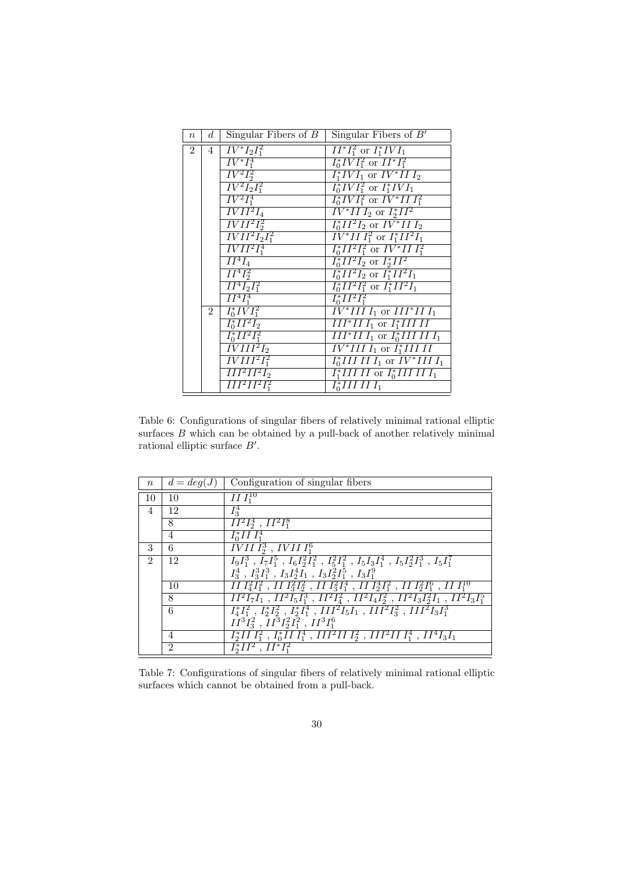| $\boldsymbol{n}$ | $d_{-}$        | Singular Fibers of $B$      | Singular Fibers of $B'$                                |
|------------------|----------------|-----------------------------|--------------------------------------------------------|
| $\mathfrak{D}$   | 4 <sup>1</sup> | $IV^*I_2\bar{I}_1^2$        | $\overline{II^*I_1^2}$ or $I_1^*IVI_1$                 |
|                  |                | $\overline{IV^*I_1^4}$      | $I_0^*IVI_1^2$ or $II^*I_1^2$                          |
|                  |                | $IV^2I_2^2$                 | $I_1^*IVI_1$ or $IV^*II I_2$                           |
|                  |                | $IV^2I_2I_1^2$              | $I_0^*IVI_1^2$ or $I_1^*IVI_1$                         |
|                  |                | $IV^2I_1^4$                 | $I_0^*IVI_1^2$ or $IV^*III_1^2$                        |
|                  |                | $\overline{IVII^2I_4}$      | $\overline{IV^*II I_2}$ or $I_2^*II^2$                 |
|                  |                | $\overline{IVII^2I_2^2}$    | $I_0^*II^2I_2$ or $IV^*II I_2$                         |
|                  |                | $\overline{IVII^2I_2I_1^2}$ | $\frac{1}{\sqrt{V^*III_1^2} \text{ or } I_1^*II^2I_1}$ |
|                  |                | $\overline{IVII^2I_1^4}$    | $I_0^*II^2I_1^2$ or $IV^*III_1^2$                      |
|                  |                | $\overline{II^4I_4}$        | $I_0^*II^2I_2$ or $I_2^*II^2$                          |
|                  |                | $II^4I_2^2$                 | $I_0^*II^2I_2$ or $I_1^*II^2I_1$                       |
|                  |                | $II^4I_2I_1^2$              | $I_0^*II^2I_1^2$ or $I_1^*II^2I_1$                     |
|                  |                | $II^4I_1^4$                 | $I_0^*II^2I_1^2$                                       |
|                  | $2^{\circ}$    | $I_0^*IVI_1^2$              | $\overline{IV^*III I_1}$ or $\overline{III^*II I_1}$   |
|                  |                | $I_0^*II^2I_2$              | $III^*HI$ or $I_1^*III$ II                             |
|                  |                | $I_0^*II^2I_1^2$            | $III^*II I_1$ or $I_0^*III II I_1$                     |
|                  |                | $\overline{IVIII^2I_2}$     | $\overline{IV^*IIII_1}$ or $I_1^*IIIII$                |
|                  |                | $\overline{IVIII^2I_1^2}$   | $I_0^*IIIIII_1$ or $IV^*IIII_1$                        |
|                  |                | $III^2II^2I_2$              | $I_1^*III$ II or $I_0^*III$ III $I_1$                  |
|                  |                | $\overline{III^2II^2I_1^2}$ | $\overline{I_0^*III}$ II $I_1$                         |

Table 6: Configurations of singular fibers of relatively minimal rational elliptic surfaces  $B$  which can be obtained by a pull-back of another relatively minimal rational elliptic surface  $B'$ .

| $\boldsymbol{n}$            | $d = deg(J)$   | Configuration of singular fibers                                                                                                                                                       |
|-----------------------------|----------------|----------------------------------------------------------------------------------------------------------------------------------------------------------------------------------------|
| 10                          | 10             | $\overline{II}I_1^{10}$                                                                                                                                                                |
| $\overline{4}$              | 12             | $I_3^4$                                                                                                                                                                                |
|                             | 8              | $II^2I_2^4$ , $II^2I_1^8$                                                                                                                                                              |
|                             | $\overline{4}$ | $I_0^*III_1^4$                                                                                                                                                                         |
| 3                           | 6              | $\overline{IVII}I_2^3$ , $IVII}I_1^6$                                                                                                                                                  |
| $\mathcal{D}_{\mathcal{L}}$ | 12             | $I_9I_1^3$ , $I_7I_1^5$ , $I_6I_2^2I_1^2$ , $I_5^2I_1^2$ , $I_5I_3I_1^4$ , $I_5I_2^2I_1^3$ , $I_5I_1^7$                                                                                |
|                             |                | $I_3^4$ , $I_3^3I_1^3$ , $I_3I_2^4I_1$ , $I_3I_2^2I_1^5$ , $I_3I_1^9$                                                                                                                  |
|                             | 10             | $\frac{1}{2}I_1^2I_1^2$ , $II \, I_3^2I_2^2$ , $II \, I_3^2I_1^4$ , $II \, I_2^4I_1^2$ , $II \, I_2^2I_1^6$ , $II \, I_1^{10}$                                                         |
|                             | 8              | $II^2I_7I_1$ , $II^2I_5I_1^3$ , $II^2I_4^2$ , $II^2I_4I_2^2$ , $II^2I_3I_2^2I_1$ , $II^2I_3I_1^5$                                                                                      |
|                             | 6              | $\overline{I_4^*I_1^2}$ , $\overline{I_2^*I_2^2}$ , $\overline{I_2^*I_1^4}$ , $\overline{III^2I_5I_1}$ , $\overline{III^2I_3^2}$ , $\overline{III^2I_3I_1^3}$                          |
|                             |                | $II^3I_3^2$ , $II^3I_2^2I_1^2$ , $II^3I_1^6$                                                                                                                                           |
|                             | 4              | $\overline{I_2^*I\overline{I}I_1^2}$ , $\overline{I_0^*I\overline{I}I_1^4}$ , $\overline{II}\overline{I_1^2II}I_2^2$ , $\overline{II}\overline{I}^2II}I_1^4$ , $\overline{II}^4I_3I_1$ |
|                             | $\mathfrak{D}$ | $\overline{I_2^*II^2$ , $II^*I_1^2$                                                                                                                                                    |

Table 7: Configurations of singular fibers of relatively minimal rational elliptic surfaces which cannot be obtained from a pull-back.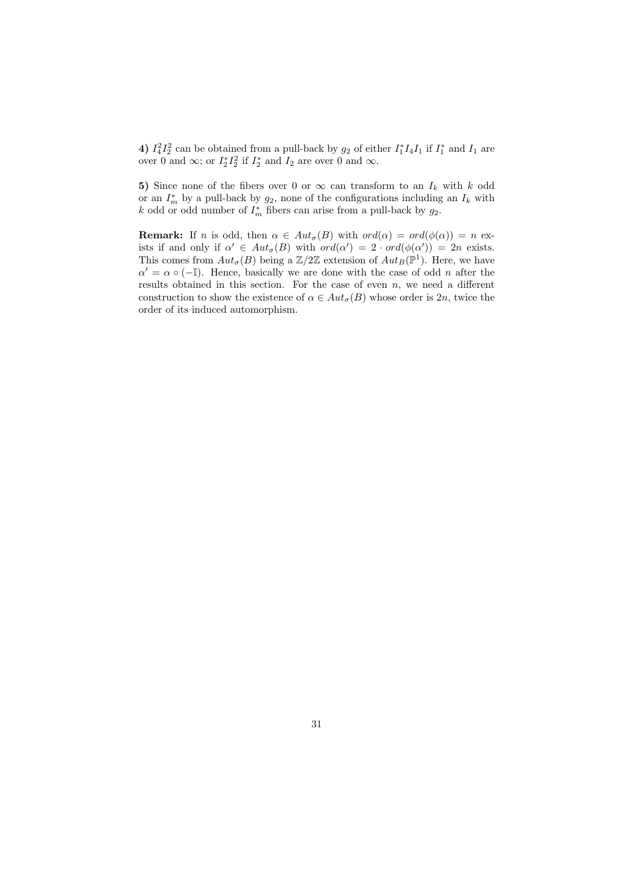4)  $I_4^2 I_2^2$  can be obtained from a pull-back by  $g_2$  of either  $I_1^* I_4 I_1$  if  $I_1^*$  and  $I_1$  are over 0 and  $\infty$ ; or  $I_2^* I_2^2$  if  $I_2^*$  and  $I_2$  are over 0 and  $\infty$ .

5) Since none of the fibers over 0 or  $\infty$  can transform to an  $I_k$  with k odd or an  $I_m^*$  by a pull-back by  $g_2$ , none of the configurations including an  $I_k$  with k odd or odd number of  $I_m^*$  fibers can arise from a pull-back by  $g_2$ .

**Remark:** If n is odd, then  $\alpha \in Aut_{\sigma}(B)$  with  $ord(\alpha) = ord(\phi(\alpha)) = n$  exists if and only if  $\alpha' \in Aut_{\sigma}(B)$  with  $ord(\alpha') = 2 \cdot ord(\phi(\alpha')) = 2n$  exists. This comes from  $Aut_{\sigma}(B)$  being a  $\mathbb{Z}/2\mathbb{Z}$  extension of  $Aut_B(\mathbb{P}^1)$ . Here, we have  $\alpha' = \alpha \circ (-1)$ . Hence, basically we are done with the case of odd *n* after the results obtained in this section. For the case of even  $n$ , we need a different construction to show the existence of  $\alpha \in Aut_{\sigma}(B)$  whose order is 2n, twice the order of its induced automorphism.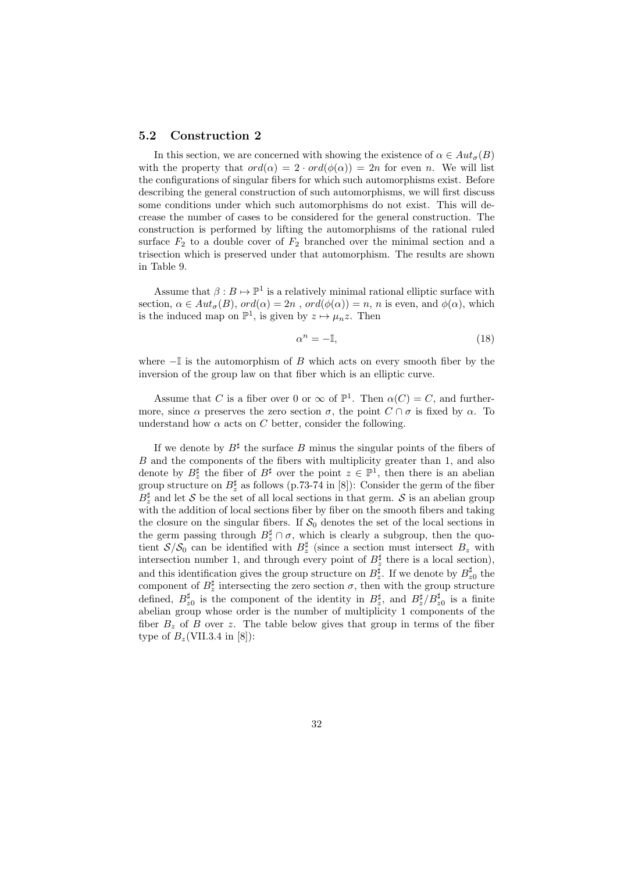#### 5.2 Construction 2

In this section, we are concerned with showing the existence of  $\alpha \in Aut_{\sigma}(B)$ with the property that  $ord(\alpha) = 2 \cdot ord(\phi(\alpha)) = 2n$  for even n. We will list the configurations of singular fibers for which such automorphisms exist. Before describing the general construction of such automorphisms, we will first discuss some conditions under which such automorphisms do not exist. This will decrease the number of cases to be considered for the general construction. The construction is performed by lifting the automorphisms of the rational ruled surface  $F_2$  to a double cover of  $F_2$  branched over the minimal section and a trisection which is preserved under that automorphism. The results are shown in Table 9.

Assume that  $\beta : B \mapsto \mathbb{P}^1$  is a relatively minimal rational elliptic surface with section,  $\alpha \in Aut_{\sigma}(B)$ ,  $ord(\alpha) = 2n$ ,  $ord(\phi(\alpha)) = n$ , n is even, and  $\phi(\alpha)$ , which is the induced map on  $\mathbb{P}^1$ , is given by  $z \mapsto \mu_n z$ . Then

$$
\alpha^n = -\mathbb{I},\tag{18}
$$

where  $-\mathbb{I}$  is the automorphism of B which acts on every smooth fiber by the inversion of the group law on that fiber which is an elliptic curve.

Assume that C is a fiber over 0 or  $\infty$  of  $\mathbb{P}^1$ . Then  $\alpha(C) = C$ , and furthermore, since  $\alpha$  preserves the zero section  $\sigma$ , the point  $C \cap \sigma$  is fixed by  $\alpha$ . To understand how  $\alpha$  acts on C better, consider the following.

If we denote by  $B^{\sharp}$  the surface B minus the singular points of the fibers of B and the components of the fibers with multiplicity greater than 1, and also denote by  $B_z^{\sharp}$  the fiber of  $B^{\sharp}$  over the point  $z \in \mathbb{P}^1$ , then there is an abelian group structure on  $B_z^{\sharp}$  as follows (p.73-74 in [8]): Consider the germ of the fiber  $B_{z}^{\sharp}$  and let S be the set of all local sections in that germ. S is an abelian group with the addition of local sections fiber by fiber on the smooth fibers and taking the closure on the singular fibers. If  $S_0$  denotes the set of the local sections in the germ passing through  $B_z^{\sharp} \cap \sigma$ , which is clearly a subgroup, then the quotient  $S/S_0$  can be identified with  $B_z^{\sharp}$  (since a section must intersect  $B_z$  with intersection number 1, and through every point of  $B_z^{\sharp}$  there is a local section), and this identification gives the group structure on  $B_z^{\sharp}$ . If we denote by  $B_z^{\sharp}$  the component of  $B_z^{\sharp}$  intersecting the zero section  $\sigma$ , then with the group structure defined,  $B_{z0}^{\sharp}$  is the component of the identity in  $B_{z}^{\sharp}$ , and  $B_{z}^{\sharp}/B_{z0}^{\sharp}$  is a finite abelian group whose order is the number of multiplicity 1 components of the fiber  $B_z$  of B over z. The table below gives that group in terms of the fiber type of  $B_z$ (VII.3.4 in [8]):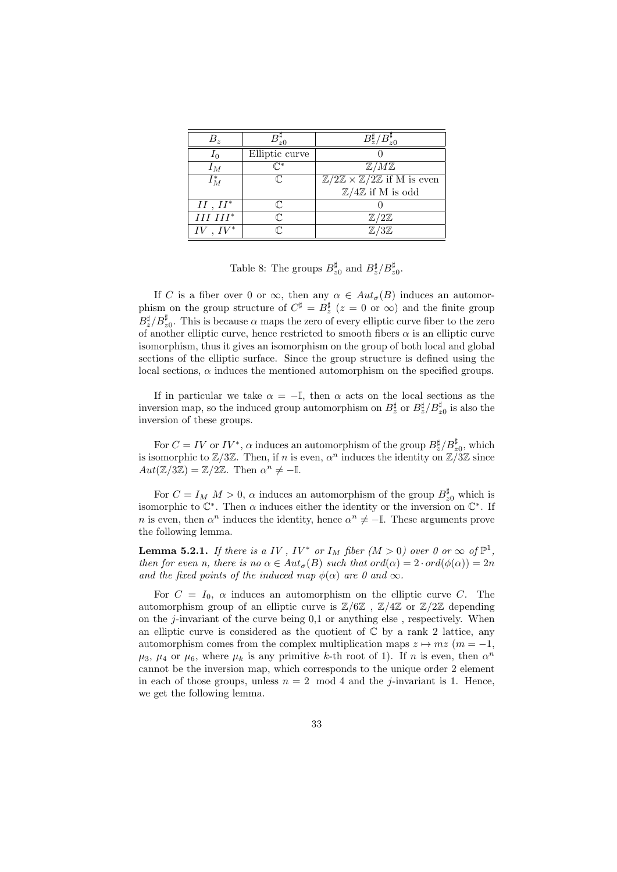| $B_z$       |                | $B_{\tau}^*$                                                                   |
|-------------|----------------|--------------------------------------------------------------------------------|
| 10          | Elliptic curve |                                                                                |
| $I_M$       |                | ${\mathbb Z}/M{\mathbb Z}$                                                     |
| $I_M^*$     |                | $\overline{\mathbb{Z}/2\mathbb{Z}} \times \mathbb{Z}/2\mathbb{Z}$ if M is even |
|             |                | $\mathbb{Z}/4\mathbb{Z}$ if M is odd                                           |
| $II, II^*$  |                |                                                                                |
| $III III^*$ |                | $\mathbb{Z}/2\mathbb{Z}$                                                       |
|             |                | '3Z                                                                            |

Table 8: The groups  $B_{z0}^{\sharp}$  and  $B_{z}^{\sharp}/B_{z0}^{\sharp}$ .

If C is a fiber over 0 or  $\infty$ , then any  $\alpha \in Aut_{\sigma}(B)$  induces an automorphism on the group structure of  $C^{\sharp} = B^{\sharp}_{z}$  ( $z = 0$  or  $\infty$ ) and the finite group  $B_{z}^{\sharp}/B_{z0}^{\sharp}$ . This is because  $\alpha$  maps the zero of every elliptic curve fiber to the zero of another elliptic curve, hence restricted to smooth fibers  $\alpha$  is an elliptic curve isomorphism, thus it gives an isomorphism on the group of both local and global sections of the elliptic surface. Since the group structure is defined using the local sections,  $\alpha$  induces the mentioned automorphism on the specified groups.

If in particular we take  $\alpha = -\mathbb{I}$ , then  $\alpha$  acts on the local sections as the inversion map, so the induced group automorphism on  $B_z^{\sharp}$  or  $B_z^{\sharp}/B_{z0}^{\sharp}$  is also the inversion of these groups.

For  $C = IV$  or  $IV^*$ ,  $\alpha$  induces an automorphism of the group  $B^{\sharp}_{z}/B^{\sharp}_{z0}$ , which is isomorphic to  $\mathbb{Z}/3\mathbb{Z}$ . Then, if n is even,  $\alpha^n$  induces the identity on  $\mathbb{Z}/3\mathbb{Z}$  since  $Aut(\mathbb{Z}/3\mathbb{Z}) = \mathbb{Z}/2\mathbb{Z}$ . Then  $\alpha^n \neq -\mathbb{I}$ .

For  $C = I_M$   $M > 0$ ,  $\alpha$  induces an automorphism of the group  $B_{z0}^{\sharp}$  which is isomorphic to  $\mathbb{C}^*$ . Then  $\alpha$  induces either the identity or the inversion on  $\mathbb{C}^*$ . If *n* is even, then  $\alpha^n$  induces the identity, hence  $\alpha^n \neq -\mathbb{I}$ . These arguments prove the following lemma.

**Lemma 5.2.1.** If there is a IV, IV<sup>\*</sup> or  $I_M$  fiber  $(M > 0)$  over 0 or  $\infty$  of  $\mathbb{P}^1$ , then for even n, there is no  $\alpha \in Aut_{\sigma}(B)$  such that  $ord(\alpha) = 2 \cdot ord(\phi(\alpha)) = 2n$ and the fixed points of the induced map  $\phi(\alpha)$  are 0 and  $\infty$ .

For  $C = I_0$ ,  $\alpha$  induces an automorphism on the elliptic curve C. The automorphism group of an elliptic curve is  $\mathbb{Z}/6\mathbb{Z}$ ,  $\mathbb{Z}/4\mathbb{Z}$  or  $\mathbb{Z}/2\mathbb{Z}$  depending on the  $i$ -invariant of the curve being  $0.1$  or anything else, respectively. When an elliptic curve is considered as the quotient of  $\mathbb C$  by a rank 2 lattice, any automorphism comes from the complex multiplication maps  $z \mapsto mz$  ( $m = -1$ ,  $\mu_3$ ,  $\mu_4$  or  $\mu_6$ , where  $\mu_k$  is any primitive k-th root of 1). If n is even, then  $\alpha^n$ cannot be the inversion map, which corresponds to the unique order 2 element in each of those groups, unless  $n = 2 \mod 4$  and the *j*-invariant is 1. Hence, we get the following lemma.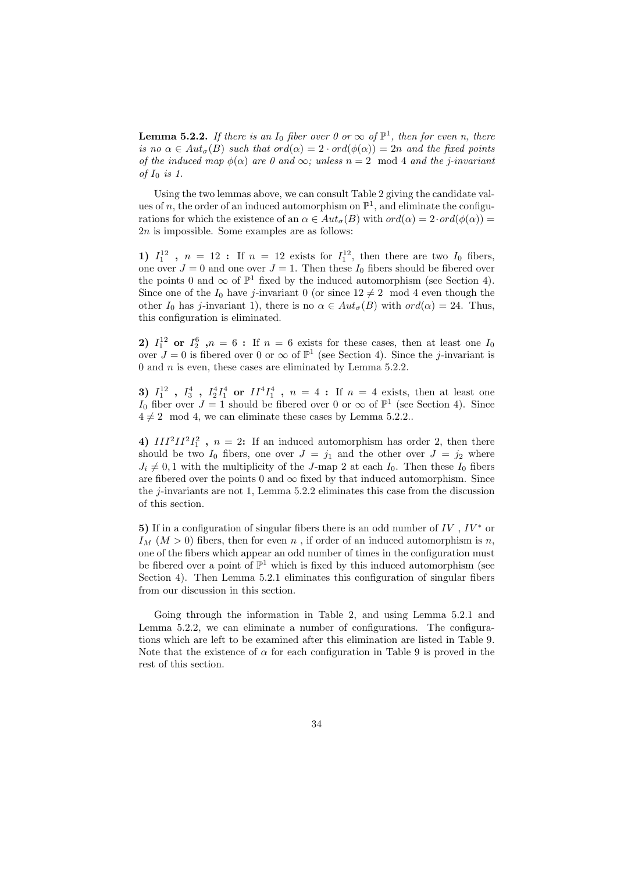**Lemma 5.2.2.** If there is an  $I_0$  fiber over 0 or  $\infty$  of  $\mathbb{P}^1$ , then for even n, there is no  $\alpha \in Aut_{\sigma}(B)$  such that  $ord(\alpha) = 2 \cdot ord(\phi(\alpha)) = 2n$  and the fixed points of the induced map  $\phi(\alpha)$  are 0 and  $\infty$ ; unless  $n = 2 \mod 4$  and the j-invariant of  $I_0$  is 1.

Using the two lemmas above, we can consult Table 2 giving the candidate values of n, the order of an induced automorphism on  $\mathbb{P}^1$ , and eliminate the configurations for which the existence of an  $\alpha \in Aut_{\sigma}(B)$  with  $ord(\alpha) = 2 \cdot ord(\phi(\alpha)) =$  $2n$  is impossible. Some examples are as follows:

1)  $I_1^{12}$ ,  $n = 12$ : If  $n = 12$  exists for  $I_1^{12}$ , then there are two  $I_0$  fibers, one over  $J = 0$  and one over  $J = 1$ . Then these  $I_0$  fibers should be fibered over the points 0 and  $\infty$  of  $\mathbb{P}^1$  fixed by the induced automorphism (see Section 4). Since one of the  $I_0$  have j-invariant 0 (or since  $12 \neq 2 \mod 4$  even though the other  $I_0$  has j-invariant 1), there is no  $\alpha \in Aut_{\sigma}(B)$  with  $ord(\alpha) = 24$ . Thus, this configuration is eliminated.

2)  $I_1^{12}$  or  $I_2^6$ ,  $n = 6$ : If  $n = 6$  exists for these cases, then at least one  $I_0$ over  $J=0$  is fibered over 0 or  $\infty$  of  $\mathbb{P}^1$  (see Section 4). Since the *j*-invariant is 0 and  $n$  is even, these cases are eliminated by Lemma 5.2.2.

3)  $I_1^{12}$ ,  $I_3^4$ ,  $I_2^4 I_1^4$  or  $II^4 I_1^4$ ,  $n = 4$ : If  $n = 4$  exists, then at least one I<sub>0</sub> fiber over  $J = 1$  should be fibered over 0 or  $\infty$  of  $\mathbb{P}^1$  (see Section 4). Since  $4 \neq 2 \mod 4$ , we can eliminate these cases by Lemma 5.2.2..

4)  $III^2II^2I_1^2$ ,  $n = 2$ : If an induced automorphism has order 2, then there should be two  $I_0$  fibers, one over  $J = j_1$  and the other over  $J = j_2$  where  $J_i \neq 0, 1$  with the multiplicity of the J-map 2 at each  $I_0$ . Then these  $I_0$  fibers are fibered over the points 0 and  $\infty$  fixed by that induced automorphism. Since the j-invariants are not 1, Lemma  $5.2.2$  eliminates this case from the discussion of this section.

5) If in a configuration of singular fibers there is an odd number of  $IV$ ,  $IV^*$  or  $I_M$  ( $M > 0$ ) fibers, then for even n, if order of an induced automorphism is n, one of the fibers which appear an odd number of times in the configuration must be fibered over a point of  $\mathbb{P}^1$  which is fixed by this induced automorphism (see Section 4). Then Lemma 5.2.1 eliminates this configuration of singular fibers from our discussion in this section.

Going through the information in Table 2, and using Lemma 5.2.1 and Lemma 5.2.2, we can eliminate a number of configurations. The configurations which are left to be examined after this elimination are listed in Table 9. Note that the existence of  $\alpha$  for each configuration in Table 9 is proved in the rest of this section.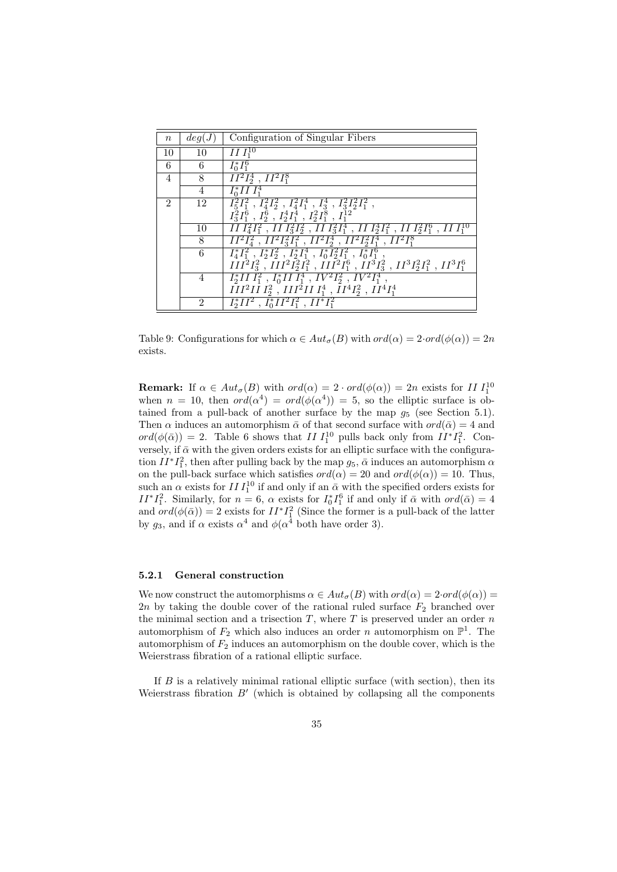| $\,n$                       | deg(J)          | Configuration of Singular Fibers                                                                                                |
|-----------------------------|-----------------|---------------------------------------------------------------------------------------------------------------------------------|
| 10                          | 10              | $II \, I_1^{10}$                                                                                                                |
| 6                           | 6               | $I_0^* I_1^6$                                                                                                                   |
| $\overline{4}$              | 8               | $\overline{II^2I_2^4}$ , $II^2I_1^8$                                                                                            |
|                             | 4               | $I_0^*I\overline{I} I_1^4$                                                                                                      |
| $\mathcal{D}_{\mathcal{L}}$ | 12              | $I_5^2I_1^2$ , $I_4^2I_2^2$ , $I_4^2I_1^4$ , $I_3^4$ , $\overline{I_3^2I_2^2I_1^2}$ ,                                           |
|                             |                 | $I_3^2I_1^6$ , $I_2^6$ , $I_2^4I_1^4$ , $I_2^2I_1^8$ , $I_1^{12}$                                                               |
|                             | 10              | $\frac{1}{2}I_1^2I_1^2$ , $II_1^2I_2^2$ , $II_1^2I_1^4$ , $II_1^4I_1^2$ , $II_1^2I_1^6$ , $II_1^1$                              |
|                             | 8               | $\overline{H^2I_4^2}$ , $\overline{H^2I_3^2I_1^2}$ , $\overline{H^2I_2^4}$ , $\overline{H^2I_2^2I_1^4}$ , $\overline{H^2I_1^8}$ |
|                             | $6\overline{6}$ | $I_4^*I_1^2$ , $I_2^*I_2^2$ , $I_2^*I_1^4$ , $I_0^*I_2^2I_1^2$ , $I_0^*I_1^6$ ,                                                 |
|                             |                 | $III^2I_3^2$ , $III^2I_2^2I_1^2$ , $III^2I_1^6$ , $II^3I_3^2$ , $II^3I_2^2I_1^2$ , $II^3I_1^6$                                  |
|                             | 4               | $I_2^*III_1^2$ , $I_0^*III_1^4$ , $IV^2I_2^2$ , $IV^2I_1^4$ ,                                                                   |
|                             |                 | $\overline{II}I^2I\overline{I}I_2^2$ , $\overline{II}I^2III_1^4$ , $\overline{I}I^4I_2^2$ , $\overline{I}I^4I_1^4$              |
|                             | $\mathfrak{D}$  | $I_2^*II^2$ , $I_0^*II^2I_1^2$ , $II^*I_1^2$                                                                                    |

Table 9: Configurations for which  $\alpha \in Aut_{\sigma}(B)$  with  $ord(\alpha) = 2 \cdot ord(\phi(\alpha)) = 2n$ exists.

**Remark:** If  $\alpha \in Aut_{\sigma}(B)$  with  $ord(\alpha) = 2 \cdot ord(\phi(\alpha)) = 2n$  exists for II  $I_1^{10}$ when  $n = 10$ , then  $ord(\alpha^4) = ord(\phi(\alpha^4)) = 5$ , so the elliptic surface is obtained from a pull-back of another surface by the map  $g_5$  (see Section 5.1). Then  $\alpha$  induces an automorphism  $\bar{\alpha}$  of that second surface with  $ord(\bar{\alpha}) = 4$  and  $ord(\phi(\bar{\alpha})) = 2$ . Table 6 shows that II  $I_1^{10}$  pulls back only from  $II^*I_1^2$ . Conversely, if  $\bar{\alpha}$  with the given orders exists for an elliptic surface with the configuration  $II^*I_1^2$ , then after pulling back by the map  $g_5$ ,  $\bar{\alpha}$  induces an automorphism  $\alpha$ on the pull-back surface which satisfies  $ord(\alpha) = 20$  and  $ord(\phi(\alpha)) = 10$ . Thus, such an  $\alpha$  exists for  $III_1^{10}$  if and only if an  $\bar{\alpha}$  with the specified orders exists for  $II^*I_1^2$ . Similarly, for  $n=6$ ,  $\alpha$  exists for  $I_0^*I_1^6$  if and only if  $\bar{\alpha}$  with  $ord(\bar{\alpha})=4$ and  $ord(\phi(\bar{\alpha})) = 2$  exists for  $II^*I_1^2$  (Since the former is a pull-back of the latter by  $g_3$ , and if  $\alpha$  exists  $\alpha^4$  and  $\phi(\alpha^4)$  both have order 3).

#### 5.2.1 General construction

We now construct the automorphisms  $\alpha \in Aut_{\sigma}(B)$  with  $ord(\alpha) = 2 \cdot ord(\phi(\alpha)) =$ 2n by taking the double cover of the rational ruled surface  $F_2$  branched over the minimal section and a trisection  $T$ , where  $T$  is preserved under an order  $n$ automorphism of  $F_2$  which also induces an order n automorphism on  $\mathbb{P}^1$ . The automorphism of  $F_2$  induces an automorphism on the double cover, which is the Weierstrass fibration of a rational elliptic surface.

If  $B$  is a relatively minimal rational elliptic surface (with section), then its Weierstrass fibration  $B'$  (which is obtained by collapsing all the components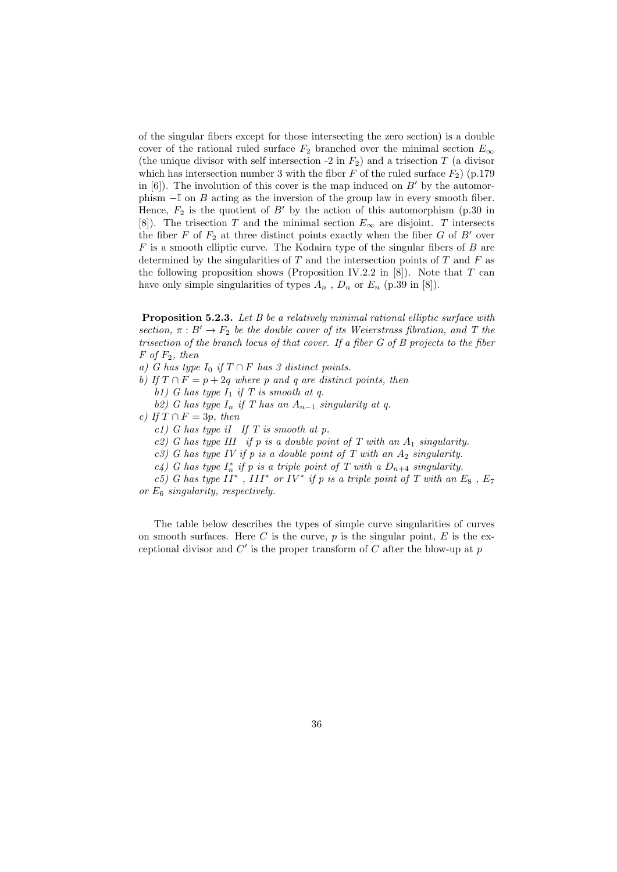of the singular fibers except for those intersecting the zero section) is a double cover of the rational ruled surface  $F_2$  branched over the minimal section  $E_{\infty}$ (the unique divisor with self intersection -2 in  $F_2$ ) and a trisection T (a divisor which has intersection number 3 with the fiber F of the ruled surface  $F_2$ ) (p.179 in [6]). The involution of this cover is the map induced on  $B'$  by the automorphism −I on B acting as the inversion of the group law in every smooth fiber. Hence,  $F_2$  is the quotient of B' by the action of this automorphism (p.30 in [8]). The trisection T and the minimal section  $E_{\infty}$  are disjoint. T intersects the fiber F of  $F_2$  at three distinct points exactly when the fiber G of B' over  $F$  is a smooth elliptic curve. The Kodaira type of the singular fibers of  $B$  are determined by the singularities of  $T$  and the intersection points of  $T$  and  $F$  as the following proposition shows (Proposition IV.2.2 in  $[8]$ ). Note that T can have only simple singularities of types  $A_n$ ,  $D_n$  or  $E_n$  (p.39 in [8]).

**Proposition 5.2.3.** Let B be a relatively minimal rational elliptic surface with section,  $\pi : B' \to F_2$  be the double cover of its Weierstrass fibration, and T the trisection of the branch locus of that cover. If a fiber G of B projects to the fiber  $F$  of  $F_2$ , then

a) G has type  $I_0$  if  $T \cap F$  has 3 distinct points.

b) If  $T \cap F = p + 2q$  where p and q are distinct points, then b1) G has type  $I_1$  if T is smooth at q.

b2) G has type  $I_n$  if T has an  $A_{n-1}$  singularity at q.

c) If  $T \cap F = 3p$ , then

c1) G has type iI If T is smooth at p.

c2) G has type III if p is a double point of T with an  $A_1$  singularity.

c3) G has type IV if p is a double point of T with an  $A_2$  singularity.

c4) G has type  $I_n^*$  if p is a triple point of T with a  $D_{n+4}$  singularity.

c5) G has type  $II^*$ ,  $III^*$  or  $IV^*$  if p is a triple point of T with an  $E_8$ ,  $E_7$ or  $E_6$  singularity, respectively.

The table below describes the types of simple curve singularities of curves on smooth surfaces. Here C is the curve,  $p$  is the singular point,  $E$  is the exceptional divisor and  $C'$  is the proper transform of  $C$  after the blow-up at  $p$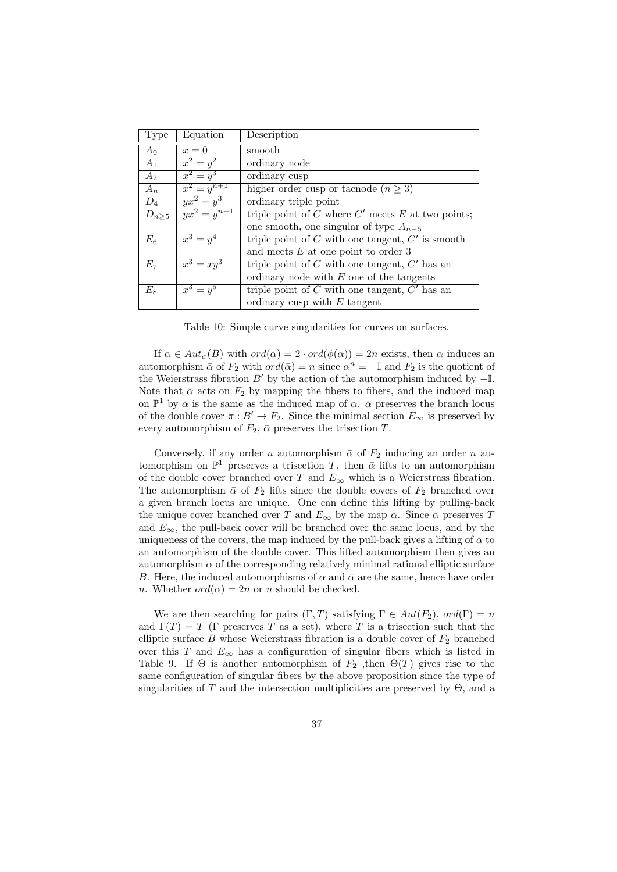| Type          | Equation         | Description                                             |
|---------------|------------------|---------------------------------------------------------|
| $A_0$         | $x=0$            | smooth                                                  |
| $A_1$         | $x^2 = y^2$      | ordinary node                                           |
| $A_2$         | $x^2 = y^3$      | ordinary cusp                                           |
| $A_n$         | $x^2 = y^{n+1}$  | higher order cusp or tacnode $(n \geq 3)$               |
| $D_4$         | $yx^2 = y^3$     | ordinary triple point                                   |
| $D_{n\geq 5}$ | $yx^2 = y^{n-1}$ | triple point of $C$ where $C'$ meets $E$ at two points; |
|               |                  | one smooth, one singular of type $A_{n-5}$              |
| $E_6$         | $x^3 = y^4$      | triple point of $C$ with one tangent, $C'$ is smooth    |
|               |                  | and meets $E$ at one point to order 3                   |
| $E_7$         | $x^3 = xy^3$     | triple point of $C$ with one tangent, $C'$ has an       |
|               |                  | ordinary node with $E$ one of the tangents              |
| $E_8$         | $x^3 = y^5$      | triple point of $C$ with one tangent, $C'$ has an       |
|               |                  | ordinary cusp with $E$ tangent                          |

Table 10: Simple curve singularities for curves on surfaces.

If  $\alpha \in Aut_{\sigma}(B)$  with  $ord(\alpha) = 2 \cdot ord(\phi(\alpha)) = 2n$  exists, then  $\alpha$  induces an automorphism  $\bar{\alpha}$  of  $F_2$  with  $ord(\bar{\alpha}) = n$  since  $\alpha^n = -\mathbb{I}$  and  $F_2$  is the quotient of the Weierstrass fibration  $B'$  by the action of the automorphism induced by  $-I$ . Note that  $\bar{\alpha}$  acts on  $F_2$  by mapping the fibers to fibers, and the induced map on  $\mathbb{P}^1$  by  $\bar{\alpha}$  is the same as the induced map of  $\alpha$ .  $\bar{\alpha}$  preserves the branch locus of the double cover  $\pi : B' \to F_2$ . Since the minimal section  $E_{\infty}$  is preserved by every automorphism of  $F_2$ ,  $\bar{\alpha}$  preserves the trisection T.

Conversely, if any order n automorphism  $\bar{\alpha}$  of  $F_2$  inducing an order n automorphism on  $\mathbb{P}^1$  preserves a trisection T, then  $\bar{\alpha}$  lifts to an automorphism of the double cover branched over  $T$  and  $E_{\infty}$  which is a Weierstrass fibration. The automorphism  $\bar{\alpha}$  of  $F_2$  lifts since the double covers of  $F_2$  branched over a given branch locus are unique. One can define this lifting by pulling-back the unique cover branched over T and  $E_{\infty}$  by the map  $\bar{\alpha}$ . Since  $\bar{\alpha}$  preserves T and  $E_{\infty}$ , the pull-back cover will be branched over the same locus, and by the uniqueness of the covers, the map induced by the pull-back gives a lifting of  $\bar{\alpha}$  to an automorphism of the double cover. This lifted automorphism then gives an automorphism  $\alpha$  of the corresponding relatively minimal rational elliptic surface B. Here, the induced automorphisms of  $\alpha$  and  $\bar{\alpha}$  are the same, hence have order n. Whether  $ord(\alpha) = 2n$  or n should be checked.

We are then searching for pairs  $(\Gamma, T)$  satisfying  $\Gamma \in Aut(F_2)$ ,  $ord(\Gamma) = n$ and  $\Gamma(T) = T$  (Γ preserves T as a set), where T is a trisection such that the elliptic surface  $B$  whose Weierstrass fibration is a double cover of  $F_2$  branched over this T and  $E_{\infty}$  has a configuration of singular fibers which is listed in Table 9. If  $\Theta$  is another automorphism of  $F_2$ , then  $\Theta(T)$  gives rise to the same configuration of singular fibers by the above proposition since the type of singularities of T and the intersection multiplicities are preserved by  $\Theta$ , and a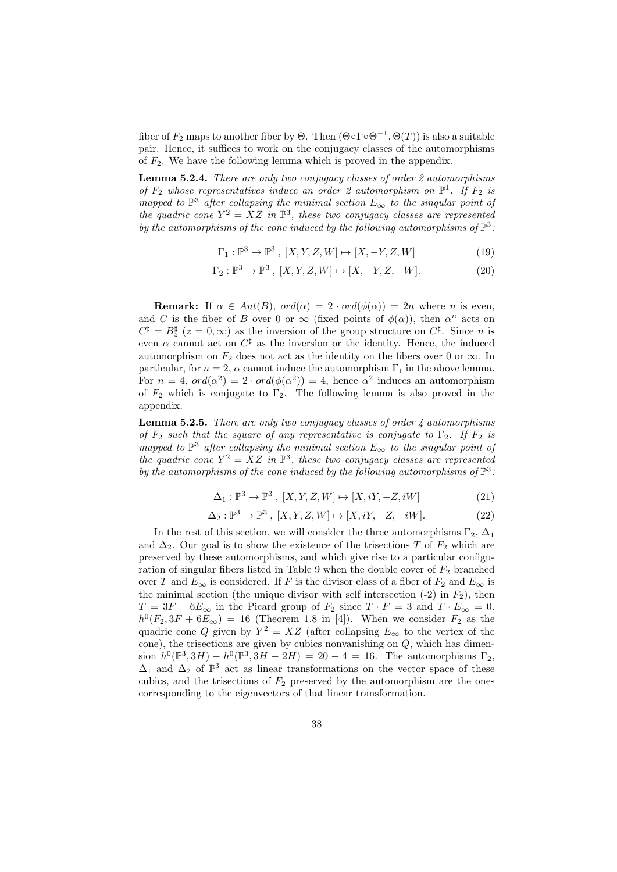fiber of  $F_2$  maps to another fiber by  $\Theta$ . Then  $(\Theta \circ \Gamma \circ \Theta^{-1}, \Theta(T))$  is also a suitable pair. Hence, it suffices to work on the conjugacy classes of the automorphisms of  $F_2$ . We have the following lemma which is proved in the appendix.

Lemma 5.2.4. There are only two conjugacy classes of order 2 automorphisms of  $F_2$  whose representatives induce an order 2 automorphism on  $\mathbb{P}^1$ . If  $F_2$  is mapped to  $\mathbb{P}^3$  after collapsing the minimal section  $E_{\infty}$  to the singular point of the quadric cone  $Y^2 = XZ$  in  $\mathbb{P}^3$ , these two conjugacy classes are represented by the automorphisms of the cone induced by the following automorphisms of  $\mathbb{P}^3$ .

$$
\Gamma_1: \mathbb{P}^3 \to \mathbb{P}^3, [X, Y, Z, W] \mapsto [X, -Y, Z, W]
$$
\n
$$
(19)
$$

$$
\Gamma_2 : \mathbb{P}^3 \to \mathbb{P}^3 \,, \ [X, Y, Z, W] \mapsto [X, -Y, Z, -W]. \tag{20}
$$

**Remark:** If  $\alpha \in Aut(B)$ ,  $ord(\alpha) = 2 \cdot ord(\phi(\alpha)) = 2n$  where *n* is even, and C is the fiber of B over 0 or  $\infty$  (fixed points of  $\phi(\alpha)$ ), then  $\alpha^n$  acts on  $C^{\sharp} = B^{\sharp}_{z}$  ( $z = 0, \infty$ ) as the inversion of the group structure on  $C^{\sharp}$ . Since *n* is even  $\alpha$  cannot act on  $C^{\sharp}$  as the inversion or the identity. Hence, the induced automorphism on  $F_2$  does not act as the identity on the fibers over 0 or  $\infty$ . In particular, for  $n = 2$ ,  $\alpha$  cannot induce the automorphism  $\Gamma_1$  in the above lemma. For  $n = 4$ ,  $ord(\alpha^2) = 2 \cdot ord(\phi(\alpha^2)) = 4$ , hence  $\alpha^2$  induces an automorphism of  $F_2$  which is conjugate to  $\Gamma_2$ . The following lemma is also proved in the appendix.

**Lemma 5.2.5.** There are only two conjugacy classes of order  $\frac{1}{4}$  automorphisms of  $F_2$  such that the square of any representative is conjugate to  $\Gamma_2$ . If  $F_2$  is mapped to  $\mathbb{P}^3$  after collapsing the minimal section  $E_{\infty}$  to the singular point of the quadric cone  $Y^2 = XZ$  in  $\mathbb{P}^3$ , these two conjugacy classes are represented by the automorphisms of the cone induced by the following automorphisms of  $\mathbb{P}^3$ .

$$
\Delta_1: \mathbb{P}^3 \to \mathbb{P}^3, [X, Y, Z, W] \mapsto [X, iY, -Z, iW]
$$
\n
$$
(21)
$$

$$
\Delta_2: \mathbb{P}^3 \to \mathbb{P}^3, [X, Y, Z, W] \mapsto [X, iY, -Z, -iW]. \tag{22}
$$

In the rest of this section, we will consider the three automorphisms  $\Gamma_2$ ,  $\Delta_1$ and  $\Delta_2$ . Our goal is to show the existence of the trisections T of  $F_2$  which are preserved by these automorphisms, and which give rise to a particular configuration of singular fibers listed in Table 9 when the double cover of  $F_2$  branched over T and  $E_{\infty}$  is considered. If F is the divisor class of a fiber of  $F_2$  and  $E_{\infty}$  is the minimal section (the unique divisor with self intersection  $(-2)$  in  $F_2$ ), then  $T = 3F + 6E_{\infty}$  in the Picard group of  $F_2$  since  $T \cdot F = 3$  and  $T \cdot E_{\infty} = 0$ .  $h^0(F_2, 3F + 6E_{\infty}) = 16$  (Theorem 1.8 in [4]). When we consider  $F_2$  as the quadric cone Q given by  $Y^2 = XZ$  (after collapsing  $E_{\infty}$  to the vertex of the cone), the trisections are given by cubics nonvanishing on  $Q$ , which has dimension  $h^0(\mathbb{P}^3, 3H) - h^0(\mathbb{P}^3, 3H - 2H) = 20 - 4 = 16$ . The automorphisms  $\Gamma_2$ ,  $\Delta_1$  and  $\Delta_2$  of  $\mathbb{P}^3$  act as linear transformations on the vector space of these cubics, and the trisections of  $F_2$  preserved by the automorphism are the ones corresponding to the eigenvectors of that linear transformation.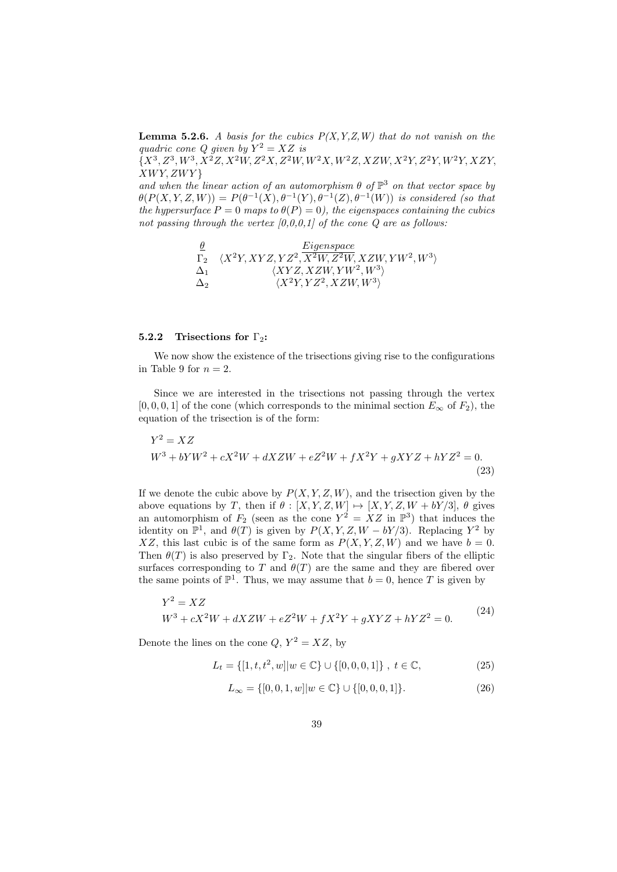**Lemma 5.2.6.** A basis for the cubics  $P(X, Y, Z, W)$  that do not vanish on the quadric cone Q given by  $Y^2 = XZ$  is

 $\{X^3, Z^3, W^3, X^2Z, X^2W, Z^2X, Z^2W, W^2X, W^2Z, XZW, X^2Y, Z^2Y, W^2Y, XZY,$  $XWY,ZWY$ 

and when the linear action of an automorphism  $\theta$  of  $\mathbb{P}^3$  on that vector space by  $\theta(P(X, Y, Z, W)) = P(\theta^{-1}(X), \theta^{-1}(Y), \theta^{-1}(Z), \theta^{-1}(W))$  is considered (so that the hypersurface  $P = 0$  maps to  $\theta(P) = 0$ , the eigenspaces containing the cubics not passing through the vertex  $[0,0,0,1]$  of the cone Q are as follows:

$$
\begin{array}{ll} \underline{\theta} & \underline{Eigenspace} \\ \Gamma_2 & \langle X^2Y, XYZ, YZ^2, \overline{X^2W}, Z^2W, XZW, YW^2, W^3 \rangle \\ \Delta_1 & \langle XYZ, XZW, YW^2, W^3 \rangle \\ \Delta_2 & \langle X^2Y, YZ^2, XZW, W^3 \rangle \end{array}
$$

#### 5.2.2 Trisections for  $\Gamma_2$ :

We now show the existence of the trisections giving rise to the configurations in Table 9 for  $n = 2$ .

Since we are interested in the trisections not passing through the vertex [0, 0, 0, 1] of the cone (which corresponds to the minimal section  $E_{\infty}$  of  $F_2$ ), the equation of the trisection is of the form:

$$
Y^{2} = XZ
$$
  

$$
W^{3} + bYW^{2} + cX^{2}W + dXZW + eZ^{2}W + fX^{2}Y + gXYZ + hYZ^{2} = 0.
$$
  
(23)

If we denote the cubic above by  $P(X, Y, Z, W)$ , and the trisection given by the above equations by T, then if  $\theta : [X, Y, Z, W] \mapsto [X, Y, Z, W + bY/3], \theta$  gives an automorphism of  $F_2$  (seen as the cone  $Y^2 = XZ$  in  $\mathbb{P}^3$ ) that induces the identity on  $\mathbb{P}^1$ , and  $\theta(T)$  is given by  $P(X, Y, Z, W - bY/3)$ . Replacing  $Y^2$  by XZ, this last cubic is of the same form as  $P(X, Y, Z, W)$  and we have  $b = 0$ . Then  $\theta(T)$  is also preserved by  $\Gamma_2$ . Note that the singular fibers of the elliptic surfaces corresponding to T and  $\theta(T)$  are the same and they are fibered over the same points of  $\mathbb{P}^1$ . Thus, we may assume that  $b = 0$ , hence T is given by

$$
Y^{2} = XZ
$$
  
\n
$$
W^{3} + cX^{2}W + dXZW + eZ^{2}W + fX^{2}Y + gXYZ + hYZ^{2} = 0.
$$
\n(24)

Denote the lines on the cone  $Q, Y^2 = XZ$ , by

$$
L_t = \{ [1, t, t^2, w] | w \in \mathbb{C} \} \cup \{ [0, 0, 0, 1] \}, \ t \in \mathbb{C}, \tag{25}
$$

$$
L_{\infty} = \{ [0, 0, 1, w] | w \in \mathbb{C} \} \cup \{ [0, 0, 0, 1] \}. \tag{26}
$$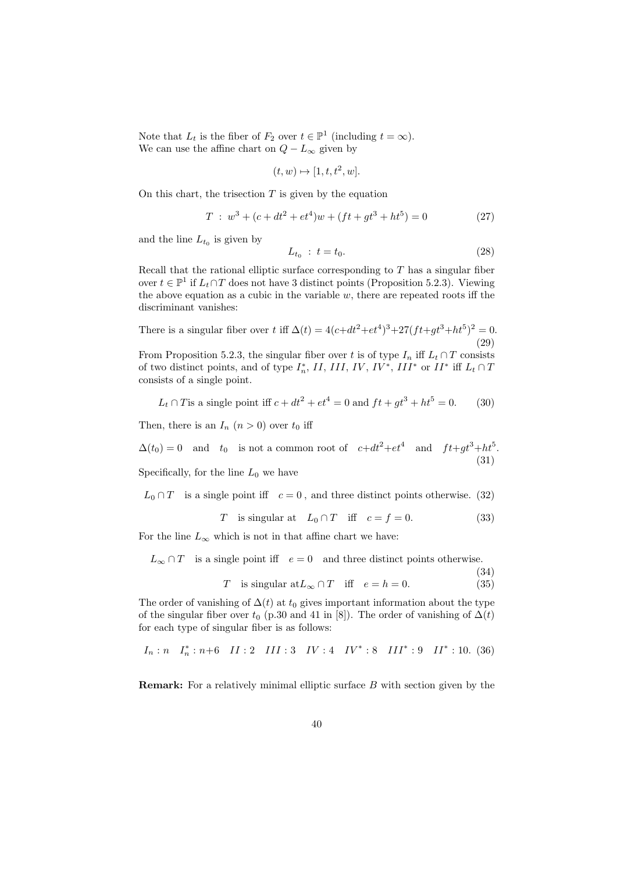Note that  $L_t$  is the fiber of  $F_2$  over  $t \in \mathbb{P}^1$  (including  $t = \infty$ ). We can use the affine chart on  $Q-L_{\infty}$  given by

$$
(t, w) \mapsto [1, t, t^2, w].
$$

On this chart, the trisection  $T$  is given by the equation

$$
T: w3 + (c + dt2 + et4)w + (ft + gt3 + ht5) = 0
$$
 (27)

and the line  $L_{t_0}$  is given by

$$
L_{t_0} : t = t_0. \t\t(28)
$$

Recall that the rational elliptic surface corresponding to  $T$  has a singular fiber over  $t \in \mathbb{P}^1$  if  $L_t \cap T$  does not have 3 distinct points (Proposition 5.2.3). Viewing the above equation as a cubic in the variable  $w$ , there are repeated roots iff the discriminant vanishes:

There is a singular fiber over t iff  $\Delta(t) = 4(c + dt^2 + et^4)^3 + 27(ft + gt^3 + ht^5)^2 = 0$ . (29) From Proposition 5.2.3, the singular fiber over t is of type  $I_n$  iff  $L_t \cap T$  consists of two distinct points, and of type  $I_n^*$ , II, III, IV, IV<sup>\*</sup>, III<sup>\*</sup> or II<sup>\*</sup> iff  $L_t \cap T$ consists of a single point.

$$
L_t \cap T
$$
 is a single point iff  $c + dt^2 + et^4 = 0$  and  $ft + gt^3 + ht^5 = 0.$  (30)

Then, there is an  $I_n$   $(n > 0)$  over  $t_0$  iff

 $\Delta(t_0) = 0$  and  $t_0$  is not a common root of  $c + dt^2 + et^4$  and  $ft + gt^3 + ht^5$ . (31)

Specifically, for the line  $L_0$  we have

$$
L_0 \cap T
$$
 is a single point iff  $c = 0$ , and three distinct points otherwise. (32)

$$
T \quad \text{is singular at} \quad L_0 \cap T \quad \text{iff} \quad c = f = 0. \tag{33}
$$

For the line  $L_{\infty}$  which is not in that affine chart we have:

 $L_{\infty} \cap T$  is a single point iff  $e = 0$  and three distinct points otherwise.

$$
\begin{array}{cccc}\n(34) \\
\vdots \\
(55)\n\end{array}
$$

T is singular at  $L_{\infty} \cap T$  iff  $e = h = 0$ . (35)

The order of vanishing of  $\Delta(t)$  at  $t_0$  gives important information about the type of the singular fiber over  $t_0$  (p.30 and 41 in [8]). The order of vanishing of  $\Delta(t)$ for each type of singular fiber is as follows:

$$
I_n: n \quad I_n^*: n+6 \quad II: 2 \quad III: 3 \quad IV: 4 \quad IV^*: 8 \quad III^*: 9 \quad II^*: 10. \eqno(36)
$$

Remark: For a relatively minimal elliptic surface B with section given by the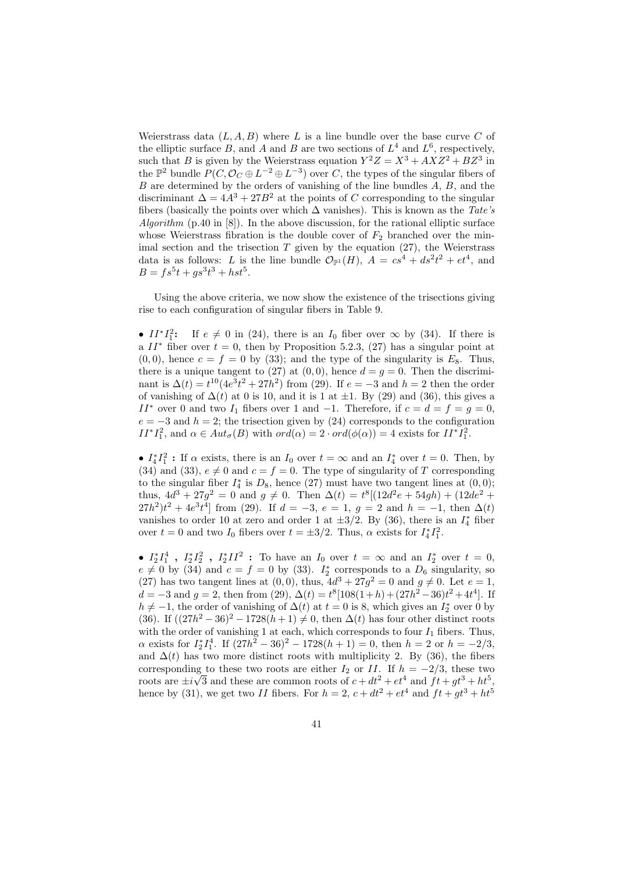Weierstrass data  $(L, A, B)$  where L is a line bundle over the base curve C of the elliptic surface B, and A and B are two sections of  $L^4$  and  $L^6$ , respectively, such that B is given by the Weierstrass equation  $Y^2Z = X^3 + AXZ^2 + BZ^3$  in the  $\mathbb{P}^2$  bundle  $P(C, \mathcal{O}_C \oplus L^{-2} \oplus L^{-3})$  over C, the types of the singular fibers of B are determined by the orders of vanishing of the line bundles A, B, and the discriminant  $\Delta = 4A^3 + 27B^2$  at the points of C corresponding to the singular fibers (basically the points over which  $\Delta$  vanishes). This is known as the Tate's Algorithm  $(p.40 \text{ in } [8])$ . In the above discussion, for the rational elliptic surface whose Weierstrass fibration is the double cover of  $F_2$  branched over the minimal section and the trisection  $T$  given by the equation  $(27)$ , the Weierstrass data is as follows: L is the line bundle  $\mathcal{O}_{\mathbb{P}^1}(H)$ ,  $A = cs^4 + ds^2t^2 + et^4$ , and  $B = fs^5t + gs^3t^3 + hst^5.$ 

Using the above criteria, we now show the existence of the trisections giving rise to each configuration of singular fibers in Table 9.

•  $II^*I_1^2$ : If  $e \neq 0$  in (24), there is an  $I_0$  fiber over  $\infty$  by (34). If there is a  $II^*$  fiber over  $t = 0$ , then by Proposition 5.2.3, (27) has a singular point at  $(0, 0)$ , hence  $c = f = 0$  by (33); and the type of the singularity is  $E_8$ . Thus, there is a unique tangent to (27) at (0,0), hence  $d = q = 0$ . Then the discriminant is  $\Delta(t) = t^{10} (4e^3 t^2 + 27h^2)$  from (29). If  $e = -3$  and  $h = 2$  then the order of vanishing of  $\Delta(t)$  at 0 is 10, and it is 1 at  $\pm 1$ . By (29) and (36), this gives a II<sup>\*</sup> over 0 and two I<sub>1</sub> fibers over 1 and -1. Therefore, if  $c = d = f = g = 0$ ,  $e = -3$  and  $h = 2$ ; the trisection given by (24) corresponds to the configuration  $II^*I_1^2$ , and  $\alpha \in Aut_{\sigma}(B)$  with  $ord(\alpha) = 2 \cdot ord(\phi(\alpha)) = 4$  exists for  $II^*I_1^2$ .

•  $I_4^*I_1^2$ : If  $\alpha$  exists, there is an  $I_0$  over  $t = \infty$  and an  $I_4^*$  over  $t = 0$ . Then, by (34) and (33),  $e \neq 0$  and  $c = f = 0$ . The type of singularity of T corresponding to the singular fiber  $I_4^*$  is  $D_8$ , hence (27) must have two tangent lines at  $(0,0)$ ; thus,  $4d^3 + 27g^2 = 0$  and  $g \neq 0$ . Then  $\Delta(t) = t^8[(12d^2e + 54gh) + (12de^2 +$  $(27h^2)t^2 + 4e^3t^4$  from (29). If  $d = -3$ ,  $e = 1$ ,  $g = 2$  and  $h = -1$ , then  $\Delta(t)$ vanishes to order 10 at zero and order 1 at  $\pm 3/2$ . By (36), there is an  $I_4^*$  fiber over  $t = 0$  and two  $I_0$  fibers over  $t = \pm 3/2$ . Thus,  $\alpha$  exists for  $I_4^* I_1^2$ .

•  $I_2^*I_1^4$ ,  $I_2^*I_2^2$ ,  $I_2^*II^2$ : To have an  $I_0$  over  $t = \infty$  and an  $I_2^*$  over  $t = 0$ ,  $e \neq 0$  by (34) and  $c = f = 0$  by (33).  $I_2^*$  corresponds to a  $D_6$  singularity, so (27) has two tangent lines at (0,0), thus,  $4d^3 + 27g^2 = 0$  and  $g \neq 0$ . Let  $e = 1$ ,  $d = -3$  and  $g = 2$ , then from (29),  $\Delta(t) = t^8[108(1+h) + (27h^2 - 36)t^2 + 4t^4]$ . If  $h \neq -1$ , the order of vanishing of  $\Delta(t)$  at  $t = 0$  is 8, which gives an  $I_2^*$  over 0 by (36). If  $((27h^2 - 36)^2 - 1728(h+1) \neq 0$ , then  $\Delta(t)$  has four other distinct roots with the order of vanishing 1 at each, which corresponds to four  $I_1$  fibers. Thus,  $\alpha$  exists for  $I_2^* I_1^4$ . If  $(27h^2 - 36)^2 - 1728(h + 1) = 0$ , then  $h = 2$  or  $h = -2/3$ , and  $\Delta(t)$  has two more distinct roots with multiplicity 2. By (36), the fibers corresponding to these two roots are either  $I_2$  or II. If  $h = -2/3$ , these two roots are  $\pm i\sqrt{3}$  and these are common roots of  $c + dt^2 + et^4$  and  $ft + gt^3 + ht^5$ , hence by (31), we get two II fibers. For  $h = 2$ ,  $c + dt^2 + et^4$  and  $ft + qt^3 + ht^5$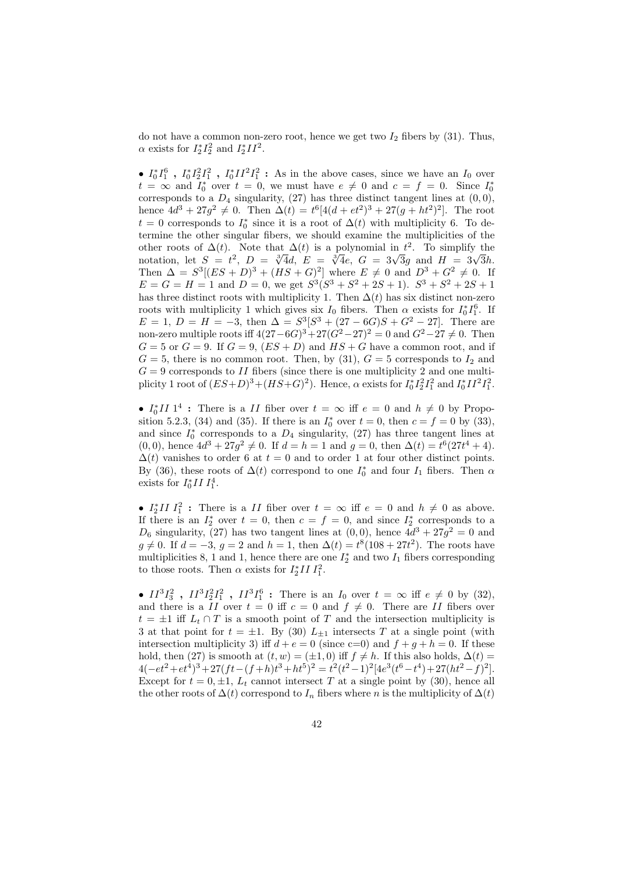do not have a common non-zero root, hence we get two  $I_2$  fibers by (31). Thus,  $\alpha$  exists for  $I_2^*I_2^2$  and  $I_2^*II^2$ .

•  $I_0^*I_1^6$ ,  $I_0^*I_2^2I_1^2$ ,  $I_0^*II^2I_1^2$ : As in the above cases, since we have an  $I_0$  over  $t = \infty$  and  $I_0^*$  over  $t = 0$ , we must have  $e \neq 0$  and  $c = f = 0$ . Since  $I_0^*$ corresponds to a  $D_4$  singularity, (27) has three distinct tangent lines at  $(0,0)$ , hence  $4d^3 + 27g^2 \neq 0$ . Then  $\Delta(t) = t^6[4(d + et^2)^3 + 27(g + ht^2)^2]$ . The root  $t = 0$  corresponds to  $I_0^*$  since it is a root of  $\Delta(t)$  with multiplicity 6. To determine the other singular fibers, we should examine the multiplicities of the other roots of  $\Delta(t)$ . Note that  $\Delta(t)$  is a polynomial in  $t^2$ . To simplify the other roots of  $\Delta(t)$ . Note that  $\Delta(t)$  is a polynomial in t<sup>-</sup>. To simplify the notation, let  $S = t^2$ ,  $D = \sqrt[3]{4}d$ ,  $E = \sqrt[3]{4}e$ ,  $G = 3\sqrt{3}g$  and  $H = 3\sqrt{3}h$ . Then  $\Delta = S^3[(ES+D)^3 + (HS+G)^2]$  where  $E \neq 0$  and  $D^3 + G^2 \neq 0$ . If  $E = G = H = 1$  and  $D = 0$ , we get  $S^3(S^3 + S^2 + 2S + 1)$ .  $S^3 + S^2 + 2S + 1$ has three distinct roots with multiplicity 1. Then  $\Delta(t)$  has six distinct non-zero roots with multiplicity 1 which gives six  $I_0$  fibers. Then  $\alpha$  exists for  $I_0^*I_1^6$ . If  $E = 1, D = H = -3$ , then  $\Delta = S^3[S^3 + (27 - 6G)S + G^2 - 27]$ . There are non-zero multiple roots iff  $4(27-6G)^3 + 27(G^2-27)^2 = 0$  and  $G^2-27 \neq 0$ . Then  $G = 5$  or  $G = 9$ . If  $G = 9$ ,  $(ES + D)$  and  $HS + G$  have a common root, and if  $G = 5$ , there is no common root. Then, by (31),  $G = 5$  corresponds to  $I_2$  and  $G = 9$  corresponds to II fibers (since there is one multiplicity 2 and one multiplicity 1 root of  $(ES+D)^3 + (HS+G)^2$ ). Hence,  $\alpha$  exists for  $I_0^* I_2^2 I_1^2$  and  $I_0^* II^2 I_1^2$ .

•  $I_0^* II$  1<sup>4</sup>: There is a *II* fiber over  $t = \infty$  iff  $e = 0$  and  $h \neq 0$  by Proposition 5.2.3, (34) and (35). If there is an  $I_0^*$  over  $t = 0$ , then  $c = f = 0$  by (33), and since  $I_0^*$  corresponds to a  $D_4$  singularity, (27) has three tangent lines at  $(0,0)$ , hence  $4d^3 + 27g^2 \neq 0$ . If  $d = h = 1$  and  $g = 0$ , then  $\Delta(t) = t^6(27t^4 + 4)$ .  $\Delta(t)$  vanishes to order 6 at  $t = 0$  and to order 1 at four other distinct points. By (36), these roots of  $\Delta(t)$  correspond to one  $I_0^*$  and four  $I_1$  fibers. Then  $\alpha$ exists for  $I_0^* II I_1^4$ .

•  $I_2^* II I_1^2$ : There is a II fiber over  $t = \infty$  iff  $e = 0$  and  $h \neq 0$  as above. If there is an  $I_2^*$  over  $t = 0$ , then  $c = f = 0$ , and since  $I_2^*$  corresponds to a  $D_6$  singularity, (27) has two tangent lines at (0,0), hence  $4d^3 + 27g^2 = 0$  and  $g \neq 0$ . If  $d = -3$ ,  $g = 2$  and  $h = 1$ , then  $\Delta(t) = t^8(108 + 27t^2)$ . The roots have multiplicities 8, 1 and 1, hence there are one  $I_2^*$  and two  $I_1$  fibers corresponding to those roots. Then  $\alpha$  exists for  $I_2^*II I_1^2$ .

•  $II^3I_3^2$ ,  $II^3I_2^2I_1^2$ ,  $II^3I_1^6$ : There is an  $I_0$  over  $t = \infty$  iff  $e \neq 0$  by (32), and there is a II over  $t = 0$  iff  $c = 0$  and  $f \neq 0$ . There are II fibers over  $t = \pm 1$  iff  $L_t \cap T$  is a smooth point of T and the intersection multiplicity is 3 at that point for  $t = \pm 1$ . By (30)  $L_{\pm 1}$  intersects T at a single point (with intersection multiplicity 3) iff  $d + e = 0$  (since c=0) and  $f + g + h = 0$ . If these hold, then (27) is smooth at  $(t, w) = (\pm 1, 0)$  iff  $f \neq h$ . If this also holds,  $\Delta(t) =$  $4(-et^2+et^4)^3+27(ft-(f+h)t^3+ht^5)^2=t^2(t^2-1)^2[4e^3(t^6-t^4)+27(ht^2-f)^2].$ Except for  $t = 0, \pm 1, L_t$  cannot intersect T at a single point by (30), hence all the other roots of  $\Delta(t)$  correspond to  $I_n$  fibers where n is the multiplicity of  $\Delta(t)$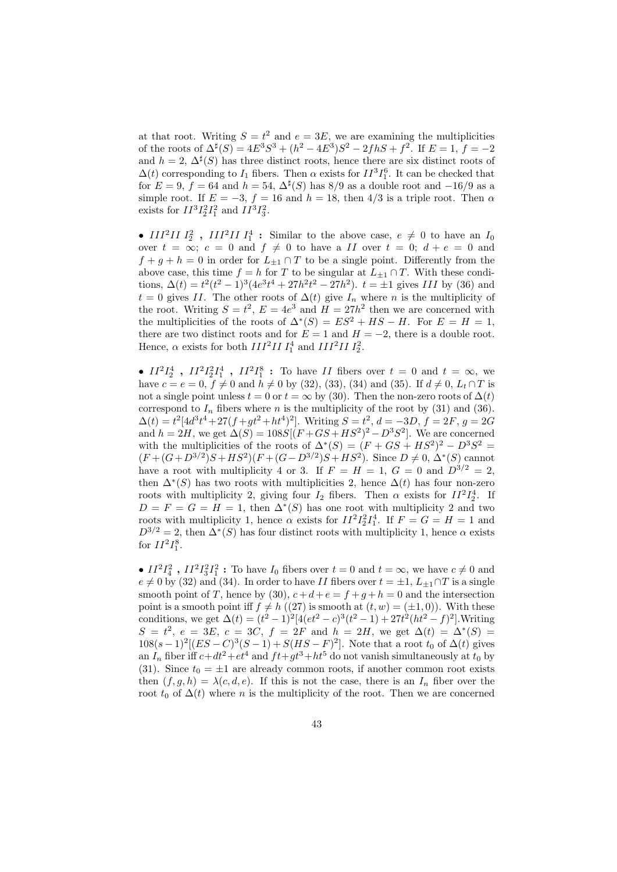at that root. Writing  $S = t^2$  and  $e = 3E$ , we are examining the multiplicities of the roots of  $\Delta^{\sharp}(S) = 4E^3S^3 + (h^2 - 4E^3)S^2 - 2fhS + f^2$ . If  $E = 1, f = -2$ and  $h = 2$ ,  $\Delta^{\sharp}(S)$  has three distinct roots, hence there are six distinct roots of  $\Delta(t)$  corresponding to  $I_1$  fibers. Then  $\alpha$  exists for  $II^3I_1^6$ . It can be checked that for  $E = 9$ ,  $f = 64$  and  $h = 54$ ,  $\Delta^{\sharp}(S)$  has 8/9 as a double root and  $-16/9$  as a simple root. If  $E = -3$ ,  $f = 16$  and  $h = 18$ , then  $4/3$  is a triple root. Then  $\alpha$ exists for  $II^3I_2^2I_1^2$  and  $II^3I_3^2$ .

• III<sup>2</sup>II  $I_2^2$ , III<sup>2</sup>II  $I_1^4$ : Similar to the above case,  $e \neq 0$  to have an  $I_0$ over  $t = \infty$ ;  $c = 0$  and  $f \neq 0$  to have a II over  $t = 0$ ;  $d + e = 0$  and  $f + g + h = 0$  in order for  $L_{\pm 1} \cap T$  to be a single point. Differently from the above case, this time  $f = h$  for T to be singular at  $L_{\pm 1} \cap T$ . With these conditions,  $\Delta(t) = t^2(t^2 - 1)^3(4e^3t^4 + 27h^2t^2 - 27h^2)$ .  $t = \pm 1$  gives III by (36) and  $t = 0$  gives II. The other roots of  $\Delta(t)$  give  $I_n$  where n is the multiplicity of the root. Writing  $S = t^2$ ,  $E = 4e^3$  and  $H = 27h^2$  then we are concerned with the multiplicities of the roots of  $\Delta^*(S) = ES^2 + HS - H$ . For  $E = H = 1$ , there are two distinct roots and for  $E = 1$  and  $H = -2$ , there is a double root. Hence,  $\alpha$  exists for both  $III^2II I_1^4$  and  $III^2II I_2^2$ .

•  $II^2I_2^4$ ,  $II^2I_2^2I_1^4$ ,  $II^2I_1^8$ : To have II fibers over  $t = 0$  and  $t = \infty$ , we have  $c = e = 0, f \neq 0$  and  $h \neq 0$  by (32), (33), (34) and (35). If  $d \neq 0, L_t \cap T$  is not a single point unless  $t = 0$  or  $t = \infty$  by (30). Then the non-zero roots of  $\Delta(t)$ correspond to  $I_n$  fibers where n is the multiplicity of the root by (31) and (36).  $\Delta(t) = t^2[4d^3t^4 + 27(f + gt^2 + ht^4)^2]$ . Writing  $S = t^2$ ,  $d = -3D$ ,  $f = 2F$ ,  $g = 2G$ and  $h = 2H$ , we get  $\Delta(S) = 108S[(F + GS + HS^2)^2 - D^3S^2]$ . We are concerned with the multiplicities of the roots of  $\Delta^*(S) = (F + GS + HS^2)^2 - D^3S^2 =$  $(F+(G+D^{3/2})S+HS^2)(F+(G-D^{3/2})S+HS^2)$ . Since  $D\neq 0$ ,  $\Delta^*(S)$  cannot have a root with multiplicity 4 or 3. If  $F = H = 1, G = 0$  and  $D^{3/2} = 2$ , then  $\Delta^*(S)$  has two roots with multiplicities 2, hence  $\Delta(t)$  has four non-zero roots with multiplicity 2, giving four  $I_2$  fibers. Then  $\alpha$  exists for  $II^2I_2^4$ . If  $D = F = G = H = 1$ , then  $\Delta^*(S)$  has one root with multiplicity 2 and two roots with multiplicity 1, hence  $\alpha$  exists for  $II^2I_2^2I_1^4$ . If  $F = G = H = 1$  and  $D^{3/2} = 2$ , then  $\Delta^*(S)$  has four distinct roots with multiplicity 1, hence  $\alpha$  exists for  $II^2I_1^8$ .

•  $II^2I_4^2$ ,  $II^2I_3^2I_1^2$ : To have  $I_0$  fibers over  $t = 0$  and  $t = \infty$ , we have  $c \neq 0$  and  $e \neq 0$  by (32) and (34). In order to have II fibers over  $t = \pm 1$ ,  $L_{\pm 1} \cap T$  is a single smooth point of T, hence by (30),  $c+d+e = f+g+h = 0$  and the intersection point is a smooth point iff  $f \neq h$  ((27) is smooth at  $(t, w) = (\pm 1, 0)$ ). With these conditions, we get  $\Delta(t) = (t^2 - 1)^2 [4(et^2 - c)^3(t^2 - 1) + 27t^2(ht^2 - f)^2]$ . Writing  $S = t^2$ ,  $e = 3E$ ,  $c = 3C$ ,  $f = 2F$  and  $h = 2H$ , we get  $\Delta(t) = \Delta^*(S)$  $108(s-1)^2[(ES-C)^3(S-1)+S(HS-F)^2]$ . Note that a root  $t_0$  of  $\Delta(t)$  gives an  $I_n$  fiber iff  $c+dt^2+et^4$  and  $ft+gt^3+ht^5$  do not vanish simultaneously at  $t_0$  by (31). Since  $t_0 = \pm 1$  are already common roots, if another common root exists then  $(f, g, h) = \lambda(c, d, e)$ . If this is not the case, there is an  $I_n$  fiber over the root  $t_0$  of  $\Delta(t)$  where n is the multiplicity of the root. Then we are concerned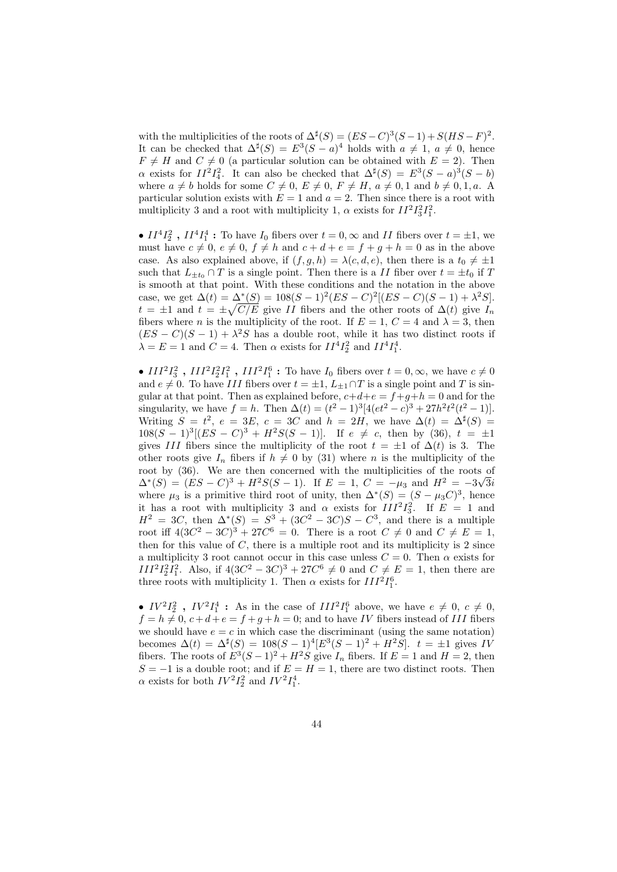with the multiplicities of the roots of  $\Delta^{\sharp}(S) = (ES - C)^3(S - 1) + S(HS - F)^2$ . It can be checked that  $\Delta^{\sharp}(S) = E^3(S-a)^4$  holds with  $a \neq 1, a \neq 0$ , hence  $F \neq H$  and  $C \neq 0$  (a particular solution can be obtained with  $E = 2$ ). Then  $\alpha$  exists for  $II^2I_4^2$ . It can also be checked that  $\Delta^{\sharp}(S) = E^3(S-a)^3(S-b)$ where  $a \neq b$  holds for some  $C \neq 0, E \neq 0, F \neq H, a \neq 0, 1$  and  $b \neq 0, 1, a$ . A particular solution exists with  $E = 1$  and  $a = 2$ . Then since there is a root with multiplicity 3 and a root with multiplicity 1,  $\alpha$  exists for  $II^2I_3^2I_1^2$ .

•  $II^4I_2^2$ ,  $II^4I_1^4$ : To have  $I_0$  fibers over  $t = 0$ ,  $\infty$  and  $II$  fibers over  $t = \pm 1$ , we must have  $c \neq 0, e \neq 0, f \neq h$  and  $c + d + e = f + g + h = 0$  as in the above case. As also explained above, if  $(f, g, h) = \lambda(c, d, e)$ , then there is a  $t_0 \neq \pm 1$ such that  $L_{\pm t_0} \cap T$  is a single point. Then there is a II fiber over  $t = \pm t_0$  if T is smooth at that point. With these conditions and the notation in the above case, we get  $\Delta(t) = \Delta^*(S) = 108(S - 1)^2(ES - C)^2[(ES - C)(S - 1) + \lambda^2S].$  $t = \pm 1$  and  $t = \pm \sqrt{C/E}$  give II fibers and the other roots of  $\Delta(t)$  give  $I_n$ fibers where *n* is the multiplicity of the root. If  $E = 1$ ,  $C = 4$  and  $\lambda = 3$ , then  $(ES - C)(S - 1) + \lambda^2 S$  has a double root, while it has two distinct roots if  $\lambda = E = 1$  and  $C = 4$ . Then  $\alpha$  exists for  $II^4I_2^2$  and  $II^4I_1^4$ .

•  $III^2I_3^2$ ,  $III^2I_2^2I_1^2$ ,  $III^2I_1^6$ : To have  $I_0$  fibers over  $t = 0, \infty$ , we have  $c \neq 0$ and  $e \neq 0$ . To have III fibers over  $t = \pm 1$ ,  $L_{\pm 1} \cap T$  is a single point and T is singular at that point. Then as explained before,  $c+d+e = f+g+h = 0$  and for the singularity, we have  $f = h$ . Then  $\Delta(t) = (t^2 - 1)^3 [4 (et^2 - c)^3 + 27h^2t^2(t^2 - 1)].$ Writing  $S = t^2$ ,  $e = 3E$ ,  $c = 3C$  and  $h = 2H$ , we have  $\Delta(t) = \Delta^{\sharp}(S)$  $108(S-1)^3[(ES-C)^3+H^2S(S-1)]$ . If  $e \neq c$ , then by (36),  $t = \pm 1$ gives III fibers since the multiplicity of the root  $t = \pm 1$  of  $\Delta(t)$  is 3. The other roots give  $I_n$  fibers if  $h \neq 0$  by (31) where n is the multiplicity of the root by (36). We are then concerned with the multiplicities of the roots of  $\Delta^*(S) = (ES - C)^3 + H^2S(S - 1)$ . If  $E = 1, C = -\mu_3$  and  $H^2 = -3\sqrt{3}i$ where  $\mu_3$  is a primitive third root of unity, then  $\Delta^*(S) = (S - \mu_3 C)^3$ , hence it has a root with multiplicity 3 and  $\alpha$  exists for  $III^2I_3^2$ . If  $E = 1$  and  $H^2 = 3C$ , then  $\Delta^*(S) = S^3 + (3C^2 - 3C)S - C^3$ , and there is a multiple root iff  $4(3C^2 - 3C)^3 + 27C^6 = 0$ . There is a root  $C \neq 0$  and  $C \neq E = 1$ , then for this value of  $C$ , there is a multiple root and its multiplicity is  $2$  since a multiplicity 3 root cannot occur in this case unless  $C = 0$ . Then  $\alpha$  exists for  $III^{2}I_{2}^{2}I_{1}^{2}$ . Also, if  $4(3C^{2} - 3C)^{3} + 27C^{6} \neq 0$  and  $C \neq E = 1$ , then there are three roots with multiplicity 1. Then  $\alpha$  exists for  $III^2I_1^6$ .

•  $IV^2I_2^2$ ,  $IV^2I_1^4$ : As in the case of  $III^2I_1^6$  above, we have  $e \neq 0, c \neq 0$ ,  $f = h \neq 0, c+d+e = f + g + h = 0$ ; and to have IV fibers instead of III fibers we should have  $e = c$  in which case the discriminant (using the same notation) becomes  $\Delta(t) = \Delta^{\sharp}(S) = 108(S-1)^{4} [E^{3}(S-1)^{2} + H^{2}S]$ .  $t = \pm 1$  gives IV fibers. The roots of  $E^3(S-1)^2 + H^2S$  give  $I_n$  fibers. If  $E = 1$  and  $H = 2$ , then  $S = -1$  is a double root; and if  $E = H = 1$ , there are two distinct roots. Then  $\alpha$  exists for both  $IV^2I_2^2$  and  $IV^2I_1^4$ .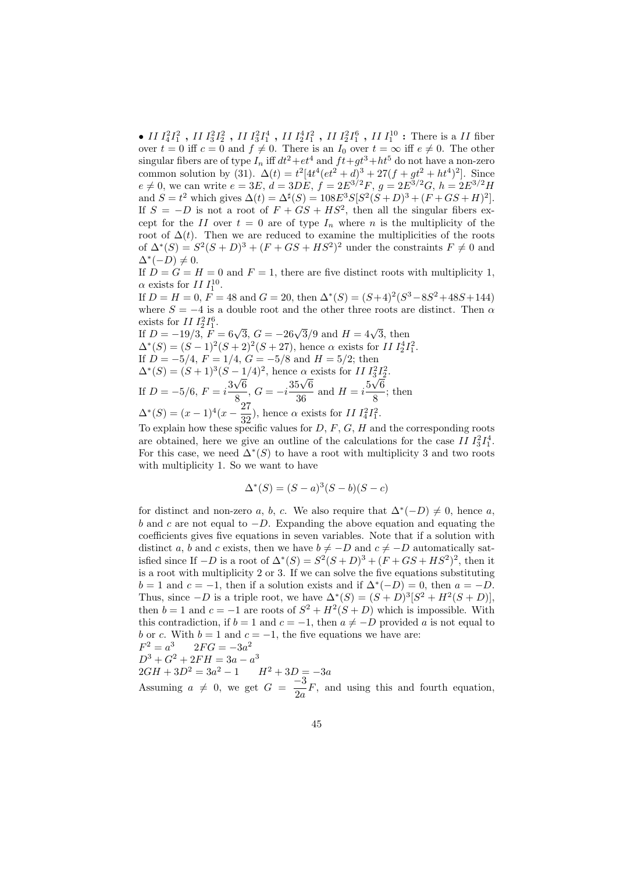• II  $I_4^2I_1^2$  , II  $I_3^2I_2^2$  , II  $I_3^2I_1^4$  , II  $I_2^4I_1^2$  , II  $I_2^2I_1^6$  , II  $I_1^{10}$  : There is a II fiber over  $t = 0$  iff  $c = 0$  and  $f \neq 0$ . There is an  $I_0$  over  $t = \infty$  iff  $e \neq 0$ . The other singular fibers are of type  $I_n$  iff  $dt^2+et^4$  and  $ft+gt^3+ht^5$  do not have a non-zero common solution by (31).  $\Delta(t) = t^2[4t^4(et^2 + d)^3 + 27(f + gt^2 + ht^4)^2]$ . Since  $e \neq 0$ , we can write  $e = 3E$ ,  $d = 3DE$ ,  $f = 2E^{3/2}F$ ,  $g = 2E^{3/2}G$ ,  $h = 2E^{3/2}H$ and  $S = t^2$  which gives  $\Delta(t) = \Delta^{\sharp}(S) = 108E^3S[S^2(S+D)^3 + (F+GS+H)^2]$ . If  $S = -D$  is not a root of  $F + GS + HS^2$ , then all the singular fibers except for the II over  $t = 0$  are of type  $I_n$  where n is the multiplicity of the root of  $\Delta(t)$ . Then we are reduced to examine the multiplicities of the roots of  $\Delta^*(S) = S^2(S+D)^3 + (F+GS+HS^2)^2$  under the constraints  $F \neq 0$  and  $\Delta^*(-D) \neq 0.$ 

If  $D = G = H = 0$  and  $F = 1$ , there are five distinct roots with multiplicity 1,  $\alpha$  exists for II  $I_1^{10}$ .

If  $D = H = 0$ ,  $F = 48$  and  $G = 20$ , then  $\Delta^*(S) = (S+4)^2(S^3 - 8S^2 + 48S + 144)$ where  $S = -4$  is a double root and the other three roots are distinct. Then  $\alpha$ exists for  $II I_2^2 I_1^6$ .

exists for 11  $I_2^2I_1^3$ .<br>If  $D = -19/3$ ,  $F = 6\sqrt{3}$ ,  $G = -26\sqrt{3}/9$  and  $H = 4\sqrt{3}$ , then  $\Delta^*(S) = (S-1)^2(S+2)^2(S+27)$ , hence  $\alpha$  exists for II  $I_2^4 I_1^2$ .  $\Delta$  (3) = (3-1) (3+2) (3+2), hence  $\alpha$  exists for 11  $I_2I_1$ <br>If  $D = -5/4$ ,  $F = 1/4$ ,  $G = -5/8$  and  $H = 5/2$ ; then  $\Delta^*(S) = (S+1)^3(S-1/4)^2$ , hence  $\alpha$  exists for II  $I_3^2 I_2^2$ . If  $D = -5/6$ ,  $F = i\frac{3}{7}$ √ 6  $\frac{\sqrt{6}}{8}, G = -i\frac{35\sqrt{6}}{36}$  $\frac{5\sqrt{6}}{36}$  and  $H = i\frac{5}{36}$  $\overline{3}$ 6  $\frac{6}{8}$ ; then  $\Delta^*(S) = (x-1)^4(x-\frac{27}{28})$  $\frac{27}{32}$ , hence  $\alpha$  exists for II  $I_4^2 I_1^2$ .

To explain how these specific values for  $D, F, G, H$  and the corresponding roots are obtained, here we give an outline of the calculations for the case II  $I_3^2 I_1^4$ . For this case, we need  $\Delta^*(S)$  to have a root with multiplicity 3 and two roots with multiplicity 1. So we want to have

$$
\Delta^*(S) = (S - a)^3 (S - b)(S - c)
$$

for distinct and non-zero a, b, c. We also require that  $\Delta^*(-D) \neq 0$ , hence a, b and c are not equal to  $-D$ . Expanding the above equation and equating the coefficients gives five equations in seven variables. Note that if a solution with distinct a, b and c exists, then we have  $b \neq -D$  and  $c \neq -D$  automatically satisfied since If  $-D$  is a root of  $\Delta^*(S) = S^2(S+D)^3 + (F+GS+HS^2)^2$ , then it is a root with multiplicity 2 or 3. If we can solve the five equations substituting  $b = 1$  and  $c = -1$ , then if a solution exists and if  $\Delta^*(-D) = 0$ , then  $a = -D$ . Thus, since  $-D$  is a triple root, we have  $\Delta^*(S) = (S+D)^3[S^2 + H^2(S+D)],$ then  $b = 1$  and  $c = -1$  are roots of  $S^2 + H^2(S + D)$  which is impossible. With this contradiction, if  $b = 1$  and  $c = -1$ , then  $a \neq -D$  provided a is not equal to b or c. With  $b = 1$  and  $c = -1$ , the five equations we have are:  $F^2 = a^3$  2FG =  $-3a^2$  $D^3 + G^2 + 2FH = 3a - a^3$  $2GH + 3D^2 = 3a^2 - 1$   $H^2 + 3D = -3a$ 

Assuming  $a \neq 0$ , we get  $G = \frac{-3}{2}$  $\frac{0}{2a}F$ , and using this and fourth equation,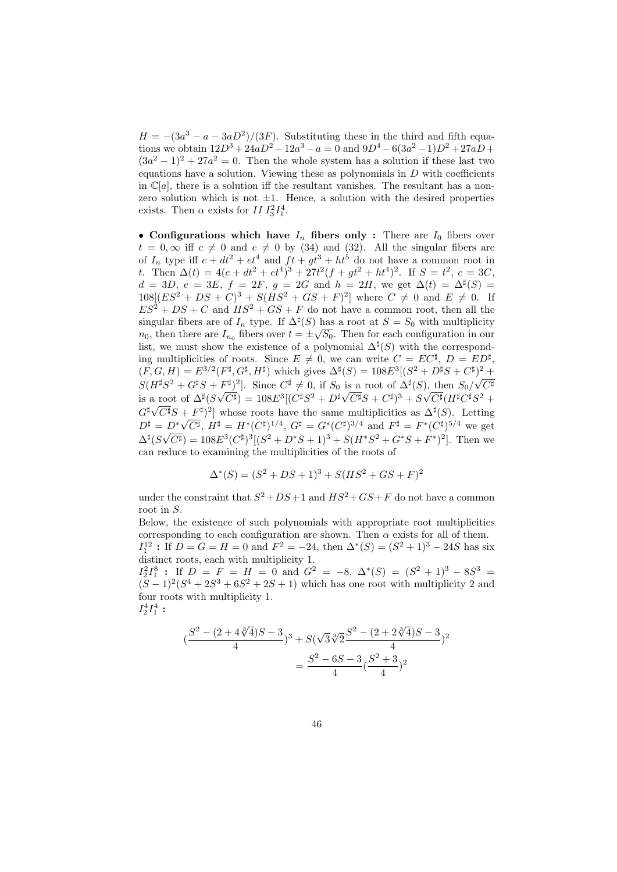$H = -(3a^3 - a - 3aD^2)/(3F)$ . Substituting these in the third and fifth equations we obtain  $12D^3 + 24aD^2 - 12a^3 - a = 0$  and  $9D^4 - 6(3a^2 - 1)D^2 + 27aD +$  $(3a<sup>2</sup> - 1)<sup>2</sup> + 27a<sup>2</sup> = 0$ . Then the whole system has a solution if these last two equations have a solution. Viewing these as polynomials in  $D$  with coefficients in  $\mathbb{C}[a]$ , there is a solution iff the resultant vanishes. The resultant has a nonzero solution which is not  $\pm 1$ . Hence, a solution with the desired properties exists. Then  $\alpha$  exists for  $II I_3^2 I_1^4$ .

• Configurations which have  $I_n$  fibers only : There are  $I_0$  fibers over  $t = 0, \infty$  iff  $c \neq 0$  and  $e \neq 0$  by (34) and (32). All the singular fibers are of  $I_n$  type iff  $c + dt^2 + et^4$  and  $ft + gt^3 + ht^5$  do not have a common root in t. Then  $\Delta(t) = 4(c + dt^2 + et^4)^3 + 27t^2(f + gt^2 + ht^4)^2$ . If  $S = t^2$ ,  $c = 3C$ ,  $d = 3D, e = 3E, f = 2F, g = 2G \text{ and } h = 2H$ , we get  $\Delta(t) = \Delta^{\sharp}(S)$  $108[(ES^2 + DS + C)^3 + S(HS^2 + GS + F)^2]$  where  $C \neq 0$  and  $E \neq 0$ . If  $ES<sup>2</sup> + DS + C$  and  $HS<sup>2</sup> + GS + F$  do not have a common root, then all the singular fibers are of  $I_n$  type. If  $\Delta^{\sharp}(S)$  has a root at  $S = S_0$  with multiplicity  $n_0$ , then there are  $I_{n_0}$  fibers over  $t = \pm \sqrt{S_0}$ . Then for each configuration in our list, we must show the existence of a polynomial  $\Delta^{\sharp}(S)$  with the corresponding multiplicities of roots. Since  $E \neq 0$ , we can write  $C = EC^{\sharp}, D = ED^{\sharp}$ ,  $(F, G, H) = E^{3/2}(F^{\sharp}, G^{\sharp}, H^{\sharp})$  which gives  $\Delta^{\sharp}(S) = 108E^{3}[(S^{2} + D^{\sharp}S + C^{\sharp})^{2} +$  $S(H^{\sharp}S^2 + G^{\sharp}S + F^{\sharp})^2$ . Since  $C^{\sharp} \neq 0$ , if  $S_0$  is a root of  $\Delta^{\sharp}(S)$ , then  $S_0/\sqrt{C^{\sharp}}$ is a root of  $\Delta^{\sharp}(S\sqrt{C^{\sharp}}) = 108E^3[(C^{\sharp}S^2 + D^{\sharp}\sqrt{C^{\sharp}}S + C^{\sharp})^3 + S\sqrt{C^{\sharp}}(H^{\sharp}C^{\sharp}S^2 + C^{\sharp})^3]$  $G^{\sharp}\sqrt{C^{\sharp}}S + F^{\sharp})^2$  whose roots have the same multiplicities as  $\Delta^{\sharp}(S)$ . Letting  $D^{\sharp} = D^* \sqrt{C^{\sharp}}, H^{\sharp} = H^* (C^{\sharp})^{1/4}, G^{\sharp} = G^* (C^{\sharp})^{3/4}$  and  $F^{\sharp} = F^* (C^{\sharp})^{5/4}$  we get  $\Delta^{\sharp}(S\sqrt{C^{\sharp}}) = 108E^3(C^{\sharp})^3[(S^2 + D^*S + 1)^3 + S(H^*S^2 + G^*S + F^*)^2].$  Then we can reduce to examining the multiplicities of the roots of

$$
\Delta^*(S) = (S^2 + DS + 1)^3 + S(HS^2 + GS + F)^2
$$

under the constraint that  $S^2 + DS + 1$  and  $HS^2 + GS + F$  do not have a common root in S.

Below, the existence of such polynomials with appropriate root multiplicities corresponding to each configuration are shown. Then  $\alpha$  exists for all of them.  $I_1^{12}$ : If  $D = G = H = 0$  and  $F^2 = -24$ , then  $\Delta^*(S) = (S^2 + 1)^3 - 24S$  has six distinct roots, each with multiplicity 1.

 $I_2^2I_1^8$  : If  $D = F = H = 0$  and  $G^2 = -8$ ,  $\Delta^*(S) = (S^2 + 1)^3 - 8S^3 =$  $(S-1)^2(S^4+2S^3+6S^2+2S+1)$  which has one root with multiplicity 2 and four roots with multiplicity 1.  $I_2^4 I_1^4:$ 

$$
(\frac{S^2 - (2 + 4\sqrt[3]{4})S - 3}{4})^3 + S(\sqrt{3}\sqrt[3]{2}\frac{S^2 - (2 + 2\sqrt[3]{4})S - 3}{4})^2
$$
  
= 
$$
\frac{S^2 - 6S - 3}{4}(\frac{S^2 + 3}{4})^2
$$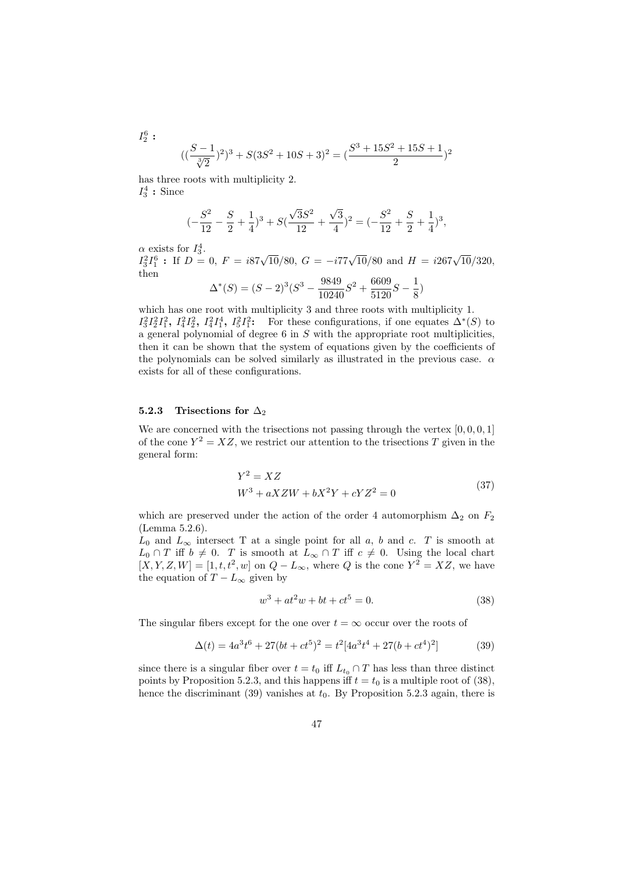$$
((\frac{S-1}{\sqrt[3]{2}})^2)^3 + S(3S^2 + 10S + 3)^2 = (\frac{S^3 + 15S^2 + 15S + 1}{2})^2
$$

has three roots with multiplicity 2.  $I_3^4$ : Since

$$
(-\frac{S^2}{12} - \frac{S}{2} + \frac{1}{4})^3 + S(\frac{\sqrt{3}S^2}{12} + \frac{\sqrt{3}}{4})^2 = (-\frac{S^2}{12} + \frac{S}{2} + \frac{1}{4})^3,
$$

 $\alpha$  exists for  $I_3^4$ .

 $I_2^6:$ 

 $I_3^2 I_1^6$ : If  $D = 0$ ,  $F = i87\sqrt{10}/80$ ,  $G = -i77\sqrt{10}/80$  and  $H = i267\sqrt{10}/320$ , then

$$
\Delta^*(S) = (S-2)^3 (S^3 - \frac{9849}{10240}S^2 + \frac{6609}{5120}S - \frac{1}{8})
$$

which has one root with multiplicity 3 and three roots with multiplicity 1.  $I_3^2I_2^2I_1^2$ ,  $I_4^2I_2^2$ ,  $I_4^2I_1^4$ ,  $I_5^2I_1^2$ : For these configurations, if one equates  $\Delta^*(S)$  to a general polynomial of degree 6 in S with the appropriate root multiplicities, then it can be shown that the system of equations given by the coefficients of the polynomials can be solved similarly as illustrated in the previous case.  $\alpha$ exists for all of these configurations.

#### 5.2.3 Trisections for  $\Delta_2$

We are concerned with the trisections not passing through the vertex  $[0, 0, 0, 1]$ of the cone  $Y^2 = XZ$ , we restrict our attention to the trisections T given in the general form:

$$
Y2 = XZ
$$
  
\n
$$
W3 + aXZW + bX2Y + cYZ2 = 0
$$
\n(37)

which are preserved under the action of the order 4 automorphism  $\Delta_2$  on  $F_2$ (Lemma 5.2.6).

 $L_0$  and  $L_{\infty}$  intersect T at a single point for all a, b and c. T is smooth at  $L_0 \cap T$  iff  $b \neq 0$ . T is smooth at  $L_{\infty} \cap T$  iff  $c \neq 0$ . Using the local chart  $[X, Y, Z, W] = [1, t, t^2, w]$  on  $Q - L_{\infty}$ , where Q is the cone  $Y^2 = XZ$ , we have the equation of  $T - L_{\infty}$  given by

$$
w^3 + at^2w + bt + ct^5 = 0.
$$
 (38)

The singular fibers except for the one over  $t = \infty$  occur over the roots of

$$
\Delta(t) = 4a^3t^6 + 27(bt + ct^5)^2 = t^2[4a^3t^4 + 27(bt + ct^4)^2]
$$
\n(39)

since there is a singular fiber over  $t = t_0$  iff  $L_{t_0} \cap T$  has less than three distinct points by Proposition 5.2.3, and this happens iff  $t = t_0$  is a multiple root of (38), hence the discriminant (39) vanishes at  $t_0$ . By Proposition 5.2.3 again, there is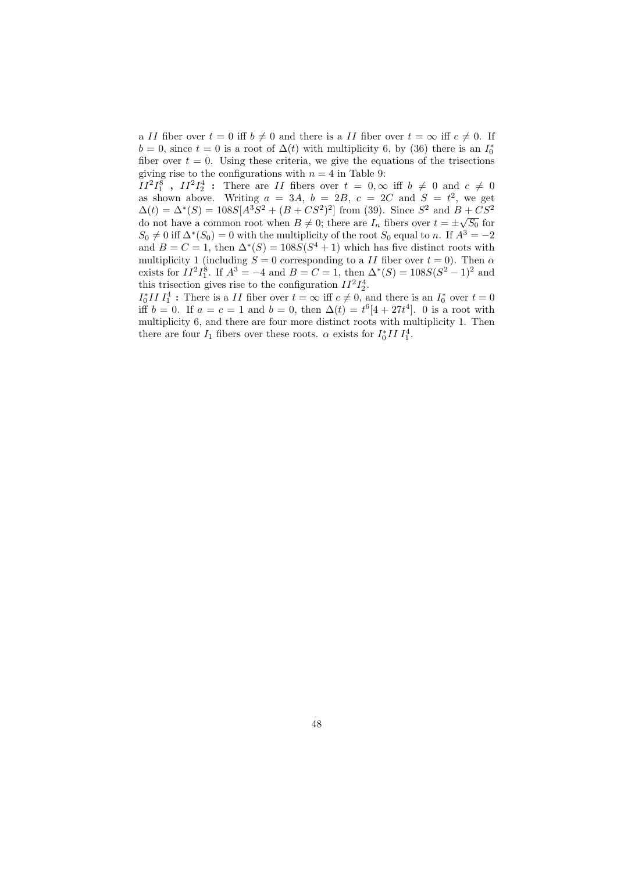a II fiber over  $t = 0$  iff  $b \neq 0$  and there is a II fiber over  $t = \infty$  iff  $c \neq 0$ . If  $b = 0$ , since  $t = 0$  is a root of  $\Delta(t)$  with multiplicity 6, by (36) there is an  $I_0^*$ fiber over  $t = 0$ . Using these criteria, we give the equations of the trisections giving rise to the configurations with  $n = 4$  in Table 9:

 $II^2I_1^8$ ,  $II^2I_2^4$ : There are II fibers over  $t = 0, \infty$  iff  $b \neq 0$  and  $c \neq 0$ as shown above. Writing  $a = 3A$ ,  $b = 2B$ ,  $c = 2C$  and  $S = t^2$ , we get  $\Delta(t) = \Delta^*(S) = 108S[A^3S^2 + (B + CS^2)^2]$  from (39). Since  $S^2$  and  $B + CS^2$ do not have a common root when  $B \neq 0$ ; there are  $I_n$  fibers over  $t = \pm \sqrt{S_0}$  for  $S_0 \neq 0$  iff  $\Delta^*(S_0) = 0$  with the multiplicity of the root  $S_0$  equal to n. If  $A^3 = -2$ and  $B = C = 1$ , then  $\Delta^*(S) = 108S(S^4 + 1)$  which has five distinct roots with multiplicity 1 (including  $S = 0$  corresponding to a II fiber over  $t = 0$ ). Then  $\alpha$ exists for  $II^2I_1^8$ . If  $A^3 = -4$  and  $B = C = 1$ , then  $\Delta^*(S) = 108S(S^2 - 1)^2$  and this trisection gives rise to the configuration  $II^2I_2^4$ .

 $I_0^* II I_1^4$ : There is a II fiber over  $t = \infty$  iff  $c \neq 0$ , and there is an  $I_0^*$  over  $t = 0$ iff  $b = 0$ . If  $a = c = 1$  and  $b = 0$ , then  $\Delta(t) = t^6[4 + 27t^4]$ . 0 is a root with multiplicity 6, and there are four more distinct roots with multiplicity 1. Then there are four  $I_1$  fibers over these roots.  $\alpha$  exists for  $I_0^*II I_1^4$ .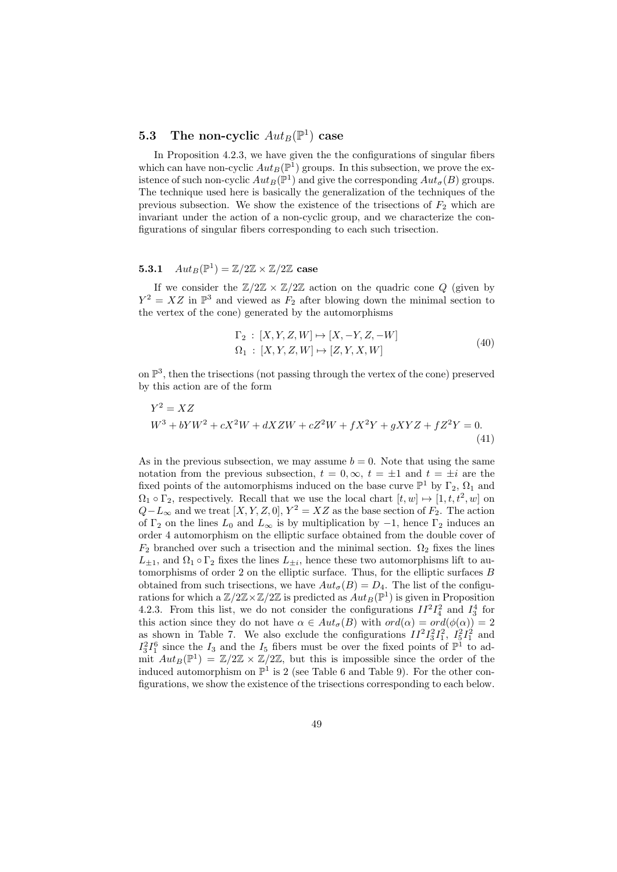## 5.3 The non-cyclic  $Aut_B(\mathbb{P}^1)$  case

In Proposition 4.2.3, we have given the the configurations of singular fibers which can have non-cyclic  $Aut_B(\mathbb{P}^1)$  groups. In this subsection, we prove the existence of such non-cyclic  $Aut_B(\mathbb{P}^1)$  and give the corresponding  $Aut_{\sigma}(B)$  groups. The technique used here is basically the generalization of the techniques of the previous subsection. We show the existence of the trisections of  $F_2$  which are invariant under the action of a non-cyclic group, and we characterize the configurations of singular fibers corresponding to each such trisection.

## **5.3.1**  $Aut_B(\mathbb{P}^1) = \mathbb{Z}/2\mathbb{Z} \times \mathbb{Z}/2\mathbb{Z}$  case

If we consider the  $\mathbb{Z}/2\mathbb{Z} \times \mathbb{Z}/2\mathbb{Z}$  action on the quadric cone Q (given by  $Y^2 = XZ$  in  $\mathbb{P}^3$  and viewed as  $F_2$  after blowing down the minimal section to the vertex of the cone) generated by the automorphisms

$$
\Gamma_2 : [X, Y, Z, W] \mapsto [X, -Y, Z, -W] \n\Omega_1 : [X, Y, Z, W] \mapsto [Z, Y, X, W]
$$
\n(40)

on P 3 , then the trisections (not passing through the vertex of the cone) preserved by this action are of the form

$$
Y^{2} = XZ
$$
  
\n
$$
W^{3} + bYW^{2} + cX^{2}W + dXZW + cZ^{2}W + fX^{2}Y + gXYZ + fZ^{2}Y = 0.
$$
\n(41)

As in the previous subsection, we may assume  $b = 0$ . Note that using the same notation from the previous subsection,  $t = 0, \infty$ ,  $t = \pm 1$  and  $t = \pm i$  are the fixed points of the automorphisms induced on the base curve  $\mathbb{P}^1$  by  $\Gamma_2$ ,  $\Omega_1$  and  $\Omega_1 \circ \Gamma_2$ , respectively. Recall that we use the local chart  $[t, w] \mapsto [1, t, t^2, w]$  on  $Q-L_{\infty}$  and we treat  $[X, Y, Z, 0], Y^2 = XZ$  as the base section of  $F_2$ . The action of  $\Gamma_2$  on the lines  $L_0$  and  $L_{\infty}$  is by multiplication by  $-1$ , hence  $\Gamma_2$  induces an order 4 automorphism on the elliptic surface obtained from the double cover of  $F_2$  branched over such a trisection and the minimal section.  $\Omega_2$  fixes the lines  $L_{\pm 1}$ , and  $\Omega_1 \circ \Gamma_2$  fixes the lines  $L_{\pm i}$ , hence these two automorphisms lift to automorphisms of order 2 on the elliptic surface. Thus, for the elliptic surfaces  $B$ obtained from such trisections, we have  $Aut_{\sigma}(B) = D_4$ . The list of the configurations for which a  $\mathbb{Z}/2\mathbb{Z} \times \mathbb{Z}/2\mathbb{Z}$  is predicted as  $Aut_B(\mathbb{P}^1)$  is given in Proposition 4.2.3. From this list, we do not consider the configurations  $II^2I_4^2$  and  $I_3^4$  for this action since they do not have  $\alpha \in Aut_{\sigma}(B)$  with  $ord(\alpha) = ord(\phi(\alpha)) = 2$ as shown in Table 7. We also exclude the configurations  $II^2I_3^2I_1^2$ ,  $I_5^2I_1^2$  and  $I_3^2I_1^6$  since the  $I_3$  and the  $I_5$  fibers must be over the fixed points of  $\mathbb{P}^1$  to admit  $Aut_B(\mathbb{P}^1) = \mathbb{Z}/2\mathbb{Z} \times \mathbb{Z}/2\mathbb{Z}$ , but this is impossible since the order of the induced automorphism on  $\mathbb{P}^1$  is 2 (see Table 6 and Table 9). For the other configurations, we show the existence of the trisections corresponding to each below.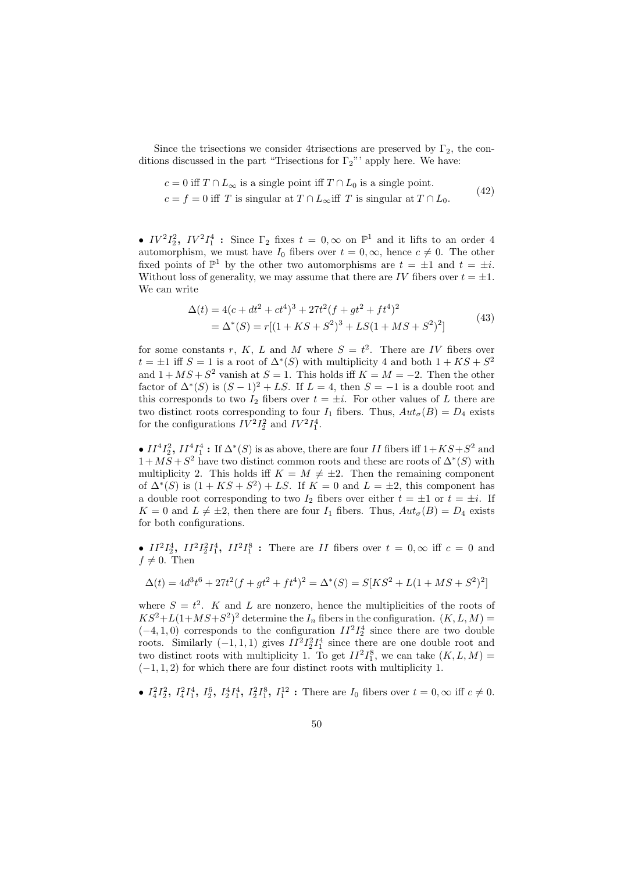Since the trisections we consider 4trisections are preserved by  $\Gamma_2$ , the conditions discussed in the part "Trisections for  $\Gamma_2$ "' apply here. We have:

$$
c = 0 \text{ iff } T \cap L_{\infty} \text{ is a single point iff } T \cap L_0 \text{ is a single point.}
$$
\n
$$
(42)
$$

 $c = f = 0$  iff T is singular at  $T \cap L_{\infty}$  iff T is singular at  $T \cap L_0$ .

•  $IV^2I_2^2$ ,  $IV^2I_1^4$ : Since  $\Gamma_2$  fixes  $t = 0, \infty$  on  $\mathbb{P}^1$  and it lifts to an order 4 automorphism, we must have  $I_0$  fibers over  $t = 0, \infty$ , hence  $c \neq 0$ . The other fixed points of  $\mathbb{P}^1$  by the other two automorphisms are  $t = \pm 1$  and  $t = \pm i$ . Without loss of generality, we may assume that there are IV fibers over  $t = \pm 1$ . We can write

$$
\Delta(t) = 4(c + dt^2 + ct^4)^3 + 27t^2(f + gt^2 + ft^4)^2
$$
  
=  $\Delta^*(S) = r[(1 + KS + S^2)^3 + LS(1 + MS + S^2)^2]$  (43)

for some constants r, K, L and M where  $S = t^2$ . There are IV fibers over  $t = \pm 1$  iff  $S = 1$  is a root of  $\Delta^*(S)$  with multiplicity 4 and both  $1 + KS + S^2$ and  $1 + MS + S^2$  vanish at  $S = 1$ . This holds iff  $K = M = -2$ . Then the other factor of  $\Delta^*(S)$  is  $(S-1)^2 + LS$ . If  $L = 4$ , then  $S = -1$  is a double root and this corresponds to two  $I_2$  fibers over  $t = \pm i$ . For other values of L there are two distinct roots corresponding to four  $I_1$  fibers. Thus,  $Aut_{\sigma}(B) = D_4$  exists for the configurations  $IV^2I_2^2$  and  $IV^2I_1^4$ .

•  $II^4I_2^2$ ,  $II^4I_1^4$ : If  $\Delta^*(S)$  is as above, there are four II fibers iff  $1+KS+S^2$  and  $1 + MS + S^2$  have two distinct common roots and these are roots of  $\Delta^*(S)$  with multiplicity 2. This holds iff  $K = M \neq \pm 2$ . Then the remaining component of  $\Delta^*(S)$  is  $(1+KS+S^2)+LS$ . If  $K=0$  and  $L=\pm 2$ , this component has a double root corresponding to two  $I_2$  fibers over either  $t = \pm 1$  or  $t = \pm i$ . If  $K = 0$  and  $L \neq \pm 2$ , then there are four  $I_1$  fibers. Thus,  $Aut_{\sigma}(B) = D_4$  exists for both configurations.

•  $II^2I_2^4$ ,  $II^2I_2^2I_1^4$ ,  $II^2I_1^8$ : There are II fibers over  $t = 0, \infty$  iff  $c = 0$  and  $f \neq 0$ . Then

$$
\Delta(t) = 4d^3t^6 + 27t^2(f + gt^2 + ft^4)^2 = \Delta^*(S) = S[KS^2 + L(1 + MS + S^2)^2]
$$

where  $S = t^2$ . K and L are nonzero, hence the multiplicities of the roots of  $KS^2+L(1+MS+S^2)^2$  determine the  $I_n$  fibers in the configuration.  $(K, L, M)$  =  $(-4, 1, 0)$  corresponds to the configuration  $II^2I_2^4$  since there are two double roots. Similarly  $(-1,1,1)$  gives  $II^2 I_2^2 I_1^4$  since there are one double root and two distinct roots with multiplicity 1. To get  $II^2I_1^8$ , we can take  $(K, L, M)$  =  $(-1, 1, 2)$  for which there are four distinct roots with multiplicity 1.

•  $I_4^2 I_2^2$ ,  $I_4^2 I_1^4$ ,  $I_2^6$ ,  $I_2^4 I_1^4$ ,  $I_2^2 I_1^8$ ,  $I_1^{12}$ : There are  $I_0$  fibers over  $t = 0$ ,  $\infty$  iff  $c \neq 0$ .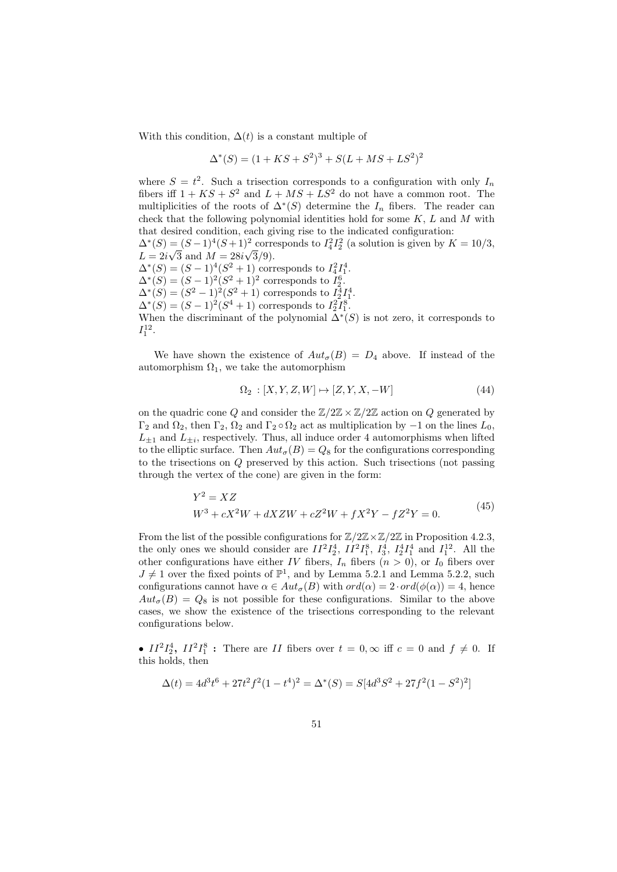With this condition,  $\Delta(t)$  is a constant multiple of

$$
\Delta^*(S) = (1 + KS + S^2)^3 + S(L + MS + LS^2)^2
$$

where  $S = t^2$ . Such a trisection corresponds to a configuration with only  $I_n$ fibers iff  $1 + KS + S^2$  and  $L + MS + LS^2$  do not have a common root. The multiplicities of the roots of  $\Delta^*(S)$  determine the  $I_n$  fibers. The reader can check that the following polynomial identities hold for some  $K, L$  and  $M$  with that desired condition, each giving rise to the indicated configuration:  $\Delta^*(S) = (S-1)^4(S+1)^2$  corresponds to  $I_4^2 I_2^2$  (a solution is given by  $K = 10/3$ ,  $L = 2i\sqrt{3}$  and  $M = 28i\sqrt{3}/9$ .

 $\Delta^*(S) = (S-1)^4(S^2+1)$  corresponds to  $I_4^2 I_1^4$ .  $\Delta^*(S) = (S-1)^2(S^2+1)^2$  corresponds to  $I_2^6$ .  $\Delta^*(S) = (S^2 - 1)^2(S^2 + 1)$  corresponds to  $I_2^4 I_1^4$ .  $\Delta^*(S) = (S-1)^2(S^4+1)$  corresponds to  $I_2^2I_1^8$ .

When the discriminant of the polynomial  $\Delta^*(S)$  is not zero, it corresponds to  $I_1^{12}$ .

We have shown the existence of  $Aut_{\sigma}(B) = D_4$  above. If instead of the automorphism  $\Omega_1$ , we take the automorphism

$$
\Omega_2 : [X, Y, Z, W] \mapsto [Z, Y, X, -W]
$$
\n
$$
(44)
$$

on the quadric cone Q and consider the  $\mathbb{Z}/2\mathbb{Z} \times \mathbb{Z}/2\mathbb{Z}$  action on Q generated by  $\Gamma_2$  and  $\Omega_2$ , then  $\Gamma_2$ ,  $\Omega_2$  and  $\Gamma_2 \circ \Omega_2$  act as multiplication by  $-1$  on the lines  $L_0$ ,  $L_{\pm 1}$  and  $L_{\pm i}$ , respectively. Thus, all induce order 4 automorphisms when lifted to the elliptic surface. Then  $Aut_{\sigma}(B) = Q_8$  for the configurations corresponding to the trisections on Q preserved by this action. Such trisections (not passing through the vertex of the cone) are given in the form:

$$
Y^{2} = XZ
$$
  
\n
$$
W^{3} + cX^{2}W + dXZW + cZ^{2}W + fX^{2}Y - fZ^{2}Y = 0.
$$
\n(45)

From the list of the possible configurations for  $\mathbb{Z}/2\mathbb{Z}\times\mathbb{Z}/2\mathbb{Z}$  in Proposition 4.2.3, the only ones we should consider are  $II^2I_2^4$ ,  $II^2I_1^8$ ,  $I_3^4$ ,  $I_2^4I_1^4$  and  $I_1^{12}$ . All the other configurations have either IV fibers,  $I_n$  fibers  $(n > 0)$ , or  $I_0$  fibers over  $J \neq 1$  over the fixed points of  $\mathbb{P}^1$ , and by Lemma 5.2.1 and Lemma 5.2.2, such configurations cannot have  $\alpha \in Aut_{\sigma}(B)$  with  $ord(\alpha) = 2 \cdot ord(\phi(\alpha)) = 4$ , hence  $Aut_{\sigma}(B) = Q_8$  is not possible for these configurations. Similar to the above cases, we show the existence of the trisections corresponding to the relevant configurations below.

•  $II^2I_2^4$ ,  $II^2I_1^8$ : There are II fibers over  $t = 0, \infty$  iff  $c = 0$  and  $f \neq 0$ . If this holds, then

$$
\Delta(t) = 4d^3t^6 + 27t^2f^2(1-t^4)^2 = \Delta^*(S) = S[4d^3S^2 + 27f^2(1-S^2)^2]
$$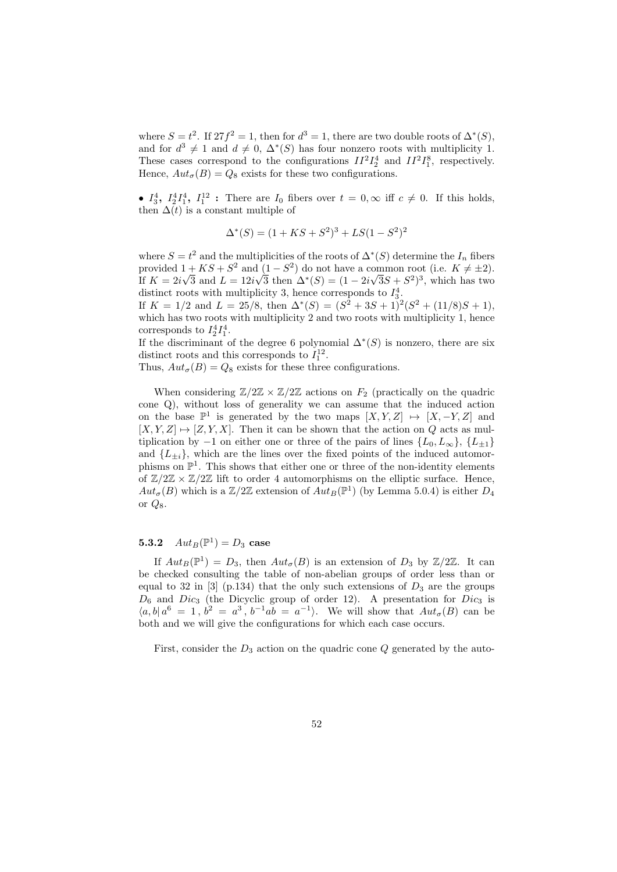where  $S = t^2$ . If  $27f^2 = 1$ , then for  $d^3 = 1$ , there are two double roots of  $\Delta^*(S)$ , and for  $d^3 \neq 1$  and  $d \neq 0$ ,  $\Delta^*(S)$  has four nonzero roots with multiplicity 1. These cases correspond to the configurations  $II^2I_2^4$  and  $II^2I_1^8$ , respectively. Hence,  $Aut_{\sigma}(B) = Q_8$  exists for these two configurations.

•  $I_3^4$ ,  $I_2^4I_1^4$ ,  $I_1^{12}$ : There are  $I_0$  fibers over  $t = 0, \infty$  iff  $c \neq 0$ . If this holds, then  $\Delta(t)$  is a constant multiple of

$$
\Delta^*(S) = (1 + KS + S^2)^3 + LS(1 - S^2)^2
$$

where  $S = t^2$  and the multiplicities of the roots of  $\Delta^*(S)$  determine the  $I_n$  fibers provided  $1 + KS + S^2$  and  $(1 - S^2)$  do not have a common root (i.e.  $K \neq \pm 2$ ). If  $K = 2i\sqrt{3}$  and  $L = 12i\sqrt{3}$  then  $\Delta^*(S) = (1 - 2i\sqrt{3}S + S^2)^3$ , which has two distinct roots with multiplicity 3, hence corresponds to  $I_3^4$ .

If  $K = 1/2$  and  $L = 25/8$ , then  $\Delta^*(S) = (S^2 + 3S + 1)^2(S^2 + (11/8)S + 1)$ , which has two roots with multiplicity 2 and two roots with multiplicity 1, hence corresponds to  $I_2^4I_1^4$ .

If the discriminant of the degree 6 polynomial  $\Delta^*(S)$  is nonzero, there are six distinct roots and this corresponds to  $I_1^{12}$ .

Thus,  $Aut_{\sigma}(B) = Q_8$  exists for these three configurations.

When considering  $\mathbb{Z}/2\mathbb{Z} \times \mathbb{Z}/2\mathbb{Z}$  actions on  $F_2$  (practically on the quadric cone Q), without loss of generality we can assume that the induced action on the base  $\mathbb{P}^1$  is generated by the two maps  $[X, Y, Z] \mapsto [X, -Y, Z]$  and  $[X, Y, Z] \mapsto [Z, Y, X]$ . Then it can be shown that the action on Q acts as multiplication by −1 on either one or three of the pairs of lines  $\{L_0, L_\infty\}$ ,  $\{L_{+1}\}$ and  $\{L_{\pm i}\}\$ , which are the lines over the fixed points of the induced automorphisms on  $\mathbb{P}^1$ . This shows that either one or three of the non-identity elements of  $\mathbb{Z}/2\mathbb{Z} \times \mathbb{Z}/2\mathbb{Z}$  lift to order 4 automorphisms on the elliptic surface. Hence,  $Aut_{\sigma}(B)$  which is a  $\mathbb{Z}/2\mathbb{Z}$  extension of  $Aut_B(\mathbb{P}^1)$  (by Lemma 5.0.4) is either  $D_4$ or  $Q_8$ .

## **5.3.2**  $Aut_B(\mathbb{P}^1) = D_3$  case

If  $Aut_B(\mathbb{P}^1) = D_3$ , then  $Aut_{\sigma}(B)$  is an extension of  $D_3$  by  $\mathbb{Z}/2\mathbb{Z}$ . It can be checked consulting the table of non-abelian groups of order less than or equal to 32 in  $[3]$  (p.134) that the only such extensions of  $D_3$  are the groups  $D_6$  and  $Dic_3$  (the Dicyclic group of order 12). A presentation for  $Dic_3$  is  $\langle a, b | a^6 = 1, b^2 = a^3, b^{-1}ab = a^{-1} \rangle$ . We will show that  $Aut_{\sigma}(B)$  can be both and we will give the configurations for which each case occurs.

First, consider the  $D_3$  action on the quadric cone Q generated by the auto-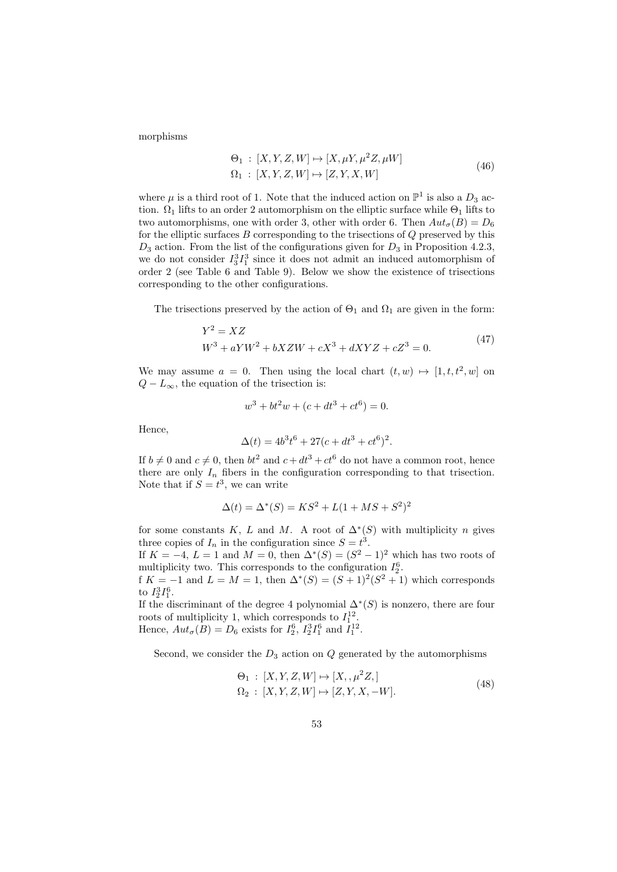morphisms

$$
\Theta_1 : [X, Y, Z, W] \mapsto [X, \mu Y, \mu^2 Z, \mu W]
$$
  

$$
\Omega_1 : [X, Y, Z, W] \mapsto [Z, Y, X, W]
$$
 (46)

where  $\mu$  is a third root of 1. Note that the induced action on  $\mathbb{P}^1$  is also a  $D_3$  action.  $\Omega_1$  lifts to an order 2 automorphism on the elliptic surface while  $\Theta_1$  lifts to two automorphisms, one with order 3, other with order 6. Then  $Aut_{\sigma}(B) = D_6$ for the elliptic surfaces  $B$  corresponding to the trisections of  $Q$  preserved by this  $D_3$  action. From the list of the configurations given for  $D_3$  in Proposition 4.2.3, we do not consider  $I_3^3I_1^3$  since it does not admit an induced automorphism of order 2 (see Table 6 and Table 9). Below we show the existence of trisections corresponding to the other configurations.

The trisections preserved by the action of  $\Theta_1$  and  $\Omega_1$  are given in the form:

$$
Y^{2} = XZ
$$
  
\n
$$
W^{3} + aYW^{2} + bXZW + cX^{3} + dXYZ + cZ^{3} = 0.
$$
\n(47)

We may assume  $a = 0$ . Then using the local chart  $(t, w) \mapsto [1, t, t^2, w]$  on  $Q - L_{\infty}$ , the equation of the trisection is:

$$
w^3 + bt^2w + (c + dt^3 + ct^6) = 0.
$$

Hence,

$$
\Delta(t) = 4b^3t^6 + 27(c + dt^3 + ct^6)^2.
$$

If  $b \neq 0$  and  $c \neq 0$ , then  $bt^2$  and  $c + dt^3 + ct^6$  do not have a common root, hence there are only  $I_n$  fibers in the configuration corresponding to that trisection. Note that if  $S = t^3$ , we can write

$$
\Delta(t) = \Delta^*(S) = KS^2 + L(1 + MS + S^2)^2
$$

for some constants K, L and M. A root of  $\Delta^*(S)$  with multiplicity n gives three copies of  $I_n$  in the configuration since  $S = t^3$ .

If  $K = -4$ ,  $L = 1$  and  $M = 0$ , then  $\Delta^*(S) = (S^2 - 1)^2$  which has two roots of multiplicity two. This corresponds to the configuration  $I_2^6$ .

f  $K = -1$  and  $L = M = 1$ , then  $\Delta^*(S) = (S+1)^2(S^2+1)$  which corresponds to  $I_2^3I_1^6$ .

If the discriminant of the degree 4 polynomial  $\Delta^*(S)$  is nonzero, there are four roots of multiplicity 1, which corresponds to  $I_1^{12}$ . Hence,  $Aut_{\sigma}(B) = D_6$  exists for  $I_2^6$ ,  $I_2^3 I_1^6$  and  $I_1^{12}$ .

Second, we consider the  $D_3$  action on  $Q$  generated by the automorphisms

$$
\Theta_1 : [X, Y, Z, W] \mapsto [X, , \mu^2 Z, ]
$$
  
\n
$$
\Omega_2 : [X, Y, Z, W] \mapsto [Z, Y, X, -W].
$$
\n(48)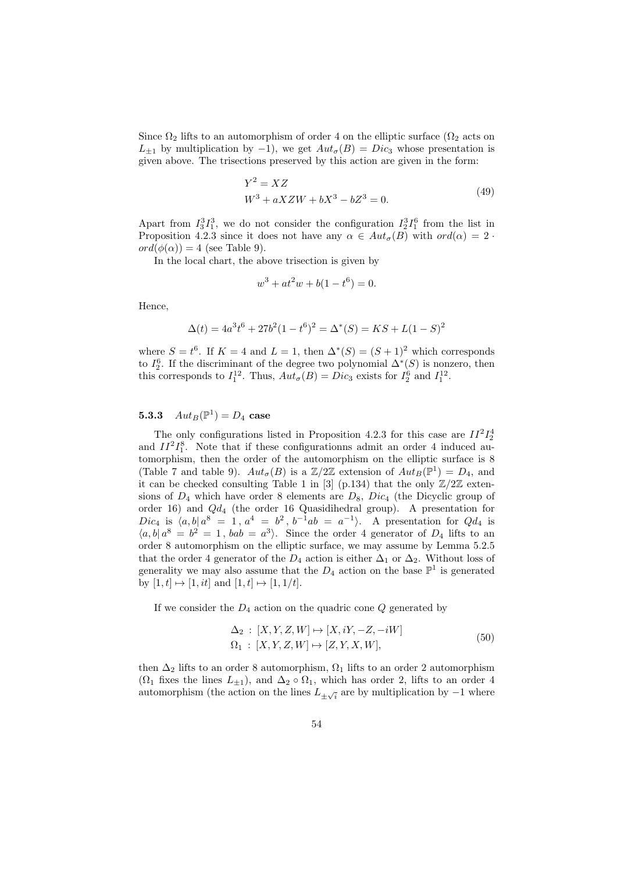Since  $\Omega_2$  lifts to an automorphism of order 4 on the elliptic surface ( $\Omega_2$  acts on  $L_{\pm 1}$  by multiplication by -1), we get  $Aut_{\sigma}(B) = Disc_3$  whose presentation is given above. The trisections preserved by this action are given in the form:

$$
Y^{2} = XZ
$$
  
\n
$$
W^{3} + aXZW + bX^{3} - bZ^{3} = 0.
$$
\n(49)

Apart from  $I_3^3I_1^3$ , we do not consider the configuration  $I_2^3I_1^6$  from the list in Proposition 4.2.3 since it does not have any  $\alpha \in Aut_{\sigma}(B)$  with  $ord(\alpha) = 2$ .  $ord(\phi(\alpha)) = 4$  (see Table 9).

In the local chart, the above trisection is given by

$$
w^3 + at^2w + b(1 - t^6) = 0.
$$

Hence,

$$
\Delta(t) = 4a^3t^6 + 27b^2(1 - t^6)^2 = \Delta^*(S) = KS + L(1 - S)^2
$$

where  $S = t^6$ . If  $K = 4$  and  $L = 1$ , then  $\Delta^*(S) = (S + 1)^2$  which corresponds to  $I_2^6$ . If the discriminant of the degree two polynomial  $\Delta^*(S)$  is nonzero, then this corresponds to  $I_1^{12}$ . Thus,  $Aut_{\sigma}(B) = Disc_3$  exists for  $I_2^6$  and  $I_1^{12}$ .

## **5.3.3**  $Aut_B(\mathbb{P}^1) = D_4$  case

The only configurations listed in Proposition 4.2.3 for this case are  $II^2I_2^4$ and  $II^2I_1^8$ . Note that if these configurationns admit an order 4 induced automorphism, then the order of the automorphism on the elliptic surface is 8 (Table 7 and table 9).  $Aut_{\sigma}(B)$  is a  $\mathbb{Z}/2\mathbb{Z}$  extension of  $Aut_B(\mathbb{P}^1) = D_4$ , and it can be checked consulting Table 1 in [3] (p.134) that the only  $\mathbb{Z}/2\mathbb{Z}$  extensions of  $D_4$  which have order 8 elements are  $D_8$ ,  $Dic_4$  (the Dicyclic group of order 16) and Qd<sup>4</sup> (the order 16 Quasidihedral group). A presentation for Dic<sub>4</sub> is  $\langle a, b | a^8 = 1, a^4 = b^2, b^{-1}ab = a^{-1} \rangle$ . A presentation for  $Qd_4$  is  $\langle a, b | a^8 = b^2 = 1, bab = a^3 \rangle$ . Since the order 4 generator of  $D_4$  lifts to an order 8 automorphism on the elliptic surface, we may assume by Lemma 5.2.5 that the order 4 generator of the  $D_4$  action is either  $\Delta_1$  or  $\Delta_2$ . Without loss of generality we may also assume that the  $D_4$  action on the base  $\mathbb{P}^1$  is generated by  $[1, t] \mapsto [1, it]$  and  $[1, t] \mapsto [1, 1/t]$ .

If we consider the  $D_4$  action on the quadric cone  $Q$  generated by

$$
\Delta_2 : [X, Y, Z, W] \mapsto [X, iY, -Z, -iW]
$$
  

$$
\Omega_1 : [X, Y, Z, W] \mapsto [Z, Y, X, W],
$$
  
(50)

then  $\Delta_2$  lifts to an order 8 automorphism,  $\Omega_1$  lifts to an order 2 automorphism  $(\Omega_1$  fixes the lines  $L_{\pm 1}$ , and  $\Delta_2 \circ \Omega_1$ , which has order 2, lifts to an order 4 automorphism (the action on the lines  $L_{\pm\sqrt{i}}$  are by multiplication by  $-1$  where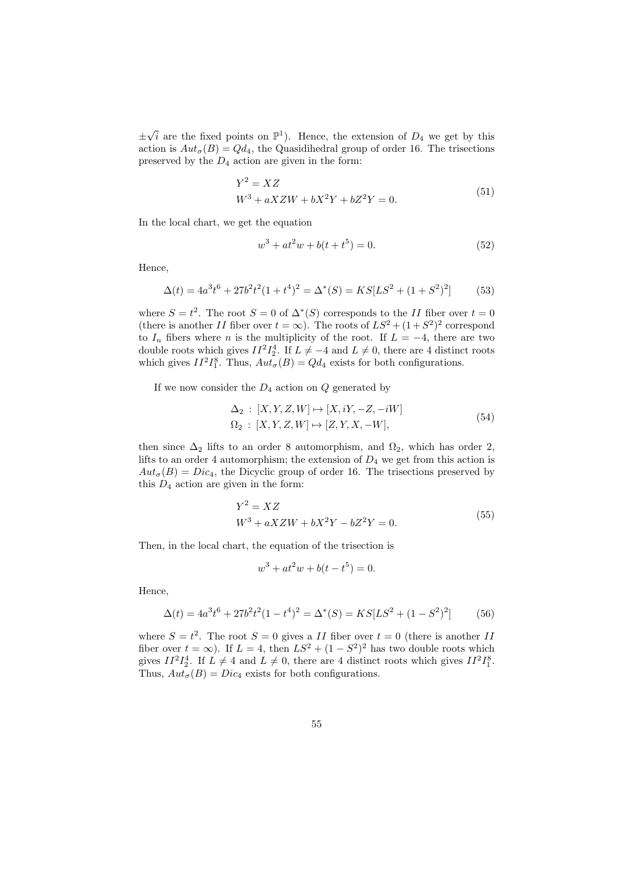±  $\sqrt{i}$  are the fixed points on  $\mathbb{P}^1$ ). Hence, the extension of  $D_4$  we get by this action is  $Aut_{\sigma}(B) = Qd_4$ , the Quasidihedral group of order 16. The trisections preserved by the  $D_4$  action are given in the form:

$$
Y^{2} = XZ
$$
  
\n
$$
W^{3} + aXZW + bX^{2}Y + bZ^{2}Y = 0.
$$
\n(51)

In the local chart, we get the equation

$$
w^3 + at^2w + b(t + t^5) = 0.
$$
 (52)

Hence,

$$
\Delta(t) = 4a^3t^6 + 27b^2t^2(1+t^4)^2 = \Delta^*(S) = KS[LS^2 + (1+S^2)^2]
$$
(53)

where  $S = t^2$ . The root  $S = 0$  of  $\Delta^*(S)$  corresponds to the II fiber over  $t = 0$ (there is another II fiber over  $t = \infty$ ). The roots of  $LS^2 + (1 + S^2)^2$  correspond to  $I_n$  fibers where n is the multiplicity of the root. If  $L = -4$ , there are two double roots which gives  $II^2I_2^4$ . If  $L \neq -4$  and  $L \neq 0$ , there are 4 distinct roots which gives  $II^2I_1^8$ . Thus,  $Aut_{\sigma}(B) = Qd_4$  exists for both configurations.

If we now consider the  $D_4$  action on  $Q$  generated by

$$
\Delta_2 : [X, Y, Z, W] \mapsto [X, iY, -Z, -iW]
$$
  
\n
$$
\Omega_2 : [X, Y, Z, W] \mapsto [Z, Y, X, -W],
$$
\n(54)

then since  $\Delta_2$  lifts to an order 8 automorphism, and  $\Omega_2$ , which has order 2, lifts to an order 4 automorphism; the extension of  $D_4$  we get from this action is  $Aut_{\sigma}(B) = Dic_4$ , the Dicyclic group of order 16. The trisections preserved by this  $D_4$  action are given in the form:

$$
Y^{2} = XZ
$$
  
\n
$$
W^{3} + aXZW + bX^{2}Y - bZ^{2}Y = 0.
$$
\n(55)

Then, in the local chart, the equation of the trisection is

$$
w^3 + at^2w + b(t - t^5) = 0.
$$

Hence,

$$
\Delta(t) = 4a^3t^6 + 27b^2t^2(1-t^4)^2 = \Delta^*(S) = KS[LS^2 + (1-S^2)^2]
$$
(56)

where  $S = t^2$ . The root  $S = 0$  gives a II fiber over  $t = 0$  (there is another II fiber over  $t = \infty$ ). If  $L = 4$ , then  $LS^2 + (1 - S^2)^2$  has two double roots which gives  $II^2I_2^4$ . If  $L \neq 4$  and  $L \neq 0$ , there are 4 distinct roots which gives  $II^2I_1^8$ . Thus,  $Aut_{\sigma}(B) = Dic_4$  exists for both configurations.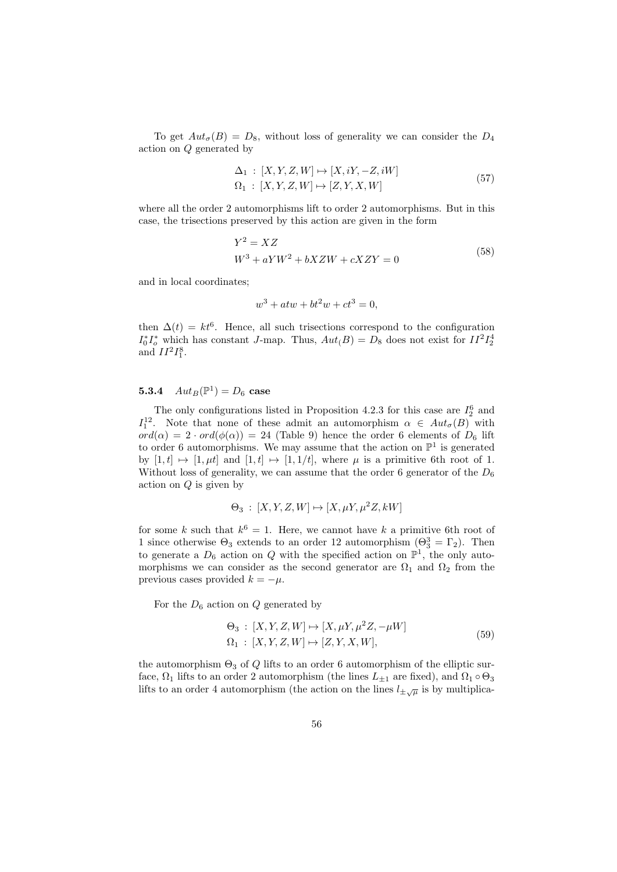To get  $Aut_{\sigma}(B) = D_8$ , without loss of generality we can consider the  $D_4$ action on Q generated by

$$
\Delta_1: [X, Y, Z, W] \mapsto [X, iY, -Z, iW]
$$
  

$$
\Omega_1: [X, Y, Z, W] \mapsto [Z, Y, X, W]
$$
 (57)

where all the order 2 automorphisms lift to order 2 automorphisms. But in this case, the trisections preserved by this action are given in the form

$$
Y^2 = XZ
$$
  

$$
W^3 + aYW^2 + bXZW + cXZY = 0
$$
 (58)

and in local coordinates;

$$
w^3 + atw + bt^2w + ct^3 = 0,
$$

then  $\Delta(t) = kt^6$ . Hence, all such trisections correspond to the configuration  $I_0^* I_o^*$  which has constant J-map. Thus,  $Aut(B) = D_8$  does not exist for  $II^2 I_2^4$ and  $II^2I_1^8$ .

## **5.3.4**  $Aut_B(\mathbb{P}^1) = D_6$  case

The only configurations listed in Proposition 4.2.3 for this case are  $I_2^6$  and  $I_1^{12}$ . Note that none of these admit an automorphism  $\alpha \in Aut_{\sigma}(B)$  with  $ord(\alpha) = 2 \cdot ord(\phi(\alpha)) = 24$  (Table 9) hence the order 6 elements of  $D_6$  lift to order 6 automorphisms. We may assume that the action on  $\mathbb{P}^1$  is generated by  $[1, t] \mapsto [1, \mu t]$  and  $[1, t] \mapsto [1, 1/t]$ , where  $\mu$  is a primitive 6th root of 1. Without loss of generality, we can assume that the order 6 generator of the  $D_6$ action on Q is given by

$$
\Theta_3 : [X, Y, Z, W] \mapsto [X, \mu Y, \mu^2 Z, kW]
$$

for some k such that  $k^6 = 1$ . Here, we cannot have k a primitive 6th root of 1 since otherwise  $\Theta_3$  extends to an order 12 automorphism  $(\Theta_3^3 = \Gamma_2)$ . Then to generate a  $D_6$  action on Q with the specified action on  $\mathbb{P}^1$ , the only automorphisms we can consider as the second generator are  $\Omega_1$  and  $\Omega_2$  from the previous cases provided  $k = -\mu$ .

For the  $D_6$  action on  $Q$  generated by

$$
\Theta_3: [X, Y, Z, W] \mapsto [X, \mu Y, \mu^2 Z, -\mu W]
$$
  
\n
$$
\Omega_1: [X, Y, Z, W] \mapsto [Z, Y, X, W],
$$
\n(59)

the automorphism  $\Theta_3$  of Q lifts to an order 6 automorphism of the elliptic surface,  $\Omega_1$  lifts to an order 2 automorphism (the lines  $L_{\pm 1}$  are fixed), and  $\Omega_1 \circ \Theta_3$ lifts to an order 4 automorphism (the action on the lines  $l_{\pm\sqrt{\mu}}$  is by multiplica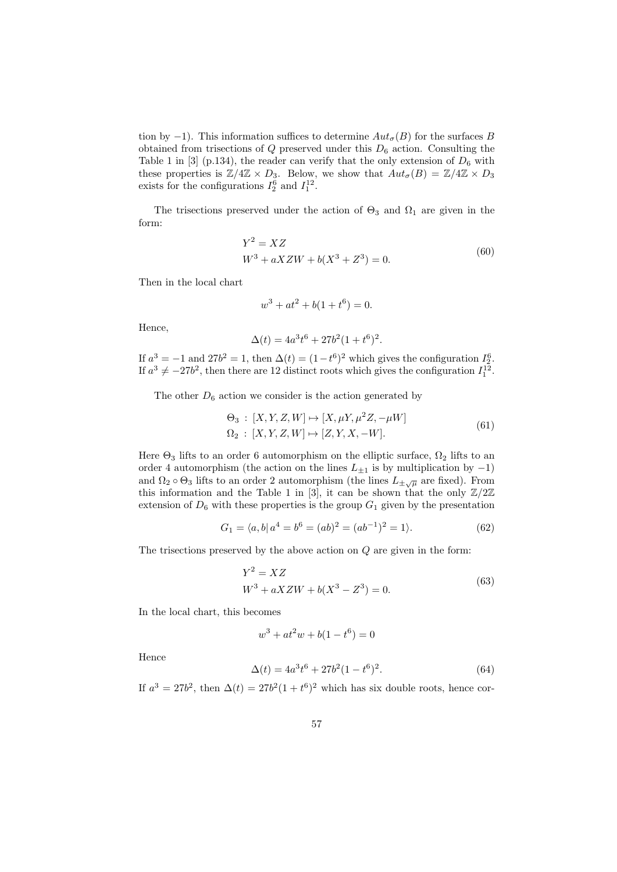tion by −1). This information suffices to determine  $Aut_{\sigma}(B)$  for the surfaces B obtained from trisections of  $Q$  preserved under this  $D_6$  action. Consulting the Table 1 in [3] (p.134), the reader can verify that the only extension of  $D_6$  with these properties is  $\mathbb{Z}/4\mathbb{Z} \times D_3$ . Below, we show that  $Aut_{\sigma}(B) = \mathbb{Z}/4\mathbb{Z} \times D_3$ exists for the configurations  $I_2^6$  and  $I_1^{12}$ .

The trisections preserved under the action of  $\Theta_3$  and  $\Omega_1$  are given in the form:

$$
Y^{2} = XZ
$$
  
\n
$$
W^{3} + aXZW + b(X^{3} + Z^{3}) = 0.
$$
\n(60)

Then in the local chart

$$
w^3 + at^2 + b(1 + t^6) = 0.
$$

Hence,

$$
\Delta(t) = 4a^3t^6 + 27b^2(1+t^6)^2.
$$

If  $a^3 = -1$  and  $27b^2 = 1$ , then  $\Delta(t) = (1 - t^6)^2$  which gives the configuration  $I_2^6$ . If  $a^3 \neq -27b^2$ , then there are 12 distinct roots which gives the configuration  $I_1^{12}$ .

The other  $D_6$  action we consider is the action generated by

$$
\Theta_3 : [X, Y, Z, W] \mapsto [X, \mu Y, \mu^2 Z, -\mu W] \n\Omega_2 : [X, Y, Z, W] \mapsto [Z, Y, X, -W].
$$
\n(61)

Here  $\Theta_3$  lifts to an order 6 automorphism on the elliptic surface,  $\Omega_2$  lifts to an order 4 automorphism (the action on the lines  $L_{\pm 1}$  is by multiplication by  $-1$ ) and  $\Omega_2 \circ \Theta_3$  lifts to an order 2 automorphism (the lines  $L_{\pm\sqrt{\mu}}$  are fixed). From this information and the Table 1 in [3], it can be shown that the only  $\mathbb{Z}/2\mathbb{Z}$ extension of  $D_6$  with these properties is the group  $G_1$  given by the presentation

$$
G_1 = \langle a, b | a^4 = b^6 = (ab)^2 = (ab^{-1})^2 = 1 \rangle.
$$
 (62)

The trisections preserved by the above action on Q are given in the form:

$$
Y^{2} = XZ
$$
  
\n
$$
W^{3} + aXZW + b(X^{3} - Z^{3}) = 0.
$$
\n(63)

In the local chart, this becomes

$$
w^3 + at^2w + b(1 - t^6) = 0
$$

Hence

$$
\Delta(t) = 4a^3t^6 + 27b^2(1 - t^6)^2.
$$
\n(64)

If  $a^3 = 27b^2$ , then  $\Delta(t) = 27b^2(1+t^6)^2$  which has six double roots, hence cor-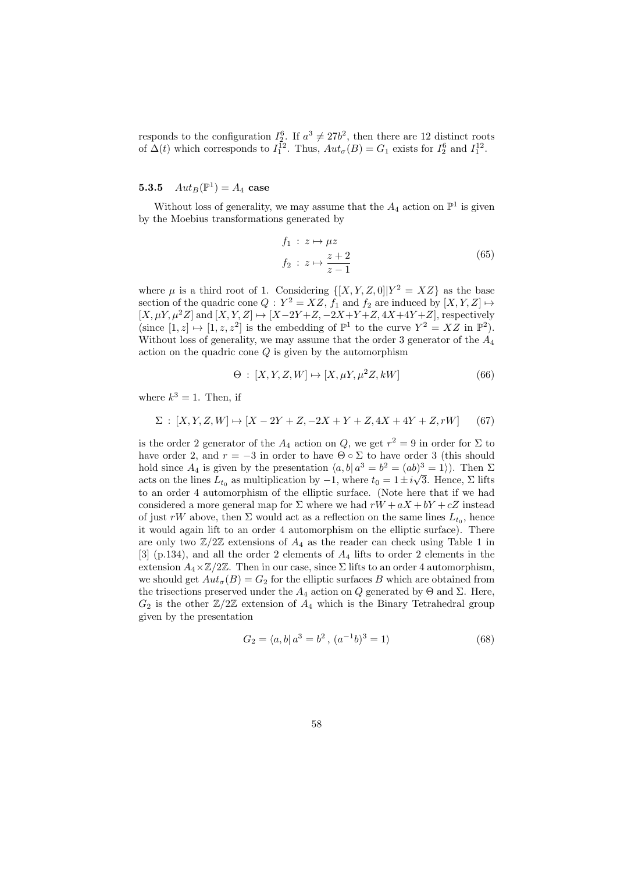responds to the configuration  $I_2^6$ . If  $a^3 \neq 27b^2$ , then there are 12 distinct roots of  $\Delta(t)$  which corresponds to  $I_1^{12}$ . Thus,  $Aut_{\sigma}(B) = G_1$  exists for  $I_2^6$  and  $I_1^{12}$ .

## **5.3.5**  $Aut_B(\mathbb{P}^1) = A_4$  case

Without loss of generality, we may assume that the  $A_4$  action on  $\mathbb{P}^1$  is given by the Moebius transformations generated by

$$
f_1: z \mapsto \mu z
$$
  

$$
f_2: z \mapsto \frac{z+2}{z-1}
$$
 (65)

where  $\mu$  is a third root of 1. Considering  $\{[X, Y, Z, 0]|Y^2 = XZ\}$  as the base section of the quadric cone  $Q: Y^2 = XZ$ ,  $f_1$  and  $f_2$  are induced by  $[X, Y, Z] \mapsto$  $[X, \mu Y, \mu^2 Z]$  and  $[X, Y, Z] \mapsto [X-2Y+Z, -2X+Y+Z, 4X+4Y+Z]$ , respectively (since  $[1, z] \mapsto [1, z, z^2]$  is the embedding of  $\mathbb{P}^1$  to the curve  $Y^2 = XZ$  in  $\mathbb{P}^2$ ). Without loss of generality, we may assume that the order 3 generator of the  $A_4$ action on the quadric cone  $Q$  is given by the automorphism

$$
\Theta : [X, Y, Z, W] \mapsto [X, \mu Y, \mu^2 Z, kW]
$$
\n(66)

where  $k^3 = 1$ . Then, if

$$
\Sigma : [X, Y, Z, W] \mapsto [X - 2Y + Z, -2X + Y + Z, 4X + 4Y + Z, rW] \tag{67}
$$

is the order 2 generator of the  $A_4$  action on  $Q$ , we get  $r^2 = 9$  in order for  $\Sigma$  to have order 2, and  $r = -3$  in order to have  $\Theta \circ \Sigma$  to have order 3 (this should hold since  $A_4$  is given by the presentation  $\langle a, b | a^3 = b^2 = (ab)^3 = 1 \rangle$ . Then  $\Sigma$ acts on the lines  $L_{t_0}$  as multiplication by  $-1$ , where  $t_0 = 1 \pm i \sqrt{3}$ . Hence,  $\Sigma$  lifts to an order 4 automorphism of the elliptic surface. (Note here that if we had considered a more general map for  $\Sigma$  where we had  $rW + aX + bY + cZ$  instead of just rW above, then  $\Sigma$  would act as a reflection on the same lines  $L_{t_0}$ , hence it would again lift to an order 4 automorphism on the elliptic surface). There are only two  $\mathbb{Z}/2\mathbb{Z}$  extensions of  $A_4$  as the reader can check using Table 1 in  $[3]$  (p.134), and all the order 2 elements of  $A_4$  lifts to order 2 elements in the extension  $A_4 \times \mathbb{Z}/2\mathbb{Z}$ . Then in our case, since  $\Sigma$  lifts to an order 4 automorphism, we should get  $Aut_{\sigma}(B) = G_2$  for the elliptic surfaces B which are obtained from the trisections preserved under the  $A_4$  action on Q generated by  $\Theta$  and  $\Sigma$ . Here,  $G_2$  is the other  $\mathbb{Z}/2\mathbb{Z}$  extension of  $A_4$  which is the Binary Tetrahedral group given by the presentation

$$
G_2 = \langle a, b | a^3 = b^2, (a^{-1}b)^3 = 1 \rangle \tag{68}
$$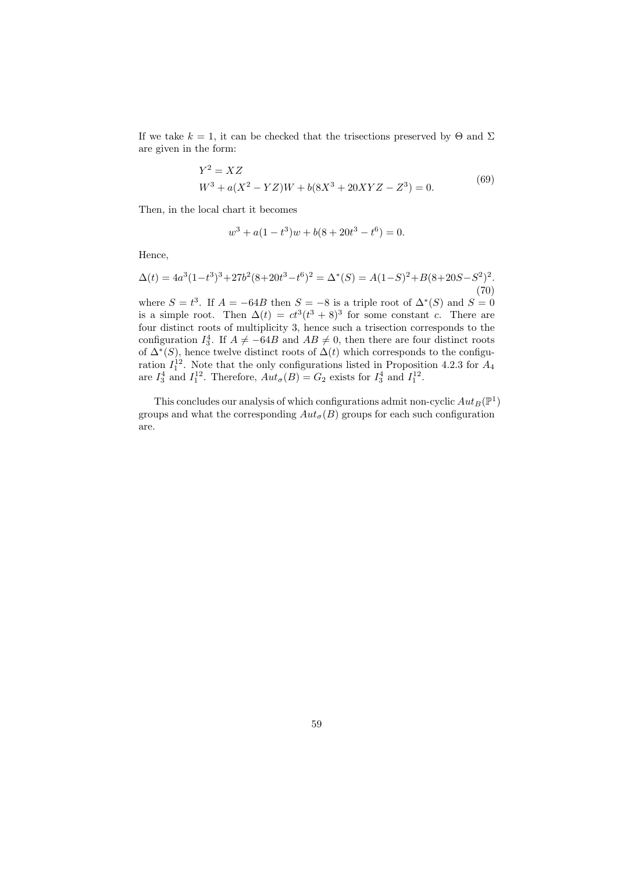If we take  $k = 1$ , it can be checked that the trisections preserved by  $\Theta$  and  $\Sigma$ are given in the form:

$$
Y^{2} = XZ
$$
  
\n
$$
W^{3} + a(X^{2} - YZ)W + b(8X^{3} + 20XYZ - Z^{3}) = 0.
$$
\n(69)

Then, in the local chart it becomes

$$
w^3 + a(1 - t^3)w + b(8 + 20t^3 - t^6) = 0.
$$

Hence,

$$
\Delta(t) = 4a^3(1-t^3)^3 + 27b^2(8+20t^3-t^6)^2 = \Delta^*(S) = A(1-S)^2 + B(8+20S-S^2)^2.
$$
\n(70)

where  $S = t^3$ . If  $A = -64B$  then  $S = -8$  is a triple root of  $\Delta^*(S)$  and  $S = 0$ is a simple root. Then  $\Delta(t) = ct^3(t^3 + 8)^3$  for some constant c. There are four distinct roots of multiplicity 3, hence such a trisection corresponds to the configuration  $I_3^4$ . If  $A \neq -64B$  and  $AB \neq 0$ , then there are four distinct roots of  $\Delta^*(S)$ , hence twelve distinct roots of  $\Delta(t)$  which corresponds to the configuration  $I_1^{12}$ . Note that the only configurations listed in Proposition 4.2.3 for  $A_4$ are  $I_3^4$  and  $I_1^{12}$ . Therefore,  $Aut_{\sigma}(B) = G_2$  exists for  $I_3^4$  and  $I_1^{12}$ .

This concludes our analysis of which configurations admit non-cyclic  $Aut_B(\mathbb{P}^1)$ groups and what the corresponding  $Aut_{\sigma}(B)$  groups for each such configuration are.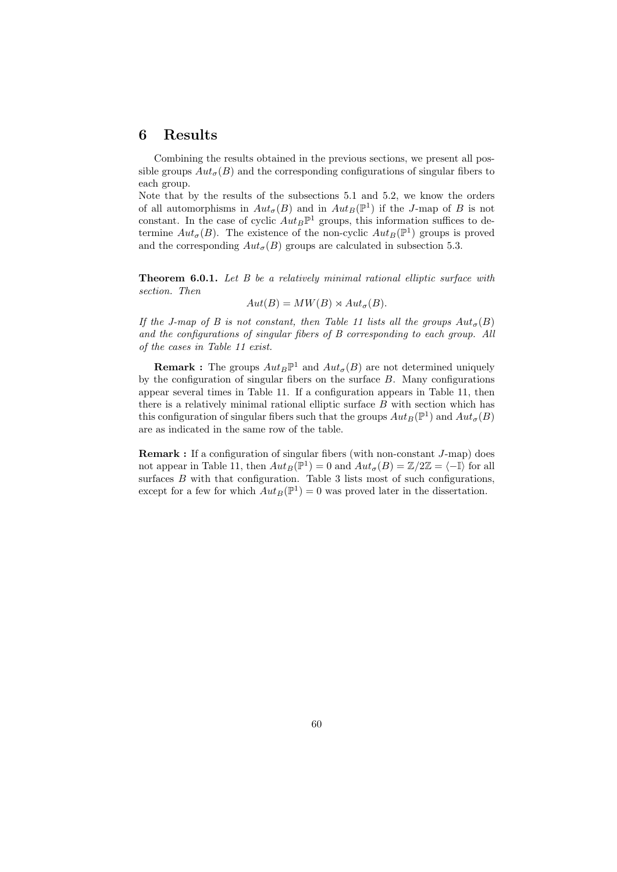## 6 Results

Combining the results obtained in the previous sections, we present all possible groups  $Aut_{\sigma}(B)$  and the corresponding configurations of singular fibers to each group.

Note that by the results of the subsections 5.1 and 5.2, we know the orders of all automorphisms in  $Aut_{\sigma}(B)$  and in  $Aut_B(\mathbb{P}^1)$  if the J-map of B is not constant. In the case of cyclic  $Aut_B\mathbb{P}^1$  groups, this information suffices to determine  $Aut_{\sigma}(B)$ . The existence of the non-cyclic  $Aut_B(\mathbb{P}^1)$  groups is proved and the corresponding  $Aut_{\sigma}(B)$  groups are calculated in subsection 5.3.

Theorem 6.0.1. Let B be a relatively minimal rational elliptic surface with section. Then

$$
Aut(B) = MW(B) \rtimes Aut_{\sigma}(B).
$$

If the J-map of B is not constant, then Table 11 lists all the groups  $Aut_{\sigma}(B)$ and the configurations of singular fibers of B corresponding to each group. All of the cases in Table 11 exist.

**Remark**: The groups  $Aut_B\mathbb{P}^1$  and  $Aut_{\sigma}(B)$  are not determined uniquely by the configuration of singular fibers on the surface  $B$ . Many configurations appear several times in Table 11. If a configuration appears in Table 11, then there is a relatively minimal rational elliptic surface B with section which has this configuration of singular fibers such that the groups  $Aut_B(\mathbb{P}^1)$  and  $Aut_{\sigma}(B)$ are as indicated in the same row of the table.

**Remark :** If a configuration of singular fibers (with non-constant  $J$ -map) does not appear in Table 11, then  $Aut_B(\mathbb{P}^1) = 0$  and  $Aut_{\sigma}(B) = \mathbb{Z}/2\mathbb{Z} = \langle -\mathbb{I} \rangle$  for all surfaces  $B$  with that configuration. Table 3 lists most of such configurations, except for a few for which  $Aut_B(\mathbb{P}^1) = 0$  was proved later in the dissertation.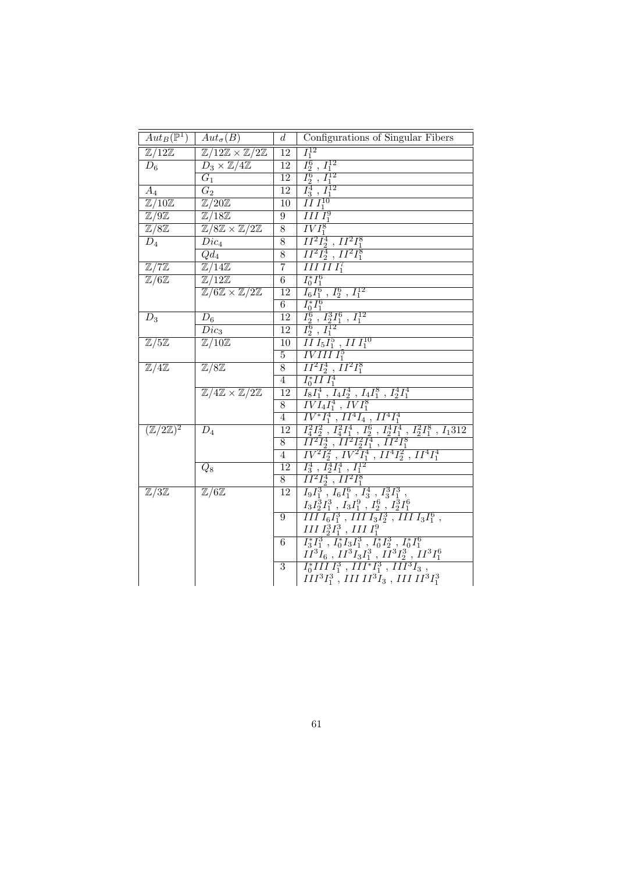| $\frac{I_1^{12}}{I_2^6 \; , \; I_1^{12}} \ \frac{I_2^6 \; , \; I_1^{12}}{I_3^4 \; , \; I_1^{12}}$<br>$\overline{\mathbb{Z}/12\mathbb{Z}}$<br>$\mathbb{Z}/12\mathbb{Z} \times \mathbb{Z}/2\mathbb{Z}$<br>$\overline{12}$                                                                                                                                                             |  |
|-------------------------------------------------------------------------------------------------------------------------------------------------------------------------------------------------------------------------------------------------------------------------------------------------------------------------------------------------------------------------------------|--|
|                                                                                                                                                                                                                                                                                                                                                                                     |  |
| $\overline{12}$<br>$D_6$<br>$D_3 \times \mathbb{Z}/4\mathbb{Z}$                                                                                                                                                                                                                                                                                                                     |  |
| $\overline{12}$<br>$\overline{G_1}$                                                                                                                                                                                                                                                                                                                                                 |  |
| $\overline{12}$<br>$\overline{G_2}$<br>$A_4$                                                                                                                                                                                                                                                                                                                                        |  |
| $\bar{II}I_1^{10}$<br>$\mathbb{Z}/10\overline{\mathbb{Z}}$<br>$\mathbb{Z}/20\mathbb{Z}$<br>10                                                                                                                                                                                                                                                                                       |  |
| III <sub>1</sub> <sup>9</sup><br>$\mathbb{Z}/9\mathbb{Z}$<br>$\mathbb{Z}/18\mathbb{Z}$<br>$9\phantom{.0}$                                                                                                                                                                                                                                                                           |  |
| $\overline{IVI_1^8}$<br>$\overline{8}$<br>$\mathbb{Z}/8\mathbb{Z}$<br>$\mathbb{Z}/8\mathbb{Z} \times \mathbb{Z}/2\mathbb{Z}$                                                                                                                                                                                                                                                        |  |
| $\overline{II^2I_2^4$ , $II^2I_1^8}$<br>$\overline{8}$<br>$D_4$<br>$Dic_4$                                                                                                                                                                                                                                                                                                          |  |
| $\overline{8}$<br>$\overline{II^2I_2^4}$ , $II^2I_1^8$<br>$Qd_4$                                                                                                                                                                                                                                                                                                                    |  |
| $IIIIII_1^7$<br>$\overline{7}$<br>$\mathbb{Z}/7\mathbb{Z}$<br>$\mathbb{Z}/14\mathbb{Z}$                                                                                                                                                                                                                                                                                             |  |
| $I_0^* I_1^6$<br>$\overline{6}$<br>$\mathbb{Z}/6\mathbb{Z}$<br>$\overline{\mathbb{Z}}/12\mathbb{Z}$                                                                                                                                                                                                                                                                                 |  |
| $I_6I_1^6$ , $I_2^6$ , $I_1^{12}\,$<br>$\mathbb{Z}/6\mathbb{Z} \times \mathbb{Z}/2\mathbb{Z}$<br>12                                                                                                                                                                                                                                                                                 |  |
| $I_{0}^{*}I_{1}^{6}$<br>$6\overline{6}$                                                                                                                                                                                                                                                                                                                                             |  |
| $\frac{I_2^6$ , $I_2^3 I_1^6$ , $I_1^{12}$<br>$\frac{I_2^6}{I_2^6}$ , $I_1^{12}$<br>12<br>$D_3$<br>$D_6$                                                                                                                                                                                                                                                                            |  |
| 12<br>$\overline{Dic}_3$                                                                                                                                                                                                                                                                                                                                                            |  |
| $III$ $I_5I_1^5$ , $III$ $I_1^{10}$<br>$\mathbb{Z}/10\mathbb{Z}$<br>$\mathbb{Z}/5\mathbb{Z}$<br>10                                                                                                                                                                                                                                                                                  |  |
| $\overline{IVIII}$ $I_1^5$<br>$5\phantom{.0}$                                                                                                                                                                                                                                                                                                                                       |  |
| $\overline{II^2I_2^4$ , $II^2I_1^8$<br>$\overline{\mathbb{Z}/4\mathbb{Z}}$<br>$\overline{\mathbb{Z}/8\mathbb{Z}}$<br>$\overline{8}$                                                                                                                                                                                                                                                 |  |
| $\frac{I_0^* II \overline{I_1^4}}{I_1^*}$<br>$\overline{4}$                                                                                                                                                                                                                                                                                                                         |  |
| $I_8I_1^4$ , $I_4I_2^4$ , $I_4I_1^8$ , $I_2^4I_1^4$<br>$\mathbb{Z}/4\mathbb{Z} \times \mathbb{Z}/2\mathbb{Z}$<br>$\overline{12}$                                                                                                                                                                                                                                                    |  |
| $\overline{IVI_4I_1^4$ , $\overline{IVI_1^8}$<br>$\overline{8}$<br>$\overline{IV^*I_1^4}$ , $II^4I_4$ , $II^4I_1^4$<br>$\overline{4}$                                                                                                                                                                                                                                               |  |
| $(\overline{\mathbb{Z}/2\mathbb{Z}})^2$<br>$\overline{12}$<br>$D_4$                                                                                                                                                                                                                                                                                                                 |  |
| $\begin{array}{l} \frac{1}{11} \frac{1}{11} \frac{1}{11} \frac{1}{11} \frac{1}{11} \frac{1}{11} \frac{1}{11} \frac{1}{11} \frac{1}{11} \frac{1}{11} \frac{1}{11} \frac{1}{11} \frac{1}{11} \frac{1}{11} \frac{1}{11} \frac{1}{11} \frac{1}{11} \frac{1}{11} \frac{1}{11} \frac{1}{11} \frac{1}{11} \frac{1}{11} \frac{1}{11} \frac{1}{11} \frac{1}{11} \frac{1}{11} \frac{1}{$<br>8 |  |
| $\overline{4}$                                                                                                                                                                                                                                                                                                                                                                      |  |
| 12<br>$Q_8$                                                                                                                                                                                                                                                                                                                                                                         |  |
| $\overline{II^2I_2^4}, \overline{II^2I_1^8}$<br>$\overline{8}$                                                                                                                                                                                                                                                                                                                      |  |
| $\mathbb{Z}/6\mathbb{Z}$<br>$\mathbb{Z}/3\mathbb{Z}$<br>12                                                                                                                                                                                                                                                                                                                          |  |
|                                                                                                                                                                                                                                                                                                                                                                                     |  |
| 9                                                                                                                                                                                                                                                                                                                                                                                   |  |
|                                                                                                                                                                                                                                                                                                                                                                                     |  |
| 6                                                                                                                                                                                                                                                                                                                                                                                   |  |
| $\frac{I1^2I_2^2, I1I_1}{I_9I_1^3, I_6I_1^6, I_3^4, I_3^3I_1^3,} \ \frac{I_3I_2^3I_1^3, I_3I_1^9, I_2^6, I_2^3I_1^6}{III I_6I_1^3, III I_3I_2^3, III I_3I_1^6,} \ \frac{III I_2^3I_1^3, III I_1^9}{I_3^*I_1^3, I_0^*I_3I_1^3, I_0^*I_2^3, I_0^*I_1^6,} \ \frac{I1^3I_6, I1^3I_3$                                                                                                    |  |
| 3                                                                                                                                                                                                                                                                                                                                                                                   |  |
| $III^{3}I_{1}^{3}$ , $III II^{3}I_{3}$ , $III II^{3}I_{1}^{3}$                                                                                                                                                                                                                                                                                                                      |  |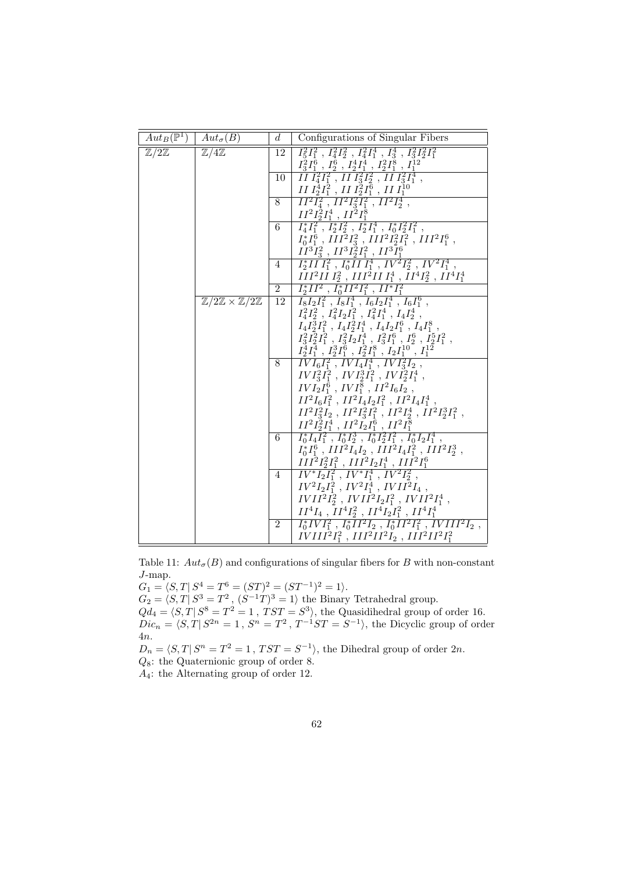| $Aut_B(\overline{\mathbb{P}^1})$ | $Aut_{\sigma}(B)$                                      | $d_{\cdot}$     | Configurations of Singular Fibers                                                                                                                                |
|----------------------------------|--------------------------------------------------------|-----------------|------------------------------------------------------------------------------------------------------------------------------------------------------------------|
| $\mathbb{Z}/2\mathbb{Z}$         | $\mathbb{Z}/4\mathbb{Z}$                               | 12              | $I_5^2I_1^2$ , $I_4^2I_2^2$ , $I_4^2I_1^4$ , $I_3^4$ , $I_3^2I_2^2I_1^2$                                                                                         |
|                                  |                                                        | $10-1$          | $\frac{I_3^2 I_1^6}{II}$ , $\frac{I_2^6}{I_2^2}$ , $\frac{I_2^4 I_1^4}{I_1^2 I_1^2}$ , $\frac{I_2^2 I_1^8}{I_1^2 I_2^2}$ , $\frac{I_1^1}{I_3^2 I_1^4}$ ,         |
|                                  |                                                        |                 | II $I_2^4I_1^2$ , II $I_2^2I_1^6$ , II $I_1^{10}$                                                                                                                |
|                                  |                                                        | 8 <sup>1</sup>  | $II^2I_4^2$ , $II^2I_3^2I_1^2$ , $II^2I_2^4$ ,<br>$\frac{II^2I_2^{\hat{2}}I_1^4\ ,\ II^2I_1^8}{I_4^*I_1^2\ ,\ I_2^*I_2^2\ ,\ I_2^*I_1^4\ ,\ I_0^*I_2^2I_1^2\ ,}$ |
|                                  |                                                        | 6               |                                                                                                                                                                  |
|                                  |                                                        |                 | $I_0^*I_1^6$ , $III^2I_3^2$ , $III^2I_2^2I_1^2$ , $III^2I_1^6$ ,<br>$\check{II}^3\bar{I}_3^2$ , $II^3I_2^2I_1^2$ , $II^3I_1^6$                                   |
|                                  |                                                        | 4               | $\overline{I_2^*II}\,\overline{I_1^2}\,\,,\,\overline{I_0^*II}\,\overline{I_1^4}\,\,,\,IV^2I_2^2\,\,,\,IV^2I_1^4\,\,,$                                           |
|                                  |                                                        |                 | $III^2II\,I_2^2$ , $III^2II\,I_1^4$ , $II^4I_2^2$ , $II^4I_1^4$                                                                                                  |
|                                  |                                                        |                 | $\frac{1}{2}$ $I_2^* II^2$ , $I_0^* II^2 I_1^2$ , $II^* I_1^2$                                                                                                   |
|                                  | $\mathbb{Z}/2\mathbb{Z} \times \mathbb{Z}/2\mathbb{Z}$ | $\overline{12}$ | $I_8I_2I_1^2$ , $I_8I_1^4$ , $I_6I_2I_1^4$ , $I_6I_1^6$ ,                                                                                                        |
|                                  |                                                        |                 | $I_4^2I_2^2$ , $I_4^2I_2I_1^2$ , $I_4^2I_1^4$ , $I_4I_2^4$ ,                                                                                                     |
|                                  |                                                        |                 | $I_4I_3^3I_1^2$ , $I_4I_2^2I_1^4$ , $I_4I_2I_1^6$ , $I_4I_1^8$ ,                                                                                                 |
|                                  |                                                        |                 | $I_3^2I_2^2I_1^2$ , $I_3^2I_2I_1^4$ , $I_3^2I_1^6$ , $I_2^6$ , $I_2^5I_1^2$ ,                                                                                    |
|                                  |                                                        |                 | $\frac{I_2^4 I_1^4}{8}$ , $I_2^3 I_1^6$ , $I_2^2 I_1^8$ , $I_2 I_1^{10}$ , $I_1^{12}$<br>8 $IVI_6 I_1^2$ , $IVI_4 I_1^4$ , $IVI_3^2 I_2$ ,                       |
|                                  |                                                        |                 | $IVI_3^2I_1^2$ , $IVI_2^3I_1^2$ , $IVI_2^2I_1^4$ ,                                                                                                               |
|                                  |                                                        |                 | $IVI_2I_1^6$ , $IVI_1^8$ , $II^2I_6I_2$ ,                                                                                                                        |
|                                  |                                                        |                 | $II^2I_6I_1^2$ , $II^2I_4I_2I_1^2$ , $II^2I_4I_1^4$ ,<br>$II^2I_3^2I_2$ , $II^2I_3^2I_1^2$ , $II^2I_2^4$ , $II^2I_2^3I_1^2$ ,                                    |
|                                  |                                                        |                 | $II^2I_2^2I_1^4$ , $II^2I_2I_1^6$ , $II^2I_1^8$                                                                                                                  |
|                                  |                                                        | 6               | $I_0^* \overline{I_4 I_1^2}$ , $I_0^* I_2^3$ , $I_0^* I_2^2 I_1^2$ , $I_0^* I_2 I_1^4$ ,                                                                         |
|                                  |                                                        |                 | $I_0^* I_1^6$ , $III^2I_4I_2$ , $III^2I_4I_1^2$ , $III^2I_2^3$ ,                                                                                                 |
|                                  |                                                        |                 | $III^2I_2^2I_1^2$ , $III^2I_2I_1^4$ , $III^2I_1^6$                                                                                                               |
|                                  |                                                        |                 | 4 $IV^*I_2I_1^2$ , $IV^*I_1^4$ , $IV^2I_2^2$ ,                                                                                                                   |
|                                  |                                                        |                 | $IV^2I_2I_1^2$ , $IV^2I_1^4$ , $IVII^2I_4$ ,                                                                                                                     |
|                                  |                                                        |                 | $IVII^2I_2^2$ , $IVII^2I_2I_1^2$ , $IVII^2I_1^4$ ,                                                                                                               |
|                                  |                                                        | $\overline{2}$  | $II^4I_4$ , $II^4I_2^2$ , $II^4I_2I_1^2$ , $II^4I_1^4$<br>$I_0^*IVI_1^2$ , $I_0^*II^2I_2$ , $I_0^*II^2I_1^2$ , $IVIII^2I_2$ ,                                    |
|                                  |                                                        |                 | $IVIII^2I_1^2$ , $III^2II^2I_2$ , $III^2II^2I_1^2$                                                                                                               |

Table 11:  $Aut_{\sigma}(B)$  and configurations of singular fibers for B with non-constant J-map.

 $G_1 = \langle S, T | S^4 = T^6 = (ST)^2 = (ST^{-1})^2 = 1 \rangle.$  $G_2 = \langle S, T | S^3 = T^2, (S^{-1}T)^3 = 1 \rangle$  the Binary Tetrahedral group.  $Qd_4 = \langle S, T | S^8 = T^2 = 1, TST = S^3 \rangle$ , the Quasidihedral group of order 16.  $Dic_n = \langle S, T | S^{2n} = 1, S^n = T^2, T^{-1}ST = S^{-1} \rangle$ , the Dicyclic group of order 4n.  $D_n = \langle S, T | S^n = T^2 = 1, TST = S^{-1} \rangle$ , the Dihedral group of order  $2n$ .  $Q_8$ : the Quaternionic group of order 8.

A4: the Alternating group of order 12.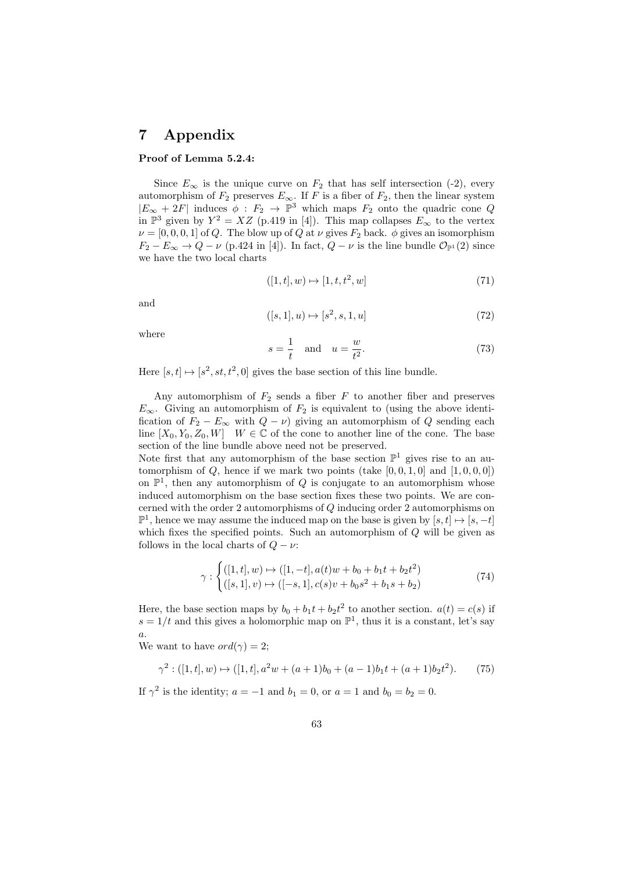## 7 Appendix

#### Proof of Lemma 5.2.4:

Since  $E_{\infty}$  is the unique curve on  $F_2$  that has self intersection (-2), every automorphism of  $F_2$  preserves  $E_{\infty}$ . If F is a fiber of  $F_2$ , then the linear system  $|E_{\infty} + 2F|$  induces  $\phi : F_2 \to \mathbb{P}^3$  which maps  $F_2$  onto the quadric cone Q in  $\mathbb{P}^3$  given by  $Y^2 = XZ$  (p.419 in [4]). This map collapses  $E_{\infty}$  to the vertex  $\nu = [0, 0, 0, 1]$  of Q. The blow up of Q at  $\nu$  gives  $F_2$  back.  $\phi$  gives an isomorphism  $F_2 - E_\infty \to Q - \nu$  (p.424 in [4]). In fact,  $Q - \nu$  is the line bundle  $\mathcal{O}_{\mathbb{P}^1}(2)$  since we have the two local charts

$$
([1, t], w) \mapsto [1, t, t^2, w]
$$
\n(71)

and

$$
([s, 1], u) \mapsto [s^2, s, 1, u] \tag{72}
$$

where

$$
s = \frac{1}{t} \quad \text{and} \quad u = \frac{w}{t^2}.\tag{73}
$$

Here  $[s, t] \mapsto [s^2, st, t^2, 0]$  gives the base section of this line bundle.

Any automorphism of  $F_2$  sends a fiber  $F$  to another fiber and preserves  $E_{\infty}$ . Giving an automorphism of  $F_2$  is equivalent to (using the above identification of  $F_2 - E_\infty$  with  $Q - \nu$ ) giving an automorphism of Q sending each line  $[X_0, Y_0, Z_0, W]$   $W \in \mathbb{C}$  of the cone to another line of the cone. The base section of the line bundle above need not be preserved.

Note first that any automorphism of the base section  $\mathbb{P}^1$  gives rise to an automorphism of Q, hence if we mark two points (take  $[0, 0, 1, 0]$  and  $[1, 0, 0, 0]$ ) on  $\mathbb{P}^1$ , then any automorphism of Q is conjugate to an automorphism whose induced automorphism on the base section fixes these two points. We are concerned with the order 2 automorphisms of Q inducing order 2 automorphisms on  $\mathbb{P}^1$ , hence we may assume the induced map on the base is given by  $[s, t] \mapsto [s, -t]$ which fixes the specified points. Such an automorphism of  $Q$  will be given as follows in the local charts of  $Q - \nu$ :

$$
\gamma : \begin{cases} ([1, t], w) \mapsto ([1, -t], a(t)w + b_0 + b_1t + b_2t^2) \\ ([s, 1], v) \mapsto ([-s, 1], c(s)v + b_0s^2 + b_1s + b_2) \end{cases} \tag{74}
$$

Here, the base section maps by  $b_0 + b_1t + b_2t^2$  to another section.  $a(t) = c(s)$  if  $s = 1/t$  and this gives a holomorphic map on  $\mathbb{P}^1$ , thus it is a constant, let's say  $\boldsymbol{a}.$ 

We want to have  $ord(\gamma) = 2$ ;

$$
\gamma^2: ([1, t], w) \mapsto ([1, t], a^2w + (a+1)b_0 + (a-1)b_1t + (a+1)b_2t^2). \tag{75}
$$

If  $\gamma^2$  is the identity;  $a = -1$  and  $b_1 = 0$ , or  $a = 1$  and  $b_0 = b_2 = 0$ .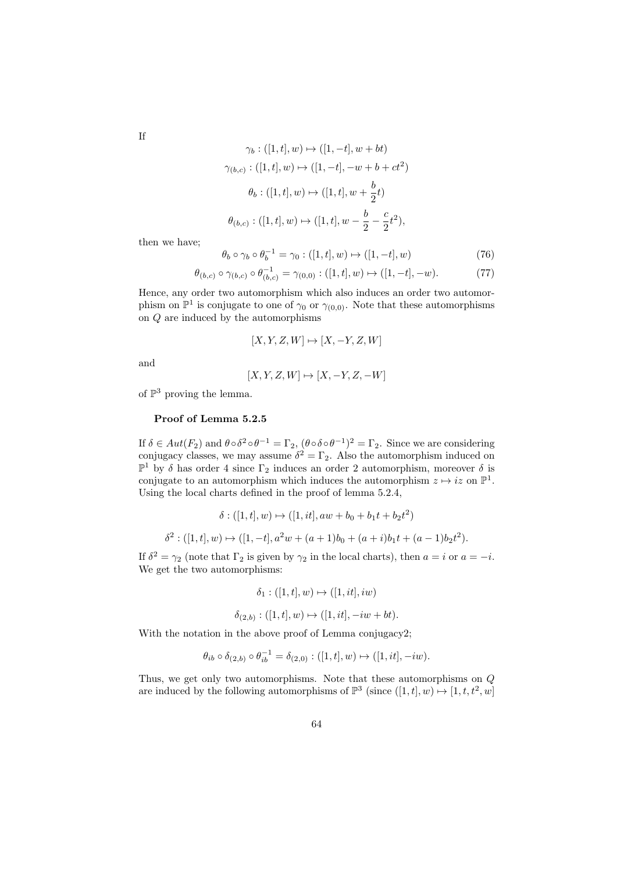If

$$
\gamma_b: ([1, t], w) \mapsto ([1, -t], w + bt)
$$
  

$$
\gamma_{(b,c)}: ([1, t], w) \mapsto ([1, -t], -w + b + ct^2)
$$
  

$$
\theta_b: ([1, t], w) \mapsto ([1, t], w + \frac{b}{2}t)
$$
  

$$
\theta_{(b,c)}: ([1, t], w) \mapsto ([1, t], w - \frac{b}{2} - \frac{c}{2}t^2),
$$

then we have;

$$
\theta_b \circ \gamma_b \circ \theta_b^{-1} = \gamma_0 : ([1, t], w) \mapsto ([1, -t], w)
$$
\n(76)

$$
\theta_{(b,c)} \circ \gamma_{(b,c)} \circ \theta_{(b,c)}^{-1} = \gamma_{(0,0)} : ([1, t], w) \mapsto ([1, -t], -w). \tag{77}
$$

Hence, any order two automorphism which also induces an order two automorphism on  $\mathbb{P}^1$  is conjugate to one of  $\gamma_0$  or  $\gamma_{(0,0)}$ . Note that these automorphisms on Q are induced by the automorphisms

$$
[X, Y, Z, W] \mapsto [X, -Y, Z, W]
$$

and

$$
[X, Y, Z, W] \mapsto [X, -Y, Z, -W]
$$

of  $\mathbb{P}^3$  proving the lemma.

#### Proof of Lemma 5.2.5

If  $\delta \in Aut(F_2)$  and  $\theta \circ \delta^2 \circ \theta^{-1} = \Gamma_2$ ,  $(\theta \circ \delta \circ \theta^{-1})^2 = \Gamma_2$ . Since we are considering conjugacy classes, we may assume  $\delta^2 = \Gamma_2$ . Also the automorphism induced on  $\mathbb{P}^1$  by δ has order 4 since  $\Gamma_2$  induces an order 2 automorphism, moreover δ is conjugate to an automorphism which induces the automorphism  $z \mapsto iz$  on  $\mathbb{P}^1$ . Using the local charts defined in the proof of lemma 5.2.4,

$$
\delta : ([1, t], w) \mapsto ([1, it], aw + b_0 + b_1t + b_2t^2)
$$
  

$$
\delta^2 : ([1, t], w) \mapsto ([1, -t], a^2w + (a+1)b_0 + (a+i)b_1t + (a-1)b_2t^2).
$$

If  $\delta^2 = \gamma_2$  (note that  $\Gamma_2$  is given by  $\gamma_2$  in the local charts), then  $a = i$  or  $a = -i$ . We get the two automorphisms:

$$
\delta_1: ([1, t], w) \mapsto ([1, it], iw)
$$

$$
\delta_{(2,b)} : ([1,t], w) \mapsto ([1, it], -iw + bt).
$$

With the notation in the above proof of Lemma conjugacy2;

$$
\theta_{ib} \circ \delta_{(2,b)} \circ \theta_{ib}^{-1} = \delta_{(2,0)} : ([1,t],w) \mapsto ([1,it],-iw).
$$

Thus, we get only two automorphisms. Note that these automorphisms on Q are induced by the following automorphisms of  $\mathbb{P}^3$  (since  $([1, t], w) \mapsto [1, t, t^2, w]$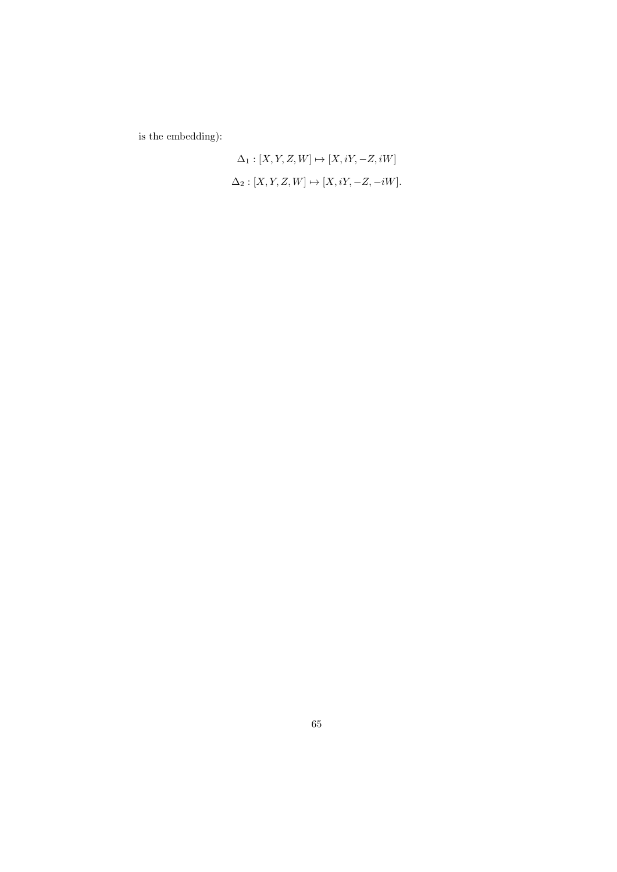is the embedding):

$$
\Delta_1 : [X, Y, Z, W] \mapsto [X, iY, -Z, iW]
$$
  

$$
\Delta_2 : [X, Y, Z, W] \mapsto [X, iY, -Z, -iW].
$$